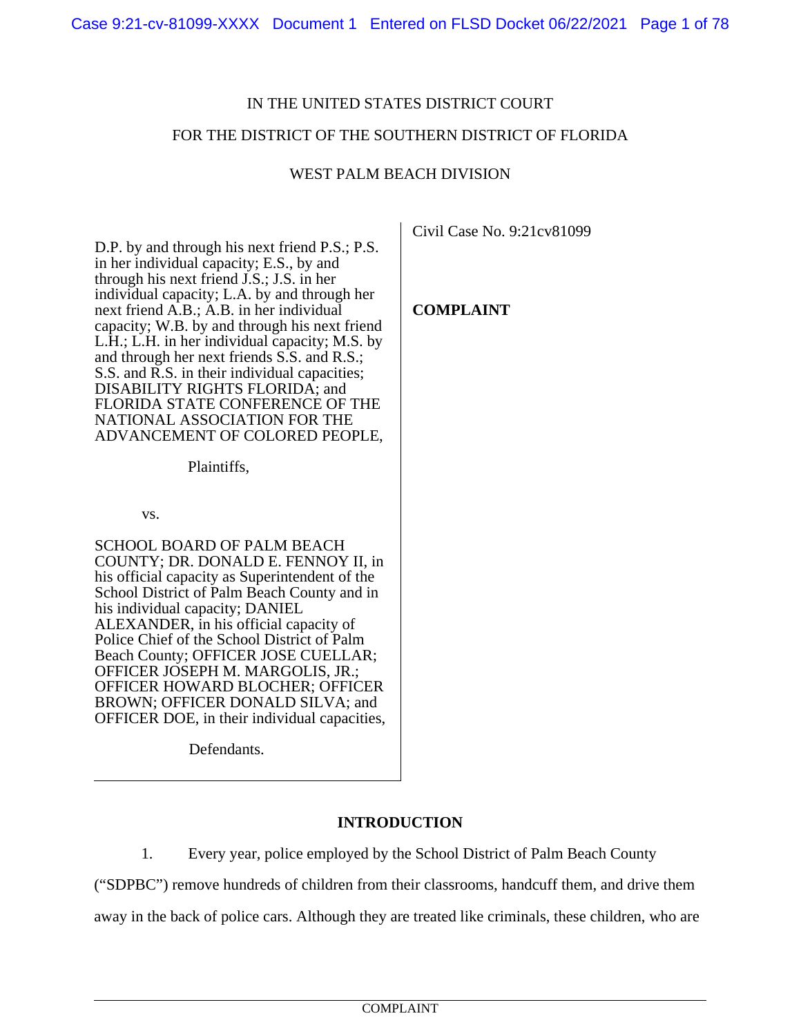# IN THE UNITED STATES DISTRICT COURT

## FOR THE DISTRICT OF THE SOUTHERN DISTRICT OF FLORIDA

## WEST PALM BEACH DIVISION

D.P. by and through his next friend P.S.; P.S. in her individual capacity; E.S., by and through his next friend J.S.; J.S. in her individual capacity; L.A. by and through her next friend A.B.; A.B. in her individual capacity; W.B. by and through his next friend L.H.; L.H. in her individual capacity; M.S. by and through her next friends S.S. and R.S.; S.S. and R.S. in their individual capacities; DISABILITY RIGHTS FLORIDA; and FLORIDA STATE CONFERENCE OF THE NATIONAL ASSOCIATION FOR THE ADVANCEMENT OF COLORED PEOPLE,

Plaintiffs,

vs.

SCHOOL BOARD OF PALM BEACH COUNTY; DR. DONALD E. FENNOY II, in his official capacity as Superintendent of the School District of Palm Beach County and in his individual capacity; DANIEL ALEXANDER, in his official capacity of Police Chief of the School District of Palm Beach County; OFFICER JOSE CUELLAR; OFFICER JOSEPH M. MARGOLIS, JR.; OFFICER HOWARD BLOCHER; OFFICER BROWN; OFFICER DONALD SILVA; and OFFICER DOE, in their individual capacities,

Defendants.

## **INTRODUCTION**

1. Every year, police employed by the School District of Palm Beach County

("SDPBC") remove hundreds of children from their classrooms, handcuff them, and drive them away in the back of police cars. Although they are treated like criminals, these children, who are

Civil Case No. 9:21cv81099

**COMPLAINT**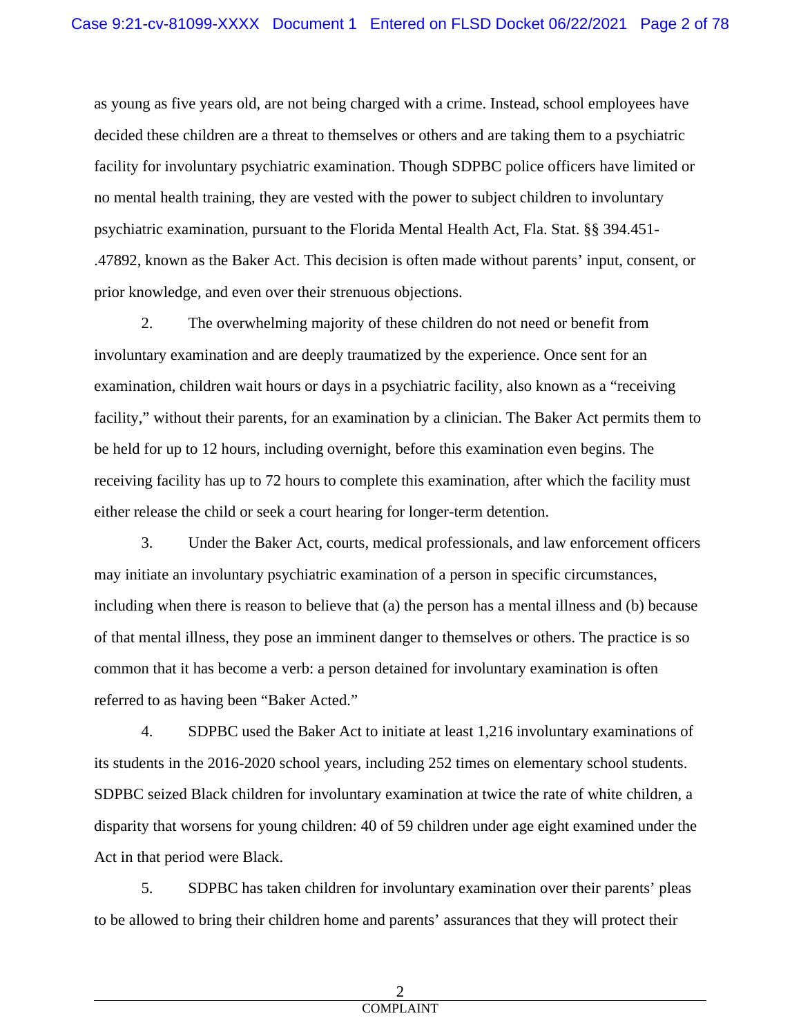as young as five years old, are not being charged with a crime. Instead, school employees have decided these children are a threat to themselves or others and are taking them to a psychiatric facility for involuntary psychiatric examination. Though SDPBC police officers have limited or no mental health training, they are vested with the power to subject children to involuntary psychiatric examination, pursuant to the Florida Mental Health Act, Fla. Stat. §§ 394.451- .47892, known as the Baker Act. This decision is often made without parents' input, consent, or prior knowledge, and even over their strenuous objections.

2. The overwhelming majority of these children do not need or benefit from involuntary examination and are deeply traumatized by the experience. Once sent for an examination, children wait hours or days in a psychiatric facility, also known as a "receiving facility," without their parents, for an examination by a clinician. The Baker Act permits them to be held for up to 12 hours, including overnight, before this examination even begins. The receiving facility has up to 72 hours to complete this examination, after which the facility must either release the child or seek a court hearing for longer-term detention.

3. Under the Baker Act, courts, medical professionals, and law enforcement officers may initiate an involuntary psychiatric examination of a person in specific circumstances, including when there is reason to believe that (a) the person has a mental illness and (b) because of that mental illness, they pose an imminent danger to themselves or others. The practice is so common that it has become a verb: a person detained for involuntary examination is often referred to as having been "Baker Acted."

4. SDPBC used the Baker Act to initiate at least 1,216 involuntary examinations of its students in the 2016-2020 school years, including 252 times on elementary school students. SDPBC seized Black children for involuntary examination at twice the rate of white children, a disparity that worsens for young children: 40 of 59 children under age eight examined under the Act in that period were Black.

5. SDPBC has taken children for involuntary examination over their parents' pleas to be allowed to bring their children home and parents' assurances that they will protect their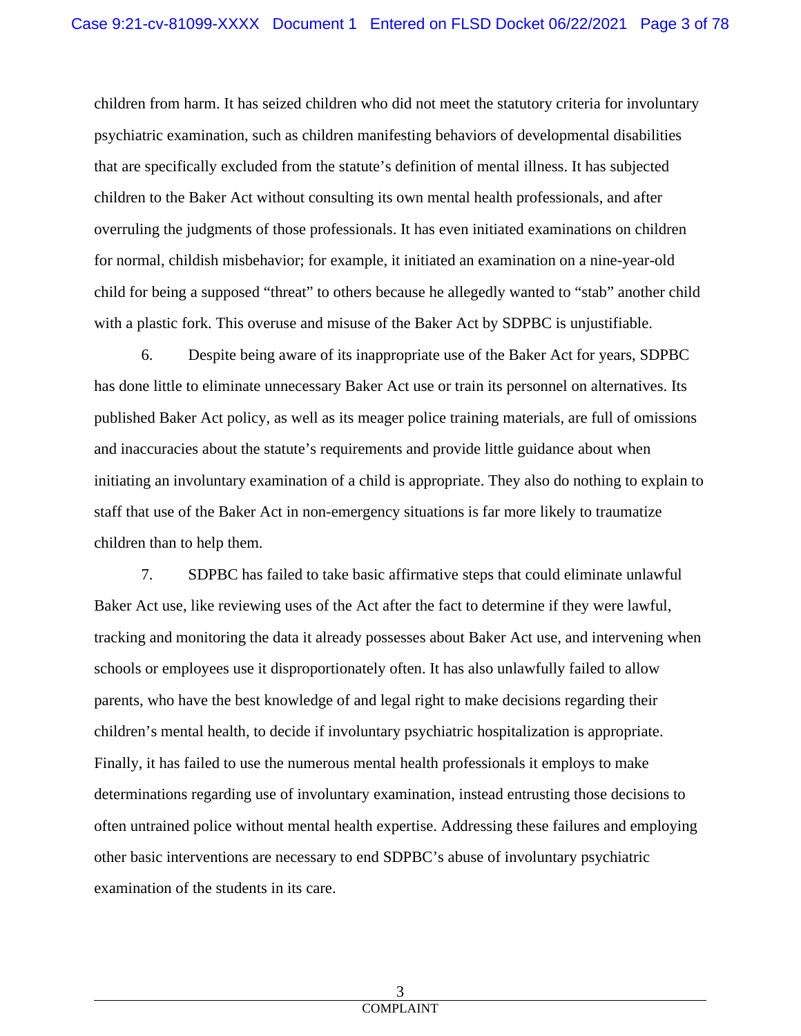children from harm. It has seized children who did not meet the statutory criteria for involuntary psychiatric examination, such as children manifesting behaviors of developmental disabilities that are specifically excluded from the statute's definition of mental illness. It has subjected children to the Baker Act without consulting its own mental health professionals, and after overruling the judgments of those professionals. It has even initiated examinations on children for normal, childish misbehavior; for example, it initiated an examination on a nine-year-old child for being a supposed "threat" to others because he allegedly wanted to "stab" another child with a plastic fork. This overuse and misuse of the Baker Act by SDPBC is unjustifiable.

6. Despite being aware of its inappropriate use of the Baker Act for years, SDPBC has done little to eliminate unnecessary Baker Act use or train its personnel on alternatives. Its published Baker Act policy, as well as its meager police training materials, are full of omissions and inaccuracies about the statute's requirements and provide little guidance about when initiating an involuntary examination of a child is appropriate. They also do nothing to explain to staff that use of the Baker Act in non-emergency situations is far more likely to traumatize children than to help them.

7. SDPBC has failed to take basic affirmative steps that could eliminate unlawful Baker Act use, like reviewing uses of the Act after the fact to determine if they were lawful, tracking and monitoring the data it already possesses about Baker Act use, and intervening when schools or employees use it disproportionately often. It has also unlawfully failed to allow parents, who have the best knowledge of and legal right to make decisions regarding their children's mental health, to decide if involuntary psychiatric hospitalization is appropriate. Finally, it has failed to use the numerous mental health professionals it employs to make determinations regarding use of involuntary examination, instead entrusting those decisions to often untrained police without mental health expertise. Addressing these failures and employing other basic interventions are necessary to end SDPBC's abuse of involuntary psychiatric examination of the students in its care.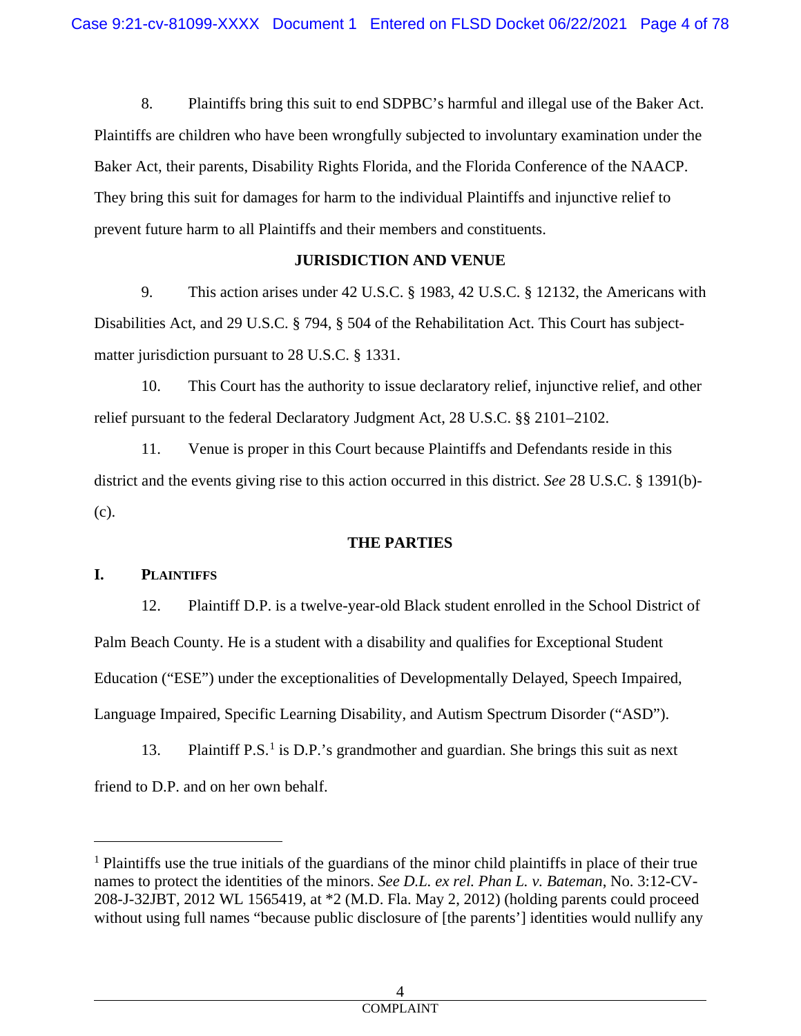8. Plaintiffs bring this suit to end SDPBC's harmful and illegal use of the Baker Act. Plaintiffs are children who have been wrongfully subjected to involuntary examination under the Baker Act, their parents, Disability Rights Florida, and the Florida Conference of the NAACP. They bring this suit for damages for harm to the individual Plaintiffs and injunctive relief to prevent future harm to all Plaintiffs and their members and constituents.

# **JURISDICTION AND VENUE**

9. This action arises under 42 U.S.C. § 1983, 42 U.S.C. § 12132, the Americans with Disabilities Act, and 29 U.S.C. § 794, § 504 of the Rehabilitation Act. This Court has subjectmatter jurisdiction pursuant to 28 U.S.C. § 1331.

10. This Court has the authority to issue declaratory relief, injunctive relief, and other relief pursuant to the federal Declaratory Judgment Act, 28 U.S.C. §§ 2101–2102.

11. Venue is proper in this Court because Plaintiffs and Defendants reside in this district and the events giving rise to this action occurred in this district. *See* 28 U.S.C. § 1391(b)- (c).

# **THE PARTIES**

## **I. PLAINTIFFS**

12. Plaintiff D.P. is a twelve-year-old Black student enrolled in the School District of Palm Beach County. He is a student with a disability and qualifies for Exceptional Student Education ("ESE") under the exceptionalities of Developmentally Delayed, Speech Impaired, Language Impaired, Specific Learning Disability, and Autism Spectrum Disorder ("ASD").

[1](#page-3-0)3. Plaintiff P.S.<sup>1</sup> is D.P.'s grandmother and guardian. She brings this suit as next friend to D.P. and on her own behalf.

<span id="page-3-0"></span><sup>&</sup>lt;sup>1</sup> Plaintiffs use the true initials of the guardians of the minor child plaintiffs in place of their true names to protect the identities of the minors. *See D.L. ex rel. Phan L. v. Bateman*, No. 3:12-CV-208-J-32JBT, 2012 WL 1565419, at \*2 (M.D. Fla. May 2, 2012) (holding parents could proceed without using full names "because public disclosure of [the parents'] identities would nullify any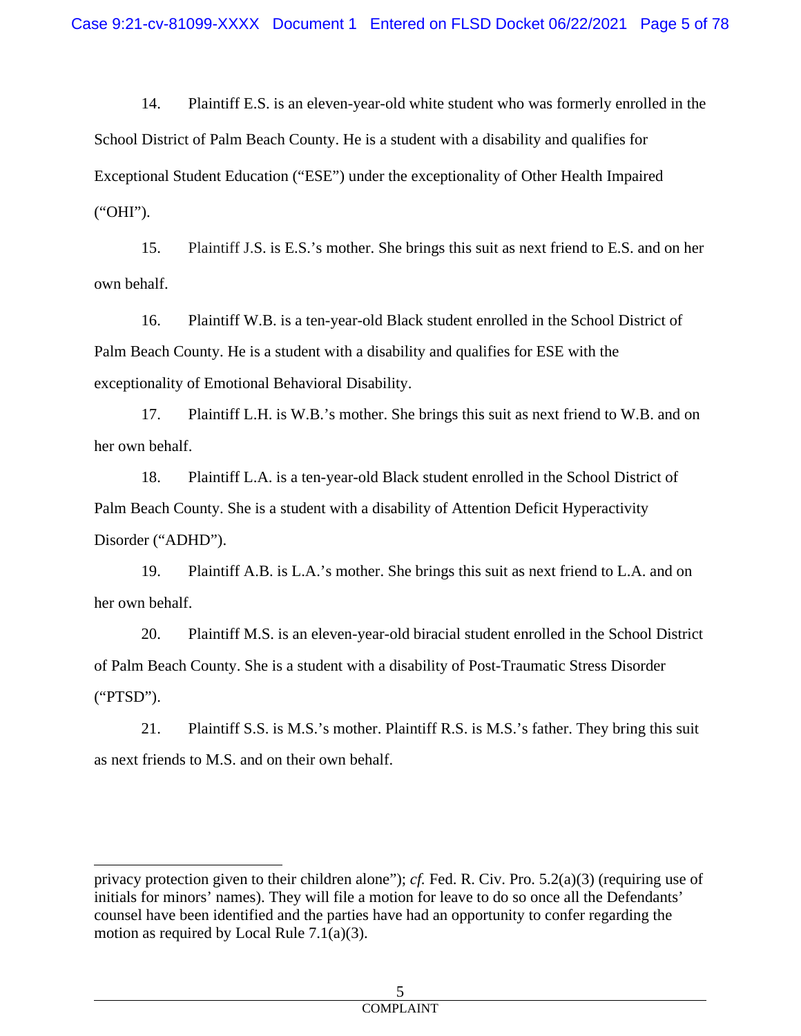14. Plaintiff E.S. is an eleven-year-old white student who was formerly enrolled in the School District of Palm Beach County. He is a student with a disability and qualifies for Exceptional Student Education ("ESE") under the exceptionality of Other Health Impaired ("OHI").

15. Plaintiff J.S. is E.S.'s mother. She brings this suit as next friend to E.S. and on her own behalf.

16. Plaintiff W.B. is a ten-year-old Black student enrolled in the School District of Palm Beach County. He is a student with a disability and qualifies for ESE with the exceptionality of Emotional Behavioral Disability.

17. Plaintiff L.H. is W.B.'s mother. She brings this suit as next friend to W.B. and on her own behalf.

18. Plaintiff L.A. is a ten-year-old Black student enrolled in the School District of Palm Beach County. She is a student with a disability of Attention Deficit Hyperactivity Disorder ("ADHD").

19. Plaintiff A.B. is L.A.'s mother. She brings this suit as next friend to L.A. and on her own behalf.

20. Plaintiff M.S. is an eleven-year-old biracial student enrolled in the School District of Palm Beach County. She is a student with a disability of Post-Traumatic Stress Disorder ("PTSD").

21. Plaintiff S.S. is M.S.'s mother. Plaintiff R.S. is M.S.'s father. They bring this suit as next friends to M.S. and on their own behalf.

privacy protection given to their children alone"); *cf.* Fed. R. Civ. Pro. 5.2(a)(3) (requiring use of initials for minors' names). They will file a motion for leave to do so once all the Defendants' counsel have been identified and the parties have had an opportunity to confer regarding the motion as required by Local Rule 7.1(a)(3).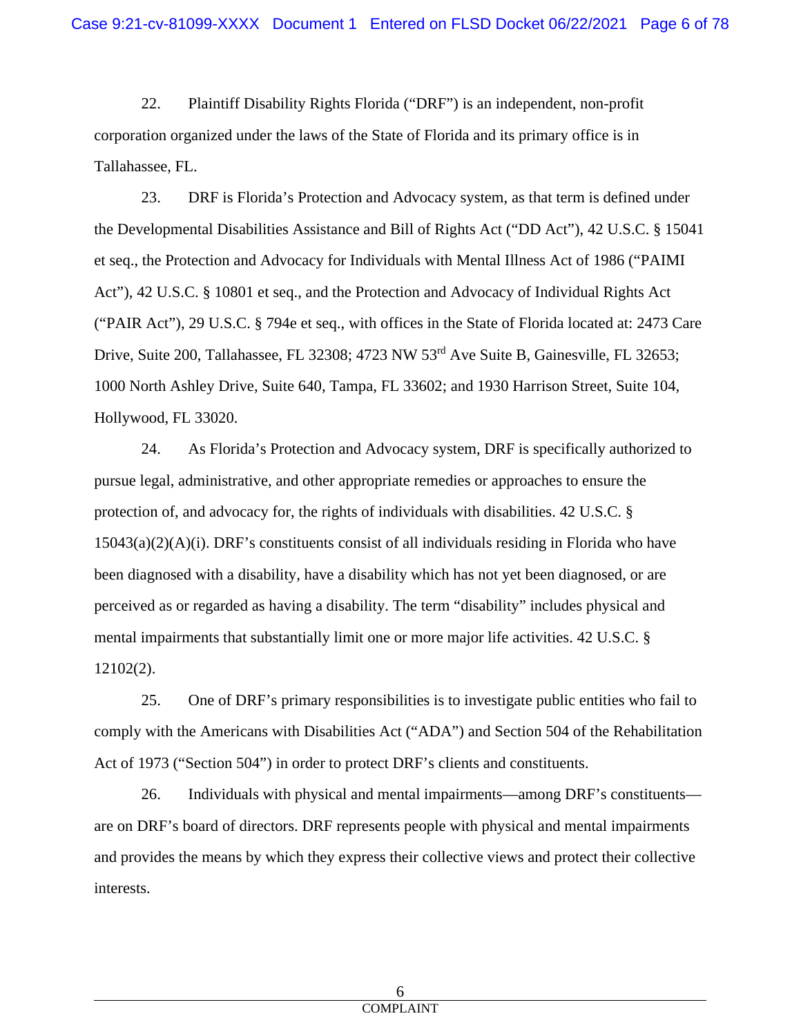22. Plaintiff Disability Rights Florida ("DRF") is an independent, non-profit corporation organized under the laws of the State of Florida and its primary office is in Tallahassee, FL.

23. DRF is Florida's Protection and Advocacy system, as that term is defined under the Developmental Disabilities Assistance and Bill of Rights Act ("DD Act"), 42 U.S.C. § 15041 et seq., the Protection and Advocacy for Individuals with Mental Illness Act of 1986 ("PAIMI Act"), 42 U.S.C. § 10801 et seq., and the Protection and Advocacy of Individual Rights Act ("PAIR Act"), 29 U.S.C. § 794e et seq., with offices in the State of Florida located at: 2473 Care Drive, Suite 200, Tallahassee, FL 32308; 4723 NW 53<sup>rd</sup> Ave Suite B, Gainesville, FL 32653; 1000 North Ashley Drive, Suite 640, Tampa, FL 33602; and 1930 Harrison Street, Suite 104, Hollywood, FL 33020.

24. As Florida's Protection and Advocacy system, DRF is specifically authorized to pursue legal, administrative, and other appropriate remedies or approaches to ensure the protection of, and advocacy for, the rights of individuals with disabilities. 42 U.S.C. §  $15043(a)(2)(A)(i)$ . DRF's constituents consist of all individuals residing in Florida who have been diagnosed with a disability, have a disability which has not yet been diagnosed, or are perceived as or regarded as having a disability. The term "disability" includes physical and mental impairments that substantially limit one or more major life activities. 42 U.S.C. § 12102(2).

25. One of DRF's primary responsibilities is to investigate public entities who fail to comply with the Americans with Disabilities Act ("ADA") and Section 504 of the Rehabilitation Act of 1973 ("Section 504") in order to protect DRF's clients and constituents.

26. Individuals with physical and mental impairments—among DRF's constituents are on DRF's board of directors. DRF represents people with physical and mental impairments and provides the means by which they express their collective views and protect their collective interests.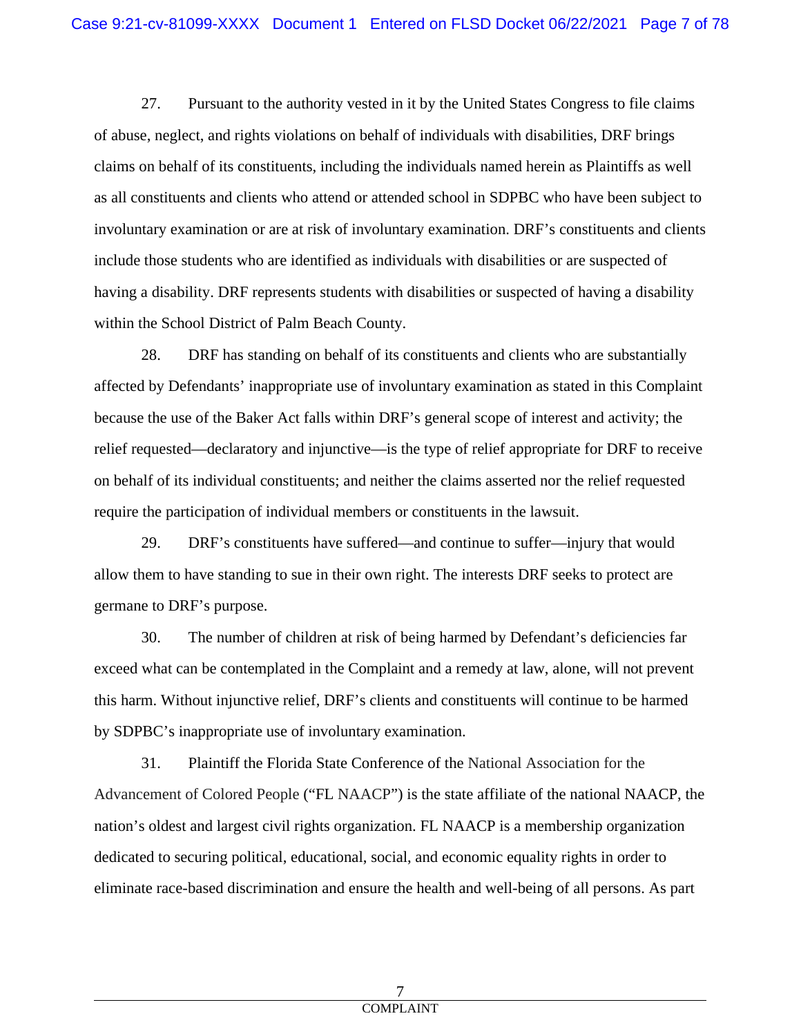27. Pursuant to the authority vested in it by the United States Congress to file claims of abuse, neglect, and rights violations on behalf of individuals with disabilities, DRF brings claims on behalf of its constituents, including the individuals named herein as Plaintiffs as well as all constituents and clients who attend or attended school in SDPBC who have been subject to involuntary examination or are at risk of involuntary examination. DRF's constituents and clients include those students who are identified as individuals with disabilities or are suspected of having a disability. DRF represents students with disabilities or suspected of having a disability within the School District of Palm Beach County.

28. DRF has standing on behalf of its constituents and clients who are substantially affected by Defendants' inappropriate use of involuntary examination as stated in this Complaint because the use of the Baker Act falls within DRF's general scope of interest and activity; the relief requested—declaratory and injunctive—is the type of relief appropriate for DRF to receive on behalf of its individual constituents; and neither the claims asserted nor the relief requested require the participation of individual members or constituents in the lawsuit.

29. DRF's constituents have suffered—and continue to suffer—injury that would allow them to have standing to sue in their own right. The interests DRF seeks to protect are germane to DRF's purpose.

30. The number of children at risk of being harmed by Defendant's deficiencies far exceed what can be contemplated in the Complaint and a remedy at law, alone, will not prevent this harm. Without injunctive relief, DRF's clients and constituents will continue to be harmed by SDPBC's inappropriate use of involuntary examination.

31. Plaintiff the Florida State Conference of the National Association for the Advancement of Colored People ("FL NAACP") is the state affiliate of the national NAACP, the nation's oldest and largest civil rights organization. FL NAACP is a membership organization dedicated to securing political, educational, social, and economic equality rights in order to eliminate race-based discrimination and ensure the health and well-being of all persons. As part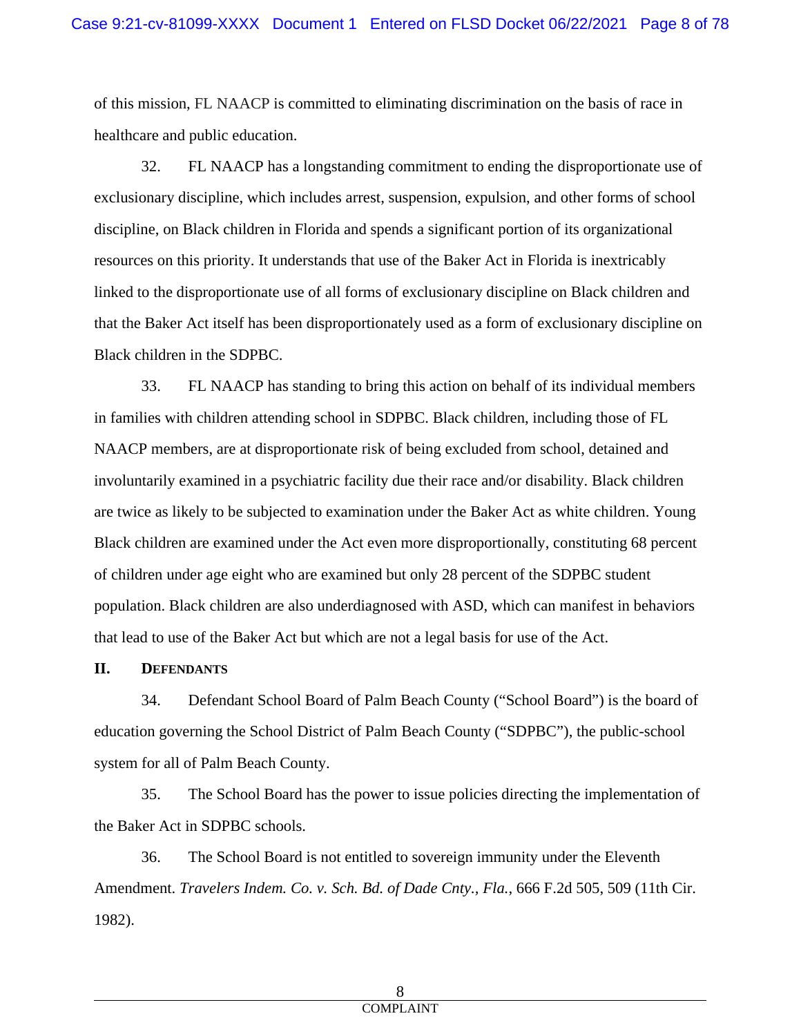of this mission, FL NAACP is committed to eliminating discrimination on the basis of race in healthcare and public education.

32. FL NAACP has a longstanding commitment to ending the disproportionate use of exclusionary discipline, which includes arrest, suspension, expulsion, and other forms of school discipline, on Black children in Florida and spends a significant portion of its organizational resources on this priority. It understands that use of the Baker Act in Florida is inextricably linked to the disproportionate use of all forms of exclusionary discipline on Black children and that the Baker Act itself has been disproportionately used as a form of exclusionary discipline on Black children in the SDPBC.

33. FL NAACP has standing to bring this action on behalf of its individual members in families with children attending school in SDPBC. Black children, including those of FL NAACP members, are at disproportionate risk of being excluded from school, detained and involuntarily examined in a psychiatric facility due their race and/or disability. Black children are twice as likely to be subjected to examination under the Baker Act as white children. Young Black children are examined under the Act even more disproportionally, constituting 68 percent of children under age eight who are examined but only 28 percent of the SDPBC student population. Black children are also underdiagnosed with ASD, which can manifest in behaviors that lead to use of the Baker Act but which are not a legal basis for use of the Act.

## **II. DEFENDANTS**

34. Defendant School Board of Palm Beach County ("School Board") is the board of education governing the School District of Palm Beach County ("SDPBC"), the public-school system for all of Palm Beach County.

35. The School Board has the power to issue policies directing the implementation of the Baker Act in SDPBC schools.

36. The School Board is not entitled to sovereign immunity under the Eleventh Amendment. *Travelers Indem. Co. v. Sch. Bd. of Dade Cnty., Fla.*, 666 F.2d 505, 509 (11th Cir. 1982).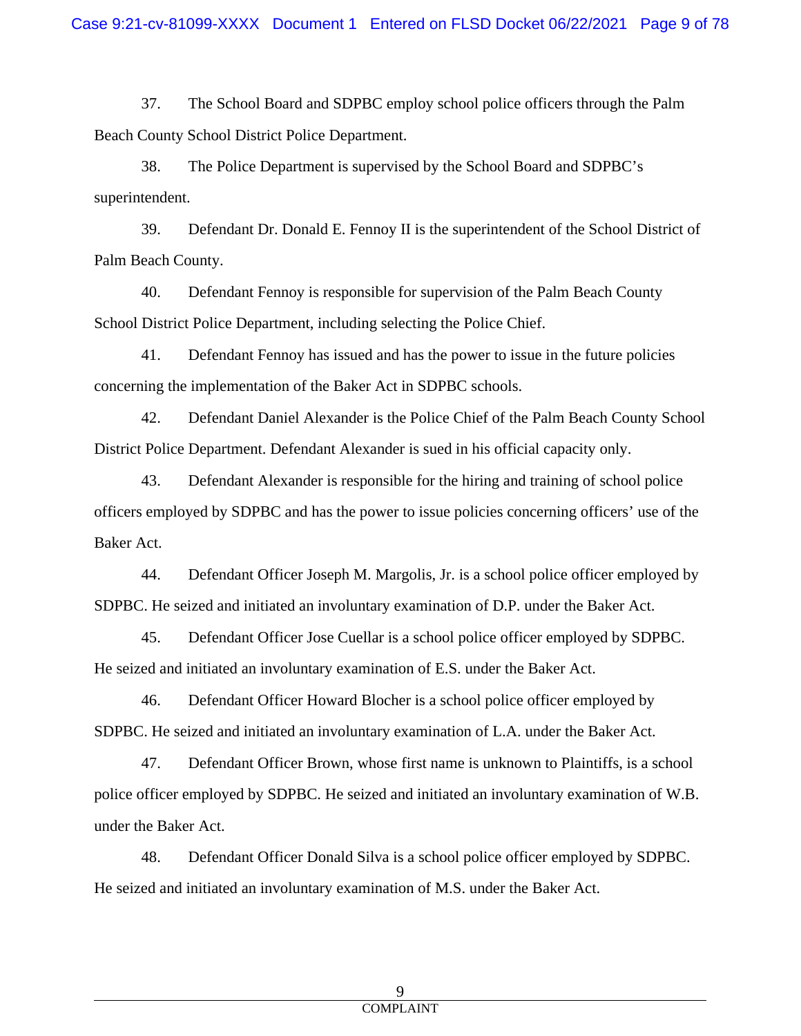37. The School Board and SDPBC employ school police officers through the Palm Beach County School District Police Department.

38. The Police Department is supervised by the School Board and SDPBC's superintendent.

39. Defendant Dr. Donald E. Fennoy II is the superintendent of the School District of Palm Beach County.

40. Defendant Fennoy is responsible for supervision of the Palm Beach County School District Police Department, including selecting the Police Chief.

41. Defendant Fennoy has issued and has the power to issue in the future policies concerning the implementation of the Baker Act in SDPBC schools.

42. Defendant Daniel Alexander is the Police Chief of the Palm Beach County School District Police Department. Defendant Alexander is sued in his official capacity only.

43. Defendant Alexander is responsible for the hiring and training of school police officers employed by SDPBC and has the power to issue policies concerning officers' use of the Baker Act.

44. Defendant Officer Joseph M. Margolis, Jr. is a school police officer employed by SDPBC. He seized and initiated an involuntary examination of D.P. under the Baker Act.

45. Defendant Officer Jose Cuellar is a school police officer employed by SDPBC. He seized and initiated an involuntary examination of E.S. under the Baker Act.

46. Defendant Officer Howard Blocher is a school police officer employed by SDPBC. He seized and initiated an involuntary examination of L.A. under the Baker Act.

47. Defendant Officer Brown, whose first name is unknown to Plaintiffs, is a school police officer employed by SDPBC. He seized and initiated an involuntary examination of W.B. under the Baker Act.

48. Defendant Officer Donald Silva is a school police officer employed by SDPBC. He seized and initiated an involuntary examination of M.S. under the Baker Act.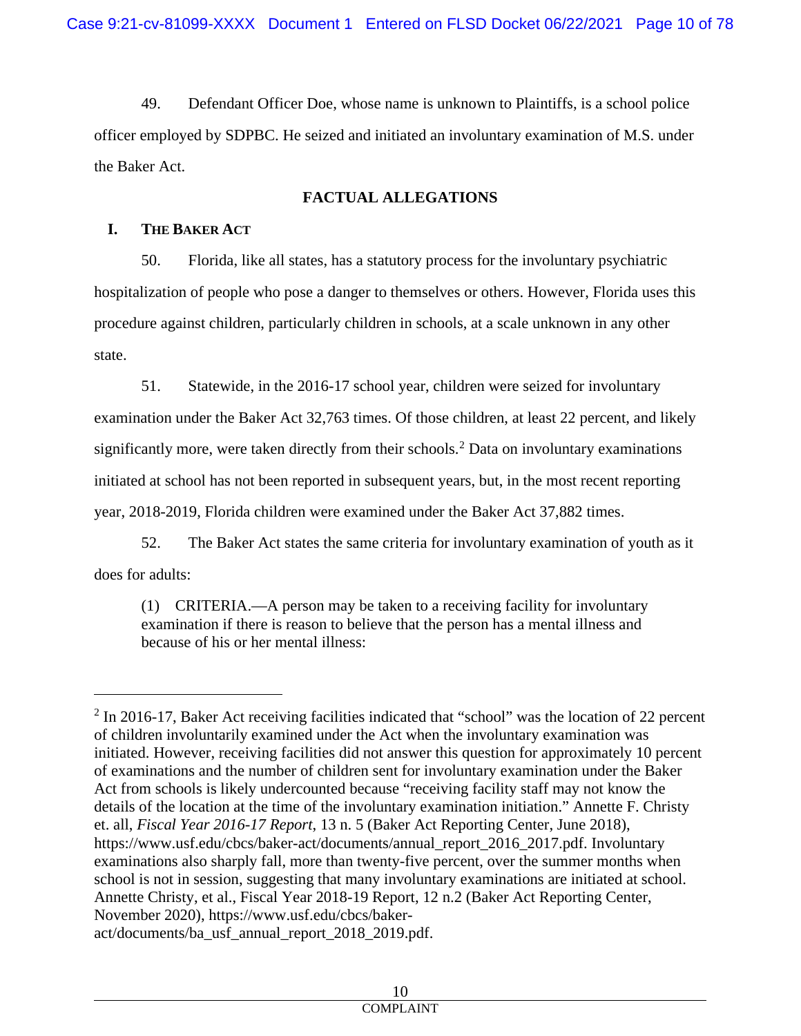49. Defendant Officer Doe, whose name is unknown to Plaintiffs, is a school police officer employed by SDPBC. He seized and initiated an involuntary examination of M.S. under the Baker Act.

# **FACTUAL ALLEGATIONS**

# **I. THE BAKER ACT**

50. Florida, like all states, has a statutory process for the involuntary psychiatric hospitalization of people who pose a danger to themselves or others. However, Florida uses this procedure against children, particularly children in schools, at a scale unknown in any other state.

51. Statewide, in the 2016-17 school year, children were seized for involuntary examination under the Baker Act 32,763 times. Of those children, at least 22 percent, and likely significantly more, were taken directly from their schools.<sup>[2](#page-9-0)</sup> Data on involuntary examinations initiated at school has not been reported in subsequent years, but, in the most recent reporting year, 2018-2019, Florida children were examined under the Baker Act 37,882 times.

52. The Baker Act states the same criteria for involuntary examination of youth as it does for adults:

(1) CRITERIA.—A person may be taken to a receiving facility for involuntary examination if there is reason to believe that the person has a mental illness and because of his or her mental illness:

<span id="page-9-0"></span> $2$  In 2016-17, Baker Act receiving facilities indicated that "school" was the location of 22 percent of children involuntarily examined under the Act when the involuntary examination was initiated. However, receiving facilities did not answer this question for approximately 10 percent of examinations and the number of children sent for involuntary examination under the Baker Act from schools is likely undercounted because "receiving facility staff may not know the details of the location at the time of the involuntary examination initiation." Annette F. Christy et. all, *Fiscal Year 2016-17 Report*, 13 n. 5 (Baker Act Reporting Center, June 2018), https://www.usf.edu/cbcs/baker-act/documents/annual\_report\_2016\_2017.pdf. Involuntary examinations also sharply fall, more than twenty-five percent, over the summer months when school is not in session, suggesting that many involuntary examinations are initiated at school. Annette Christy, et al., Fiscal Year 2018-19 Report, 12 n.2 (Baker Act Reporting Center, November 2020), https://www.usf.edu/cbcs/bakeract/documents/ba\_usf\_annual\_report\_2018\_2019.pdf.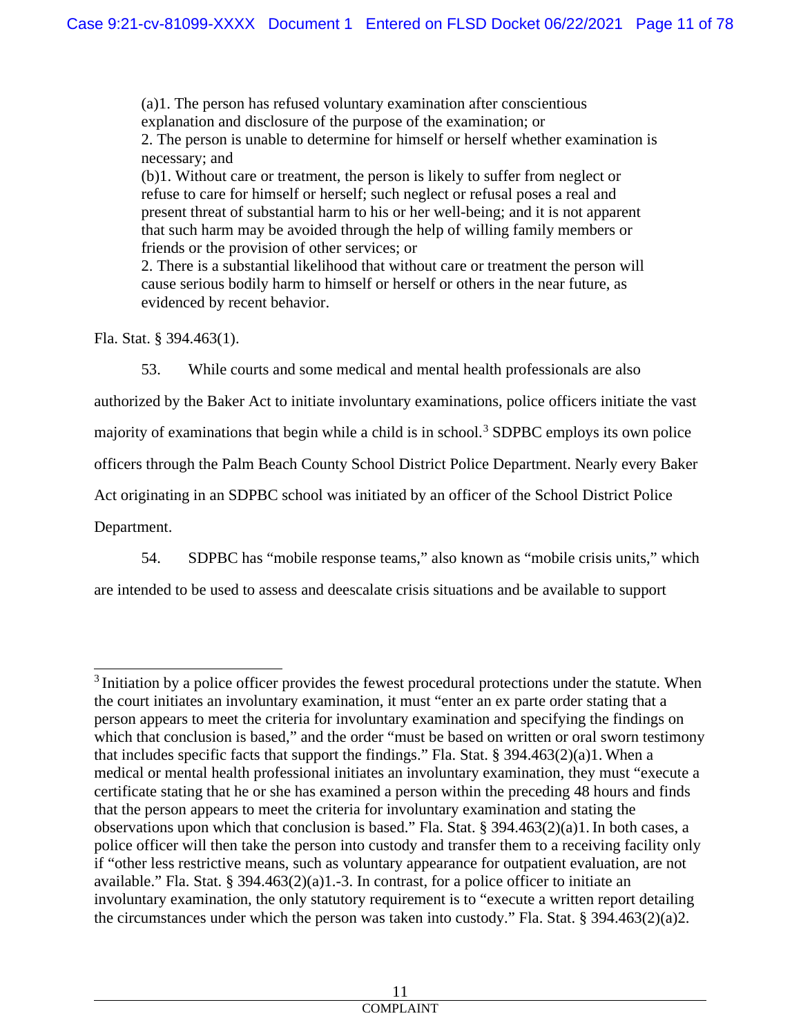(a)1. The person has refused voluntary examination after conscientious explanation and disclosure of the purpose of the examination; or 2. The person is unable to determine for himself or herself whether examination is necessary; and (b)1. Without care or treatment, the person is likely to suffer from neglect or refuse to care for himself or herself; such neglect or refusal poses a real and present threat of substantial harm to his or her well-being; and it is not apparent that such harm may be avoided through the help of willing family members or friends or the provision of other services; or 2. There is a substantial likelihood that without care or treatment the person will

cause serious bodily harm to himself or herself or others in the near future, as evidenced by recent behavior.

Fla. Stat. § 394.463(1).

53. While courts and some medical and mental health professionals are also authorized by the Baker Act to initiate involuntary examinations, police officers initiate the vast majority of examinations that begin while a child is in school.<sup>[3](#page-10-0)</sup> SDPBC employs its own police officers through the Palm Beach County School District Police Department. Nearly every Baker Act originating in an SDPBC school was initiated by an officer of the School District Police Department.

54. SDPBC has "mobile response teams," also known as "mobile crisis units," which are intended to be used to assess and deescalate crisis situations and be available to support

<span id="page-10-0"></span><sup>&</sup>lt;sup>3</sup> Initiation by a police officer provides the fewest procedural protections under the statute. When the court initiates an involuntary examination, it must "enter an ex parte order stating that a person appears to meet the criteria for involuntary examination and specifying the findings on which that conclusion is based," and the order "must be based on written or oral sworn testimony that includes specific facts that support the findings." Fla. Stat.  $\S$  394.463(2)(a)1. When a medical or mental health professional initiates an involuntary examination, they must "execute a certificate stating that he or she has examined a person within the preceding 48 hours and finds that the person appears to meet the criteria for involuntary examination and stating the observations upon which that conclusion is based." Fla. Stat. § 394.463(2)(a)1.In both cases, a police officer will then take the person into custody and transfer them to a receiving facility only if "other less restrictive means, such as voluntary appearance for outpatient evaluation, are not available." Fla. Stat. § 394.463 $(2)(a)$ 1.-3. In contrast, for a police officer to initiate an involuntary examination, the only statutory requirement is to "execute a written report detailing the circumstances under which the person was taken into custody." Fla. Stat. § 394.463(2)(a)2.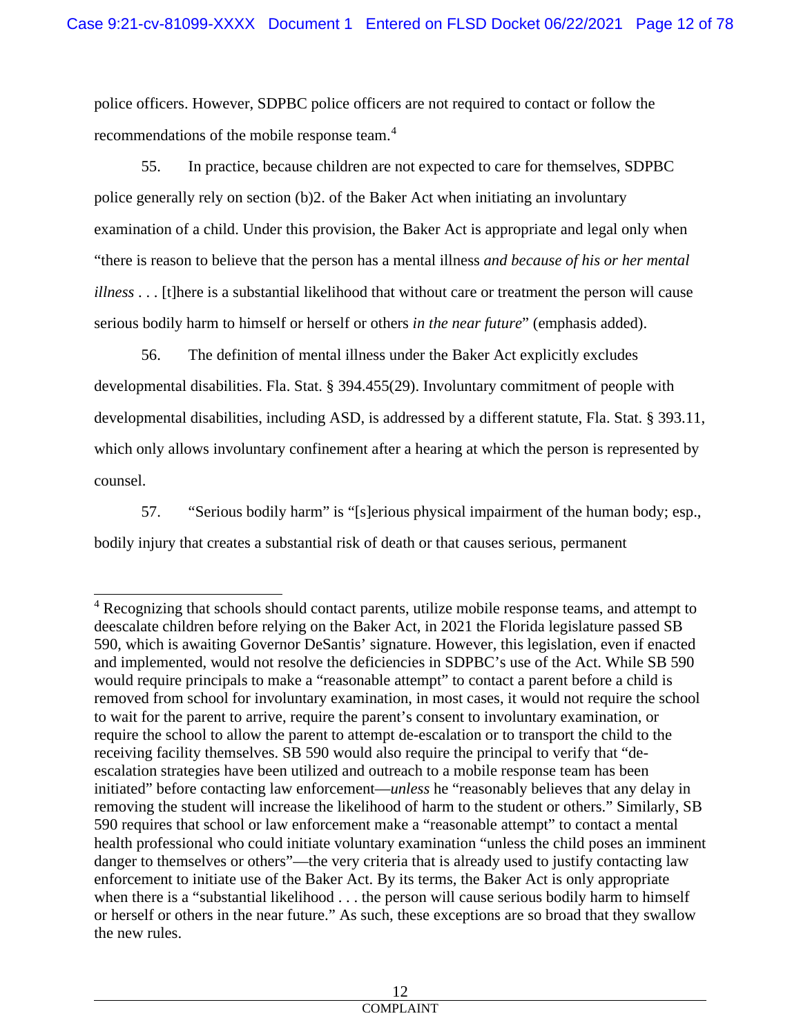police officers. However, SDPBC police officers are not required to contact or follow the recommendations of the mobile response team.<sup>[4](#page-11-0)</sup>

55. In practice, because children are not expected to care for themselves, SDPBC police generally rely on section (b)2. of the Baker Act when initiating an involuntary examination of a child. Under this provision, the Baker Act is appropriate and legal only when "there is reason to believe that the person has a mental illness *and because of his or her mental illness* . . . [t]here is a substantial likelihood that without care or treatment the person will cause serious bodily harm to himself or herself or others *in the near future*" (emphasis added).

56. The definition of mental illness under the Baker Act explicitly excludes developmental disabilities. Fla. Stat. § 394.455(29). Involuntary commitment of people with developmental disabilities, including ASD, is addressed by a different statute, Fla. Stat. § 393.11, which only allows involuntary confinement after a hearing at which the person is represented by counsel.

57. "Serious bodily harm" is "[s]erious physical impairment of the human body; esp., bodily injury that creates a substantial risk of death or that causes serious, permanent

<span id="page-11-0"></span><sup>&</sup>lt;sup>4</sup> Recognizing that schools should contact parents, utilize mobile response teams, and attempt to deescalate children before relying on the Baker Act, in 2021 the Florida legislature passed SB 590, which is awaiting Governor DeSantis' signature. However, this legislation, even if enacted and implemented, would not resolve the deficiencies in SDPBC's use of the Act. While SB 590 would require principals to make a "reasonable attempt" to contact a parent before a child is removed from school for involuntary examination, in most cases, it would not require the school to wait for the parent to arrive, require the parent's consent to involuntary examination, or require the school to allow the parent to attempt de-escalation or to transport the child to the receiving facility themselves. SB 590 would also require the principal to verify that "deescalation strategies have been utilized and outreach to a mobile response team has been initiated" before contacting law enforcement—*unless* he "reasonably believes that any delay in removing the student will increase the likelihood of harm to the student or others." Similarly, SB 590 requires that school or law enforcement make a "reasonable attempt" to contact a mental health professional who could initiate voluntary examination "unless the child poses an imminent danger to themselves or others"—the very criteria that is already used to justify contacting law enforcement to initiate use of the Baker Act. By its terms, the Baker Act is only appropriate when there is a "substantial likelihood . . . the person will cause serious bodily harm to himself or herself or others in the near future." As such, these exceptions are so broad that they swallow the new rules.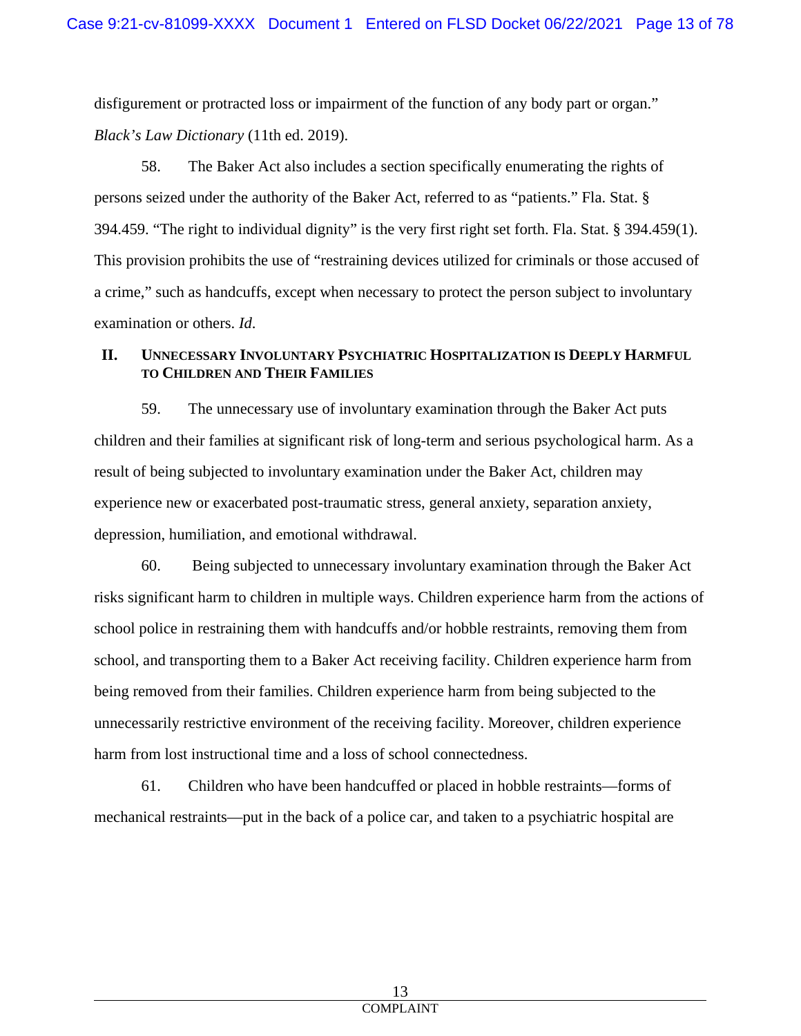disfigurement or protracted loss or impairment of the function of any body part or organ." *Black's Law Dictionary* (11th ed. 2019).

58. The Baker Act also includes a section specifically enumerating the rights of persons seized under the authority of the Baker Act, referred to as "patients." Fla. Stat. § 394.459. "The right to individual dignity" is the very first right set forth. Fla. Stat. § 394.459(1). This provision prohibits the use of "restraining devices utilized for criminals or those accused of a crime," such as handcuffs, except when necessary to protect the person subject to involuntary examination or others. *Id*.

# **II. UNNECESSARY INVOLUNTARY PSYCHIATRIC HOSPITALIZATION IS DEEPLY HARMFUL TO CHILDREN AND THEIR FAMILIES**

59. The unnecessary use of involuntary examination through the Baker Act puts children and their families at significant risk of long-term and serious psychological harm. As a result of being subjected to involuntary examination under the Baker Act, children may experience new or exacerbated post-traumatic stress, general anxiety, separation anxiety, depression, humiliation, and emotional withdrawal.

60. Being subjected to unnecessary involuntary examination through the Baker Act risks significant harm to children in multiple ways. Children experience harm from the actions of school police in restraining them with handcuffs and/or hobble restraints, removing them from school, and transporting them to a Baker Act receiving facility. Children experience harm from being removed from their families. Children experience harm from being subjected to the unnecessarily restrictive environment of the receiving facility. Moreover, children experience harm from lost instructional time and a loss of school connectedness.

61. Children who have been handcuffed or placed in hobble restraints—forms of mechanical restraints—put in the back of a police car, and taken to a psychiatric hospital are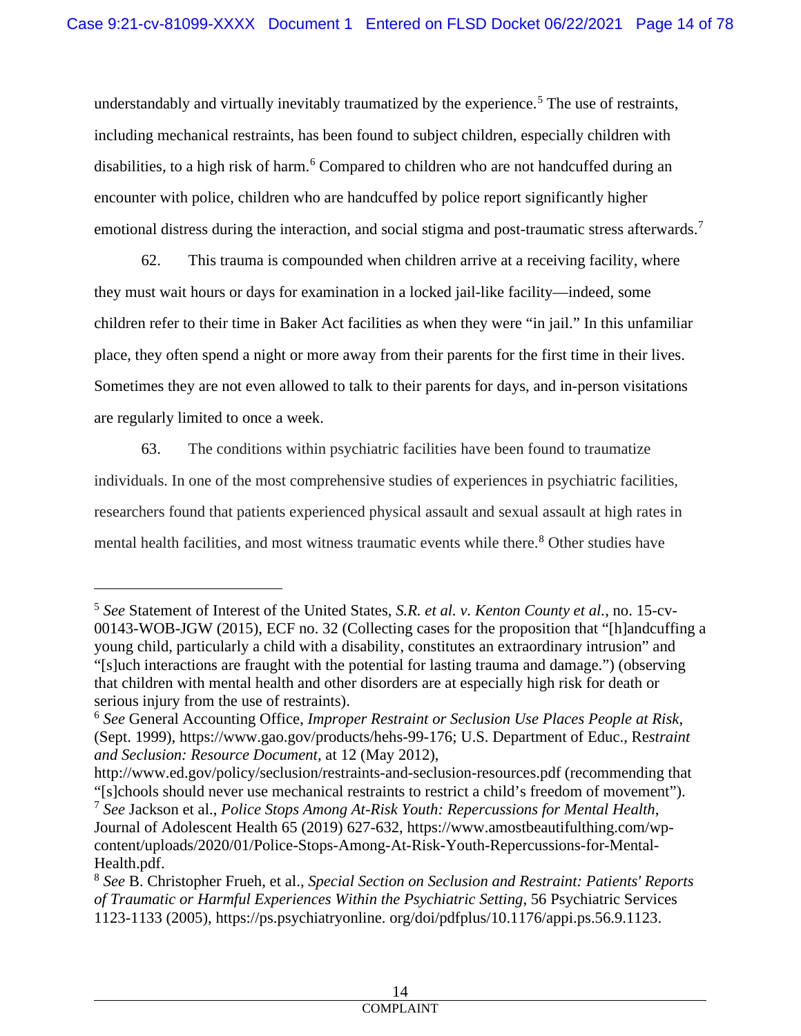understandably and virtually inevitably traumatized by the experience.<sup>[5](#page-13-0)</sup> The use of restraints, including mechanical restraints, has been found to subject children, especially children with disabilities, to a high risk of harm.<sup>[6](#page-13-1)</sup> Compared to children who are not handcuffed during an encounter with police, children who are handcuffed by police report significantly higher emotional distress during the interaction, and social stigma and post-traumatic stress afterwards.<sup>[7](#page-13-2)</sup>

62. This trauma is compounded when children arrive at a receiving facility, where they must wait hours or days for examination in a locked jail-like facility—indeed, some children refer to their time in Baker Act facilities as when they were "in jail." In this unfamiliar place, they often spend a night or more away from their parents for the first time in their lives. Sometimes they are not even allowed to talk to their parents for days, and in-person visitations are regularly limited to once a week.

63. The conditions within psychiatric facilities have been found to traumatize individuals. In one of the most comprehensive studies of experiences in psychiatric facilities, researchers found that patients experienced physical assault and sexual assault at high rates in mental health facilities, and most witness traumatic events while there.<sup>[8](#page-13-3)</sup> Other studies have

<span id="page-13-0"></span><sup>5</sup> *See* Statement of Interest of the United States, *S.R. et al. v. Kenton County et al.*, no. 15-cv-00143-WOB-JGW (2015), ECF no. 32 (Collecting cases for the proposition that "[h]andcuffing a young child, particularly a child with a disability, constitutes an extraordinary intrusion" and "[s]uch interactions are fraught with the potential for lasting trauma and damage.") (observing that children with mental health and other disorders are at especially high risk for death or serious injury from the use of restraints).

<span id="page-13-1"></span><sup>6</sup> *See* General Accounting Office, *Improper Restraint or Seclusion Use Places People at Risk*, (Sept. 1999), https://www.gao.gov/products/hehs-99-176; U.S. Department of Educ., Re*straint and Seclusion: Resource Document,* at 12 (May 2012),

http://www.ed.gov/policy/seclusion/restraints-and-seclusion-resources.pdf (recommending that "[s]chools should never use mechanical restraints to restrict a child's freedom of movement").

<span id="page-13-2"></span><sup>7</sup> *See* Jackson et al., *Police Stops Among At-Risk Youth: Repercussions for Mental Health*, Journal of Adolescent Health 65 (2019) 627-632, https://www.amostbeautifulthing.com/wpcontent/uploads/2020/01/Police-Stops-Among-At-Risk-Youth-Repercussions-for-Mental-Health.pdf.

<span id="page-13-3"></span><sup>8</sup> *See* B. Christopher Frueh, et al., *Special Section on Seclusion and Restraint: Patients' Reports of Traumatic or Harmful Experiences Within the Psychiatric Setting*, 56 Psychiatric Services 1123-1133 (2005), https://ps.psychiatryonline. org/doi/pdfplus/10.1176/appi.ps.56.9.1123.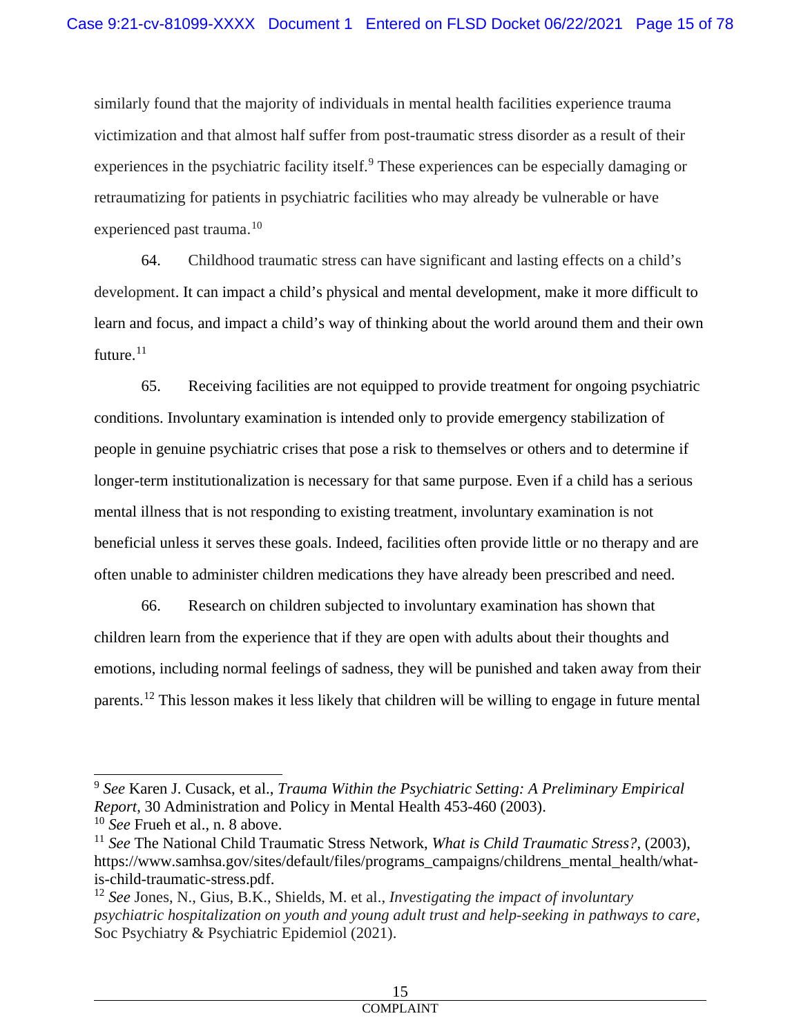similarly found that the majority of individuals in mental health facilities experience trauma victimization and that almost half suffer from post-traumatic stress disorder as a result of their experiences in the psychiatric facility itself.<sup>[9](#page-14-0)</sup> These experiences can be especially damaging or retraumatizing for patients in psychiatric facilities who may already be vulnerable or have experienced past trauma. [10](#page-14-1)

64. Childhood traumatic stress can have significant and lasting effects on a child's development. It can impact a child's physical and mental development, make it more difficult to learn and focus, and impact a child's way of thinking about the world around them and their own future. $11$ 

65. Receiving facilities are not equipped to provide treatment for ongoing psychiatric conditions. Involuntary examination is intended only to provide emergency stabilization of people in genuine psychiatric crises that pose a risk to themselves or others and to determine if longer-term institutionalization is necessary for that same purpose. Even if a child has a serious mental illness that is not responding to existing treatment, involuntary examination is not beneficial unless it serves these goals. Indeed, facilities often provide little or no therapy and are often unable to administer children medications they have already been prescribed and need.

66. Research on children subjected to involuntary examination has shown that children learn from the experience that if they are open with adults about their thoughts and emotions, including normal feelings of sadness, they will be punished and taken away from their parents.[12](#page-14-3) This lesson makes it less likely that children will be willing to engage in future mental

<span id="page-14-0"></span><sup>9</sup> *See* Karen J. Cusack, et al., *Trauma Within the Psychiatric Setting: A Preliminary Empirical Report*, 30 Administration and Policy in Mental Health 453-460 (2003).

<span id="page-14-1"></span><sup>10</sup> *See* Frueh et al., n. 8 above.

<span id="page-14-2"></span><sup>11</sup> *See* The National Child Traumatic Stress Network, *What is Child Traumatic Stress?*, (2003), https://www.samhsa.gov/sites/default/files/programs\_campaigns/childrens\_mental\_health/whatis-child-traumatic-stress.pdf.

<span id="page-14-3"></span><sup>12</sup> *See* Jones, N., Gius, B.K., Shields, M. et al., *Investigating the impact of involuntary psychiatric hospitalization on youth and young adult trust and help-seeking in pathways to care*, Soc Psychiatry & Psychiatric Epidemiol (2021).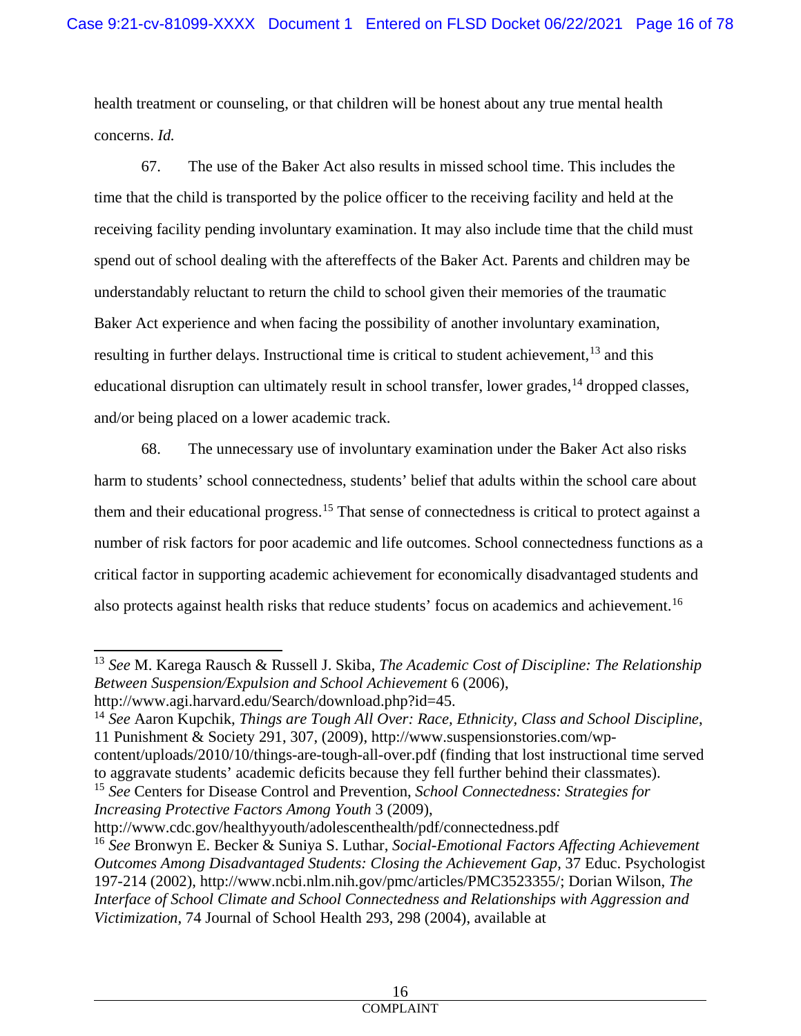health treatment or counseling, or that children will be honest about any true mental health concerns. *Id.*

67. The use of the Baker Act also results in missed school time. This includes the time that the child is transported by the police officer to the receiving facility and held at the receiving facility pending involuntary examination. It may also include time that the child must spend out of school dealing with the aftereffects of the Baker Act. Parents and children may be understandably reluctant to return the child to school given their memories of the traumatic Baker Act experience and when facing the possibility of another involuntary examination, resulting in further delays. Instructional time is critical to student achievement, <sup>[13](#page-15-0)</sup> and this educational disruption can ultimately result in school transfer, lower grades, <sup>[14](#page-15-1)</sup> dropped classes, and/or being placed on a lower academic track.

68. The unnecessary use of involuntary examination under the Baker Act also risks harm to students' school connectedness, students' belief that adults within the school care about them and their educational progress.[15](#page-15-2) That sense of connectedness is critical to protect against a number of risk factors for poor academic and life outcomes. School connectedness functions as a critical factor in supporting academic achievement for economically disadvantaged students and also protects against health risks that reduce students' focus on academics and achievement.<sup>[16](#page-15-3)</sup>

<span id="page-15-0"></span><sup>13</sup> *See* M. Karega Rausch & Russell J. Skiba, *The Academic Cost of Discipline: The Relationship Between Suspension/Expulsion and School Achievement* 6 (2006), [http://www.agi.harvard.edu/Search/download.php?id=45.](http://www.agi.harvard.edu/Search/download.php?id=45)

<span id="page-15-1"></span><sup>14</sup> *See* Aaron Kupchik, *Things are Tough All Over: Race, Ethnicity, Class and School Discipline*, 11 Punishment & Society 291, 307, (2009), [http://www.suspensionstories.com/wp](http://www.suspensionstories.com/wp-)content/uploads/2010/10/things-are-tough-all-over.pdf (finding that lost instructional time served

<span id="page-15-2"></span>to aggravate students' academic deficits because they fell further behind their classmates). <sup>15</sup> *See* Centers for Disease Control and Prevention, *School Connectedness: Strategies for Increasing Protective Factors Among Youth* 3 (2009),

<http://www.cdc.gov/healthyyouth/adolescenthealth/pdf/connectedness.pdf>

<span id="page-15-3"></span><sup>16</sup> *See* Bronwyn E. Becker & Suniya S. Luthar, *Social-Emotional Factors Affecting Achievement Outcomes Among Disadvantaged Students: Closing the Achievement Gap*, 37 Educ. Psychologist 197-214 (2002), http://www.ncbi.nlm.nih.gov/pmc/articles/PMC3523355/; Dorian Wilson, *The Interface of School Climate and School Connectedness and Relationships with Aggression and Victimization*, 74 Journal of School Health 293, 298 (2004), available at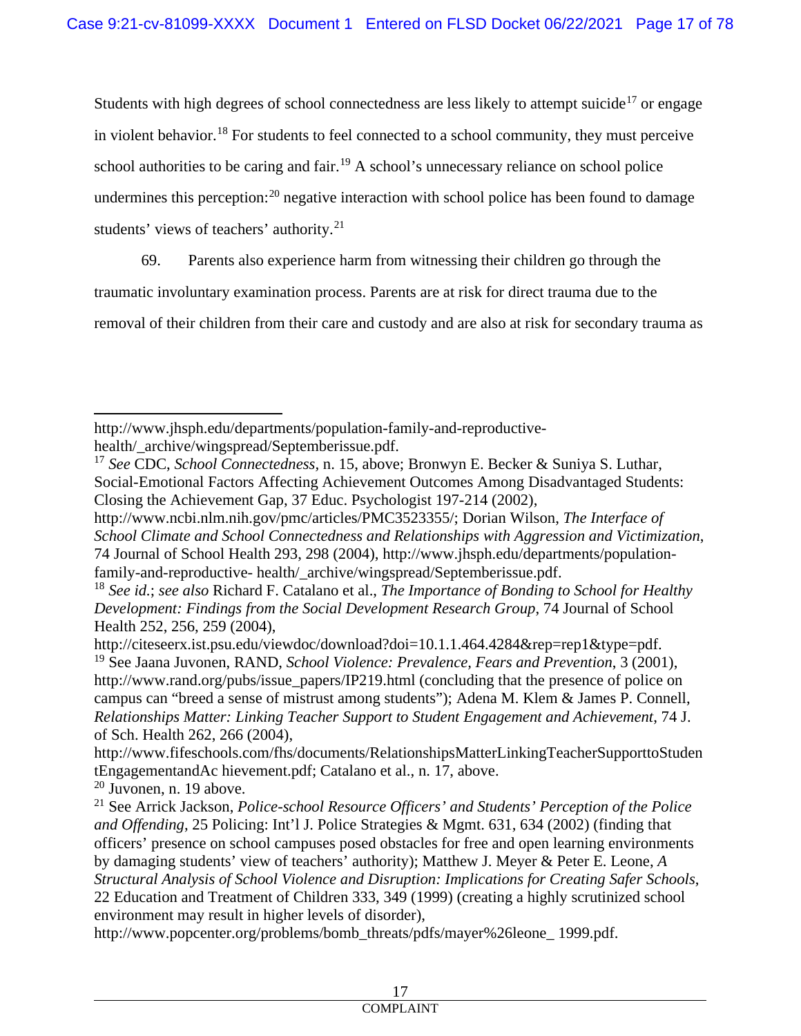Students with high degrees of school connectedness are less likely to attempt suicide<sup>[17](#page-16-0)</sup> or engage in violent behavior.<sup>[18](#page-16-1)</sup> For students to feel connected to a school community, they must perceive school authorities to be caring and fair.<sup>[19](#page-16-2)</sup> A school's unnecessary reliance on school police undermines this perception:<sup>[20](#page-16-3)</sup> negative interaction with school police has been found to damage students' views of teachers' authority.<sup>[21](#page-16-4)</sup>

69. Parents also experience harm from witnessing their children go through the

traumatic involuntary examination process. Parents are at risk for direct trauma due to the

removal of their children from their care and custody and are also at risk for secondary trauma as

<span id="page-16-3"></span> $20$  Juvonen, n. 19 above.

http://www.jhsph.edu/departments/population-family-and-reproductivehealth/\_archive/wingspread/Septemberissue.pdf.

<span id="page-16-0"></span><sup>17</sup> *See* CDC, *School Connectedness,* n. 15, above; Bronwyn E. Becker & Suniya S. Luthar, Social-Emotional Factors Affecting Achievement Outcomes Among Disadvantaged Students: Closing the Achievement Gap, 37 Educ. Psychologist 197-214 (2002),

http://www.ncbi.nlm.nih.gov/pmc/articles/PMC3523355/; Dorian Wilson, *The Interface of School Climate and School Connectedness and Relationships with Aggression and Victimization*, 74 Journal of School Health 293, 298 (2004), http://www.jhsph.edu/departments/populationfamily-and-reproductive- health/ archive/wingspread/Septemberissue.pdf.

<span id="page-16-1"></span><sup>18</sup> *See id.*; *see also* Richard F. Catalano et al., *The Importance of Bonding to School for Healthy Development: Findings from the Social Development Research Group*, 74 Journal of School Health 252, 256, 259 (2004),

<span id="page-16-2"></span>http://citeseerx.ist.psu.edu/viewdoc/download?doi=10.1.1.464.4284&rep=rep1&type=pdf. <sup>19</sup> See Jaana Juvonen, RAND, *School Violence: Prevalence, Fears and Prevention*, 3 (2001), http://www.rand.org/pubs/issue\_papers/IP219.html (concluding that the presence of police on campus can "breed a sense of mistrust among students"); Adena M. Klem & James P. Connell, *Relationships Matter: Linking Teacher Support to Student Engagement and Achievement*, 74 J. of Sch. Health 262, 266 (2004),

http://www.fifeschools.com/fhs/documents/RelationshipsMatterLinkingTeacherSupporttoStuden tEngagementandAc hievement.pdf; Catalano et al., n. 17, above.

<span id="page-16-4"></span><sup>21</sup> See Arrick Jackson, *Police-school Resource Officers' and Students' Perception of the Police and Offending*, 25 Policing: Int'l J. Police Strategies & Mgmt. 631, 634 (2002) (finding that officers' presence on school campuses posed obstacles for free and open learning environments by damaging students' view of teachers' authority); Matthew J. Meyer & Peter E. Leone, *A Structural Analysis of School Violence and Disruption: Implications for Creating Safer Schools*, 22 Education and Treatment of Children 333, 349 (1999) (creating a highly scrutinized school environment may result in higher levels of disorder),

http://www.popcenter.org/problems/bomb\_threats/pdfs/mayer%26leone\_ 1999.pdf.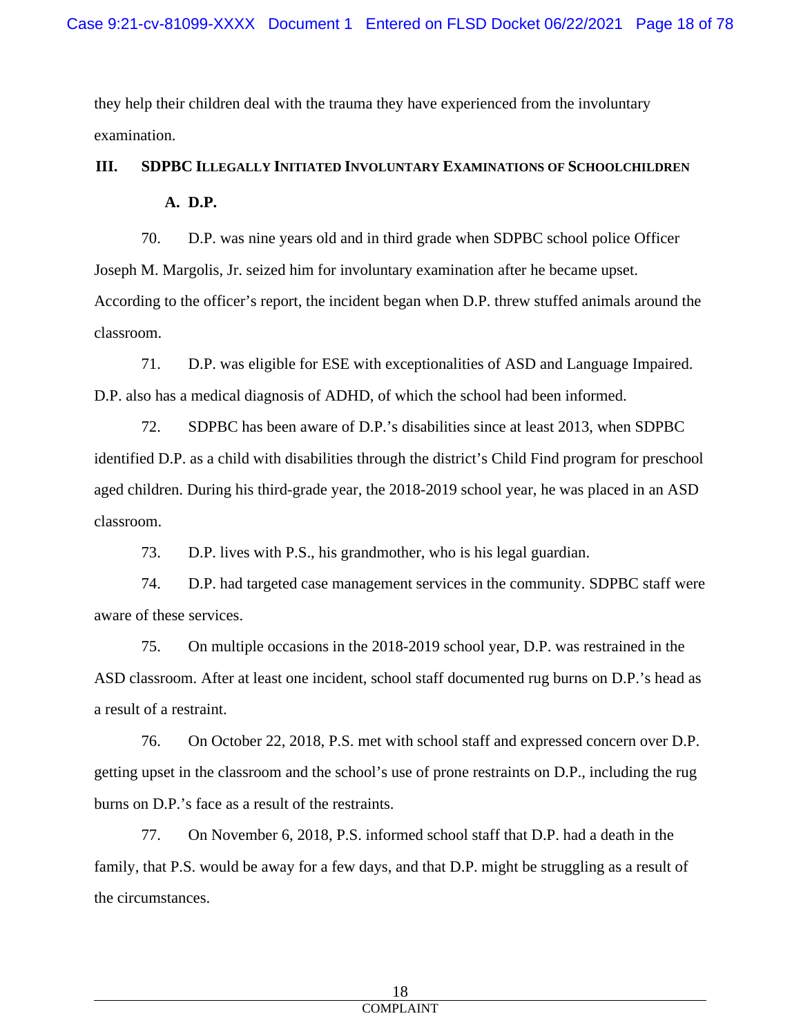they help their children deal with the trauma they have experienced from the involuntary examination.

# **III. SDPBC ILLEGALLY INITIATED INVOLUNTARY EXAMINATIONS OF SCHOOLCHILDREN A. D.P.**

70. D.P. was nine years old and in third grade when SDPBC school police Officer Joseph M. Margolis, Jr. seized him for involuntary examination after he became upset. According to the officer's report, the incident began when D.P. threw stuffed animals around the classroom.

71. D.P. was eligible for ESE with exceptionalities of ASD and Language Impaired. D.P. also has a medical diagnosis of ADHD, of which the school had been informed.

72. SDPBC has been aware of D.P.'s disabilities since at least 2013, when SDPBC identified D.P. as a child with disabilities through the district's Child Find program for preschool aged children. During his third-grade year, the 2018-2019 school year, he was placed in an ASD classroom.

73. D.P. lives with P.S., his grandmother, who is his legal guardian.

74. D.P. had targeted case management services in the community. SDPBC staff were aware of these services.

75. On multiple occasions in the 2018-2019 school year, D.P. was restrained in the ASD classroom. After at least one incident, school staff documented rug burns on D.P.'s head as a result of a restraint.

76. On October 22, 2018, P.S. met with school staff and expressed concern over D.P. getting upset in the classroom and the school's use of prone restraints on D.P., including the rug burns on D.P.'s face as a result of the restraints.

77. On November 6, 2018, P.S. informed school staff that D.P. had a death in the family, that P.S. would be away for a few days, and that D.P. might be struggling as a result of the circumstances.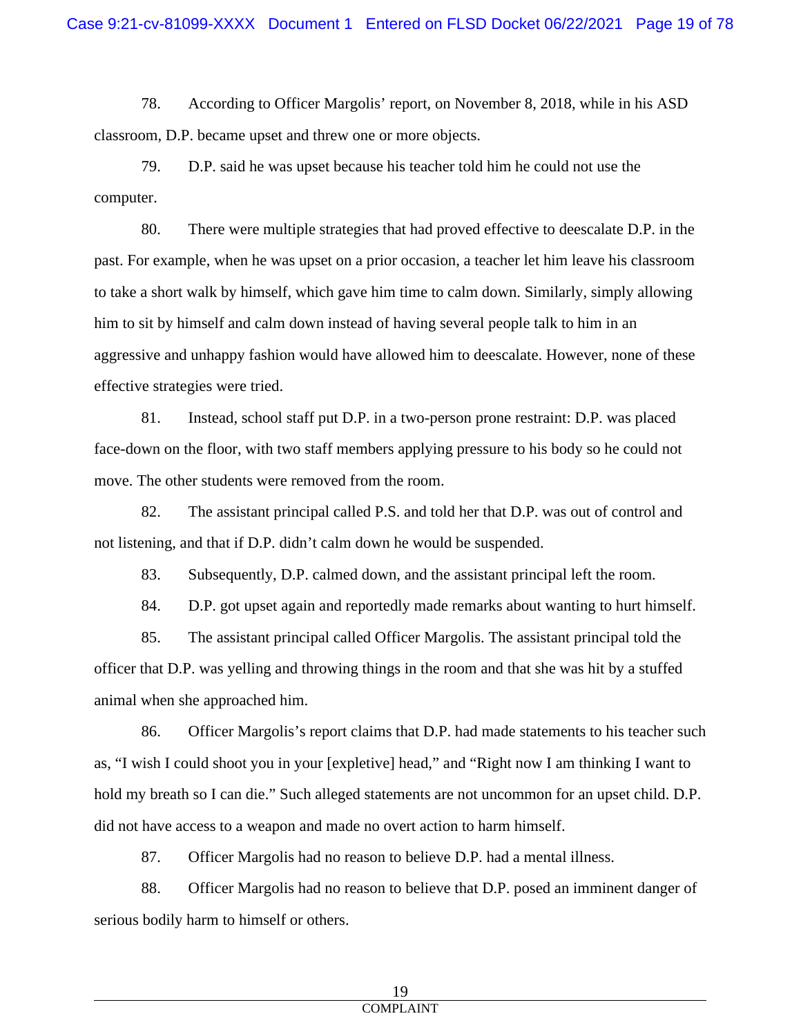78. According to Officer Margolis' report, on November 8, 2018, while in his ASD classroom, D.P. became upset and threw one or more objects.

79. D.P. said he was upset because his teacher told him he could not use the computer.

80. There were multiple strategies that had proved effective to deescalate D.P. in the past. For example, when he was upset on a prior occasion, a teacher let him leave his classroom to take a short walk by himself, which gave him time to calm down. Similarly, simply allowing him to sit by himself and calm down instead of having several people talk to him in an aggressive and unhappy fashion would have allowed him to deescalate. However, none of these effective strategies were tried.

81. Instead, school staff put D.P. in a two-person prone restraint: D.P. was placed face-down on the floor, with two staff members applying pressure to his body so he could not move. The other students were removed from the room.

82. The assistant principal called P.S. and told her that D.P. was out of control and not listening, and that if D.P. didn't calm down he would be suspended.

83. Subsequently, D.P. calmed down, and the assistant principal left the room.

84. D.P. got upset again and reportedly made remarks about wanting to hurt himself.

85. The assistant principal called Officer Margolis. The assistant principal told the officer that D.P. was yelling and throwing things in the room and that she was hit by a stuffed animal when she approached him.

86. Officer Margolis's report claims that D.P. had made statements to his teacher such as, "I wish I could shoot you in your [expletive] head," and "Right now I am thinking I want to hold my breath so I can die." Such alleged statements are not uncommon for an upset child. D.P. did not have access to a weapon and made no overt action to harm himself.

87. Officer Margolis had no reason to believe D.P. had a mental illness.

88. Officer Margolis had no reason to believe that D.P. posed an imminent danger of serious bodily harm to himself or others.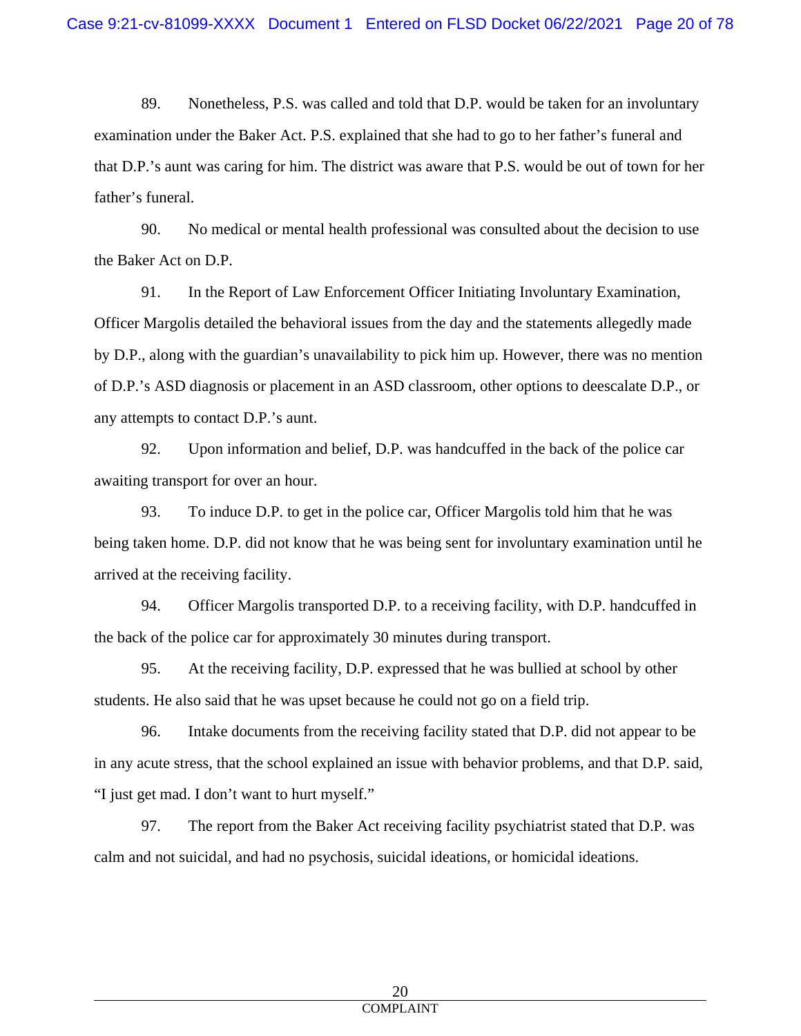89. Nonetheless, P.S. was called and told that D.P. would be taken for an involuntary examination under the Baker Act. P.S. explained that she had to go to her father's funeral and that D.P.'s aunt was caring for him. The district was aware that P.S. would be out of town for her father's funeral.

90. No medical or mental health professional was consulted about the decision to use the Baker Act on D.P.

91. In the Report of Law Enforcement Officer Initiating Involuntary Examination, Officer Margolis detailed the behavioral issues from the day and the statements allegedly made by D.P., along with the guardian's unavailability to pick him up. However, there was no mention of D.P.'s ASD diagnosis or placement in an ASD classroom, other options to deescalate D.P., or any attempts to contact D.P.'s aunt.

92. Upon information and belief, D.P. was handcuffed in the back of the police car awaiting transport for over an hour.

93. To induce D.P. to get in the police car, Officer Margolis told him that he was being taken home. D.P. did not know that he was being sent for involuntary examination until he arrived at the receiving facility.

94. Officer Margolis transported D.P. to a receiving facility, with D.P. handcuffed in the back of the police car for approximately 30 minutes during transport.

95. At the receiving facility, D.P. expressed that he was bullied at school by other students. He also said that he was upset because he could not go on a field trip.

96. Intake documents from the receiving facility stated that D.P. did not appear to be in any acute stress, that the school explained an issue with behavior problems, and that D.P. said, "I just get mad. I don't want to hurt myself."

97. The report from the Baker Act receiving facility psychiatrist stated that D.P. was calm and not suicidal, and had no psychosis, suicidal ideations, or homicidal ideations.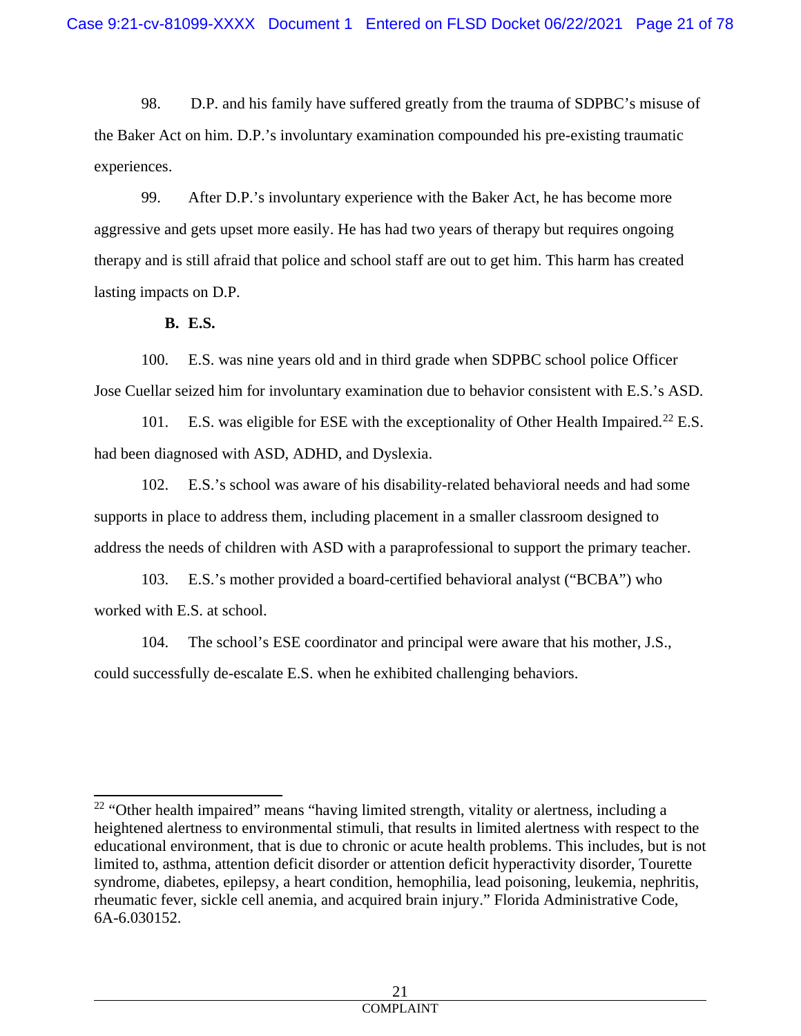98. D.P. and his family have suffered greatly from the trauma of SDPBC's misuse of the Baker Act on him. D.P.'s involuntary examination compounded his pre-existing traumatic experiences.

99. After D.P.'s involuntary experience with the Baker Act, he has become more aggressive and gets upset more easily. He has had two years of therapy but requires ongoing therapy and is still afraid that police and school staff are out to get him. This harm has created lasting impacts on D.P.

**B. E.S.**

100. E.S. was nine years old and in third grade when SDPBC school police Officer Jose Cuellar seized him for involuntary examination due to behavior consistent with E.S.'s ASD.

101. E.S. was eligible for ESE with the exceptionality of Other Health Impaired.<sup>[22](#page-20-0)</sup> E.S. had been diagnosed with ASD, ADHD, and Dyslexia.

102. E.S.'s school was aware of his disability-related behavioral needs and had some supports in place to address them, including placement in a smaller classroom designed to address the needs of children with ASD with a paraprofessional to support the primary teacher.

103. E.S.'s mother provided a board-certified behavioral analyst ("BCBA") who worked with E.S. at school.

104. The school's ESE coordinator and principal were aware that his mother, J.S., could successfully de-escalate E.S. when he exhibited challenging behaviors.

<span id="page-20-0"></span> $22$  "Other health impaired" means "having limited strength, vitality or alertness, including a heightened alertness to environmental stimuli, that results in limited alertness with respect to the educational environment, that is due to chronic or acute health problems. This includes, but is not limited to, asthma, attention deficit disorder or attention deficit hyperactivity disorder, Tourette syndrome, diabetes, epilepsy, a heart condition, hemophilia, lead poisoning, leukemia, nephritis, rheumatic fever, sickle cell anemia, and acquired brain injury." Florida Administrative Code, 6A-6.030152.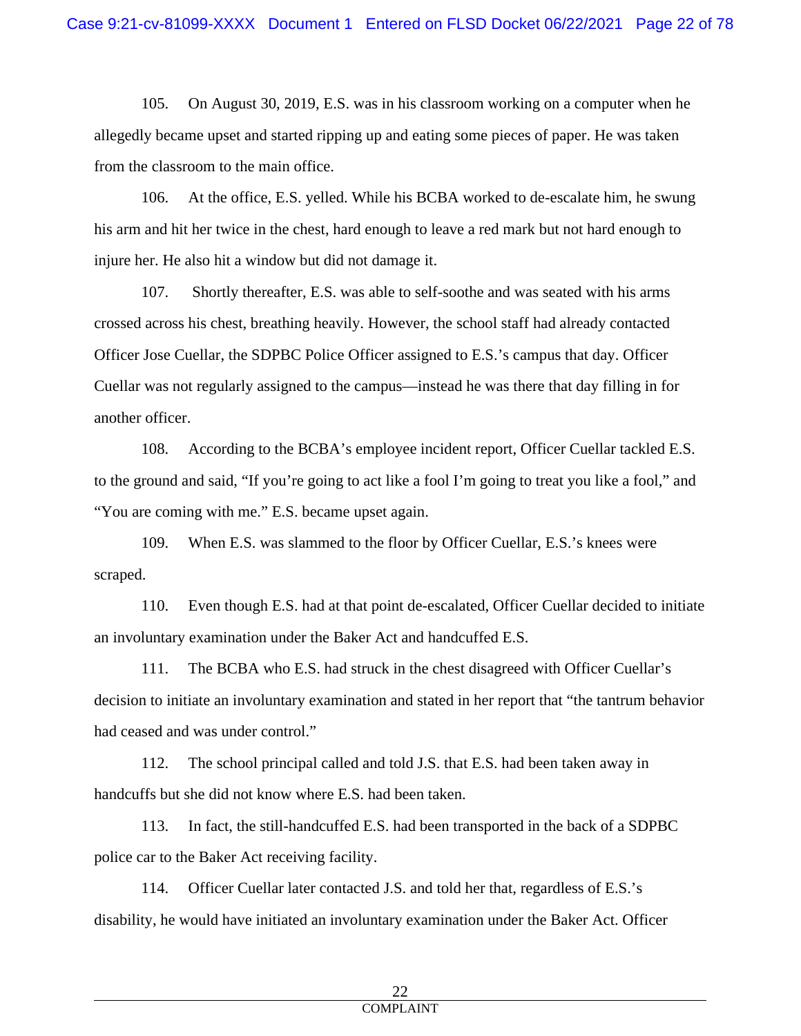105. On August 30, 2019, E.S. was in his classroom working on a computer when he allegedly became upset and started ripping up and eating some pieces of paper. He was taken from the classroom to the main office.

106. At the office, E.S. yelled. While his BCBA worked to de-escalate him, he swung his arm and hit her twice in the chest, hard enough to leave a red mark but not hard enough to injure her. He also hit a window but did not damage it.

107. Shortly thereafter, E.S. was able to self-soothe and was seated with his arms crossed across his chest, breathing heavily. However, the school staff had already contacted Officer Jose Cuellar, the SDPBC Police Officer assigned to E.S.'s campus that day. Officer Cuellar was not regularly assigned to the campus—instead he was there that day filling in for another officer.

108. According to the BCBA's employee incident report, Officer Cuellar tackled E.S. to the ground and said, "If you're going to act like a fool I'm going to treat you like a fool," and "You are coming with me." E.S. became upset again.

109. When E.S. was slammed to the floor by Officer Cuellar, E.S.'s knees were scraped.

110. Even though E.S. had at that point de-escalated, Officer Cuellar decided to initiate an involuntary examination under the Baker Act and handcuffed E.S.

111. The BCBA who E.S. had struck in the chest disagreed with Officer Cuellar's decision to initiate an involuntary examination and stated in her report that "the tantrum behavior had ceased and was under control."

112. The school principal called and told J.S. that E.S. had been taken away in handcuffs but she did not know where E.S. had been taken.

113. In fact, the still-handcuffed E.S. had been transported in the back of a SDPBC police car to the Baker Act receiving facility.

114. Officer Cuellar later contacted J.S. and told her that, regardless of E.S.'s disability, he would have initiated an involuntary examination under the Baker Act. Officer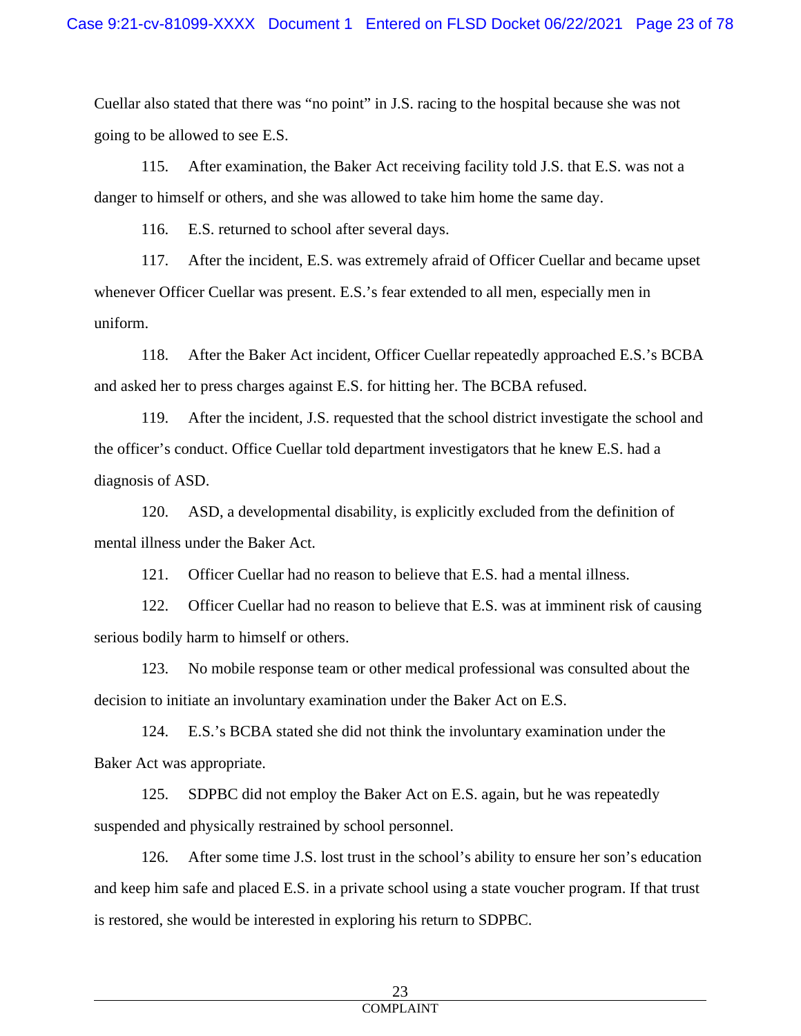Cuellar also stated that there was "no point" in J.S. racing to the hospital because she was not going to be allowed to see E.S.

115. After examination, the Baker Act receiving facility told J.S. that E.S. was not a danger to himself or others, and she was allowed to take him home the same day.

116. E.S. returned to school after several days.

117. After the incident, E.S. was extremely afraid of Officer Cuellar and became upset whenever Officer Cuellar was present. E.S.'s fear extended to all men, especially men in uniform.

118. After the Baker Act incident, Officer Cuellar repeatedly approached E.S.'s BCBA and asked her to press charges against E.S. for hitting her. The BCBA refused.

119. After the incident, J.S. requested that the school district investigate the school and the officer's conduct. Office Cuellar told department investigators that he knew E.S. had a diagnosis of ASD.

120. ASD, a developmental disability, is explicitly excluded from the definition of mental illness under the Baker Act.

121. Officer Cuellar had no reason to believe that E.S. had a mental illness.

122. Officer Cuellar had no reason to believe that E.S. was at imminent risk of causing serious bodily harm to himself or others.

123. No mobile response team or other medical professional was consulted about the decision to initiate an involuntary examination under the Baker Act on E.S.

124. E.S.'s BCBA stated she did not think the involuntary examination under the Baker Act was appropriate.

125. SDPBC did not employ the Baker Act on E.S. again, but he was repeatedly suspended and physically restrained by school personnel.

126. After some time J.S. lost trust in the school's ability to ensure her son's education and keep him safe and placed E.S. in a private school using a state voucher program. If that trust is restored, she would be interested in exploring his return to SDPBC.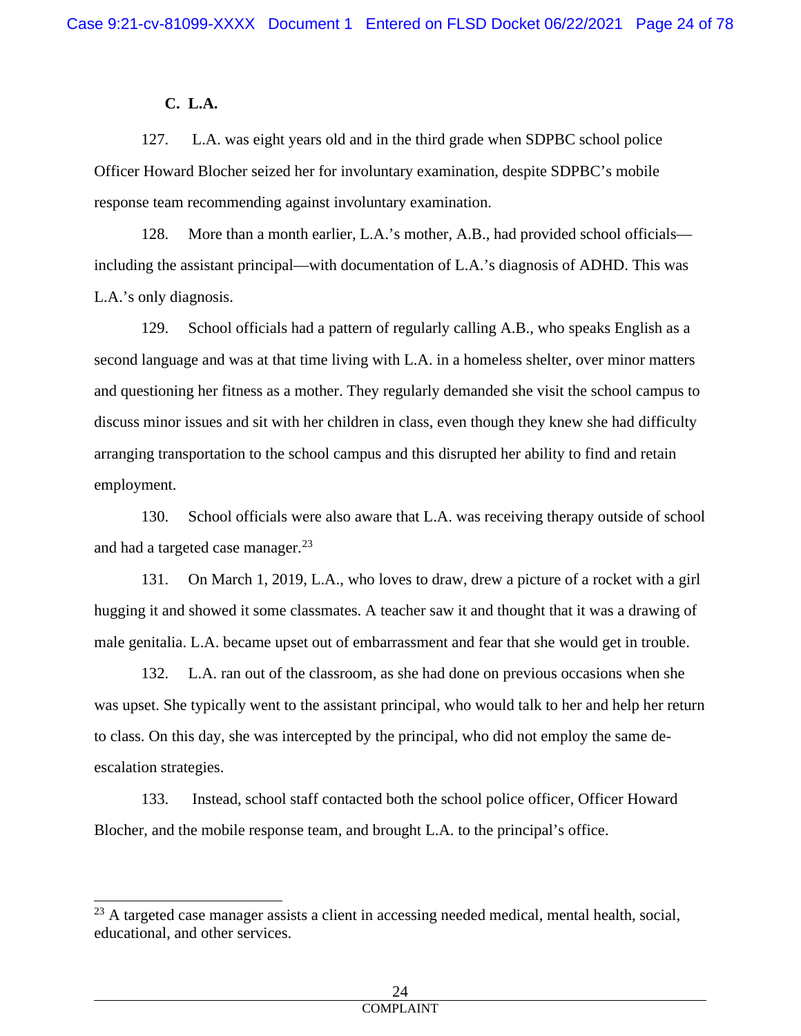# **C. L.A.**

127. L.A. was eight years old and in the third grade when SDPBC school police Officer Howard Blocher seized her for involuntary examination, despite SDPBC's mobile response team recommending against involuntary examination.

128. More than a month earlier, L.A.'s mother, A.B., had provided school officials including the assistant principal—with documentation of L.A.'s diagnosis of ADHD. This was L.A.'s only diagnosis.

129. School officials had a pattern of regularly calling A.B., who speaks English as a second language and was at that time living with L.A. in a homeless shelter, over minor matters and questioning her fitness as a mother. They regularly demanded she visit the school campus to discuss minor issues and sit with her children in class, even though they knew she had difficulty arranging transportation to the school campus and this disrupted her ability to find and retain employment.

130. School officials were also aware that L.A. was receiving therapy outside of school and had a targeted case manager.<sup>[23](#page-23-0)</sup>

131. On March 1, 2019, L.A., who loves to draw, drew a picture of a rocket with a girl hugging it and showed it some classmates. A teacher saw it and thought that it was a drawing of male genitalia. L.A. became upset out of embarrassment and fear that she would get in trouble.

132. L.A. ran out of the classroom, as she had done on previous occasions when she was upset. She typically went to the assistant principal, who would talk to her and help her return to class. On this day, she was intercepted by the principal, who did not employ the same deescalation strategies.

133. Instead, school staff contacted both the school police officer, Officer Howard Blocher, and the mobile response team, and brought L.A. to the principal's office.

<span id="page-23-0"></span> $23$  A targeted case manager assists a client in accessing needed medical, mental health, social, educational, and other services.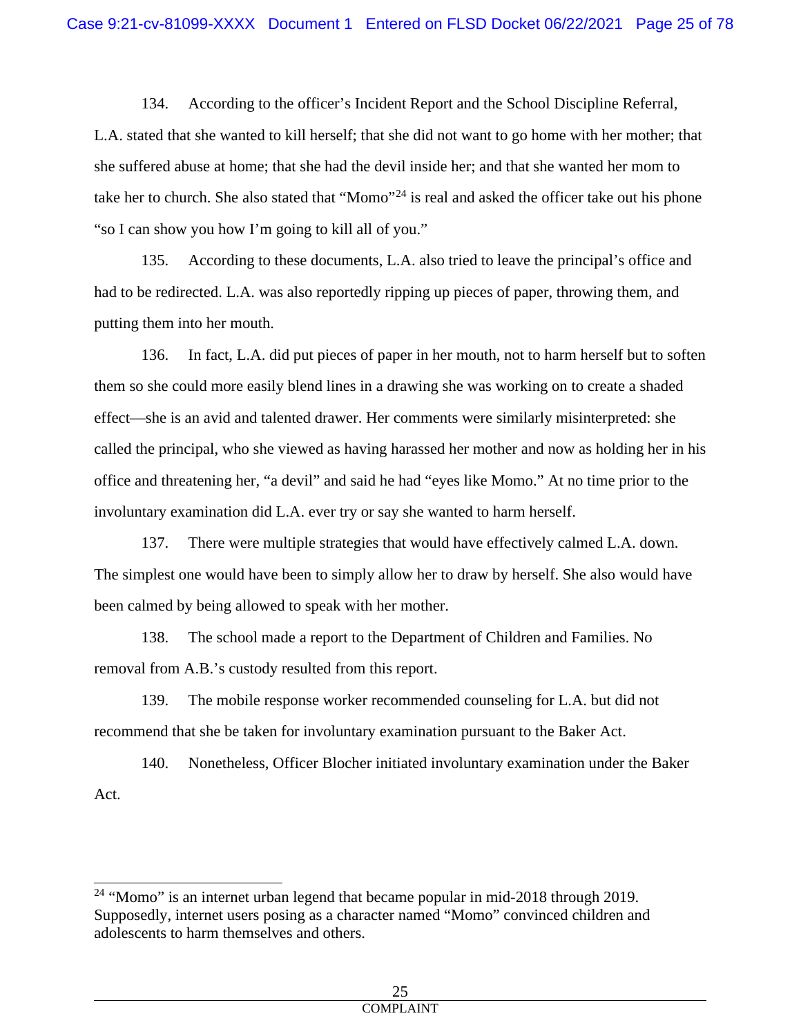134. According to the officer's Incident Report and the School Discipline Referral, L.A. stated that she wanted to kill herself; that she did not want to go home with her mother; that she suffered abuse at home; that she had the devil inside her; and that she wanted her mom to take her to church. She also stated that "Momo"<sup>[24](#page-24-0)</sup> is real and asked the officer take out his phone "so I can show you how I'm going to kill all of you."

135. According to these documents, L.A. also tried to leave the principal's office and had to be redirected. L.A. was also reportedly ripping up pieces of paper, throwing them, and putting them into her mouth.

136. In fact, L.A. did put pieces of paper in her mouth, not to harm herself but to soften them so she could more easily blend lines in a drawing she was working on to create a shaded effect—she is an avid and talented drawer. Her comments were similarly misinterpreted: she called the principal, who she viewed as having harassed her mother and now as holding her in his office and threatening her, "a devil" and said he had "eyes like Momo." At no time prior to the involuntary examination did L.A. ever try or say she wanted to harm herself.

137. There were multiple strategies that would have effectively calmed L.A. down. The simplest one would have been to simply allow her to draw by herself. She also would have been calmed by being allowed to speak with her mother.

138. The school made a report to the Department of Children and Families. No removal from A.B.'s custody resulted from this report.

139. The mobile response worker recommended counseling for L.A. but did not recommend that she be taken for involuntary examination pursuant to the Baker Act.

140. Nonetheless, Officer Blocher initiated involuntary examination under the Baker Act.

<span id="page-24-0"></span><sup>&</sup>lt;sup>24</sup> "Momo" is an internet urban legend that became popular in mid-2018 through 2019. Supposedly, internet users posing as a character named "Momo" convinced children and adolescents to harm themselves and others.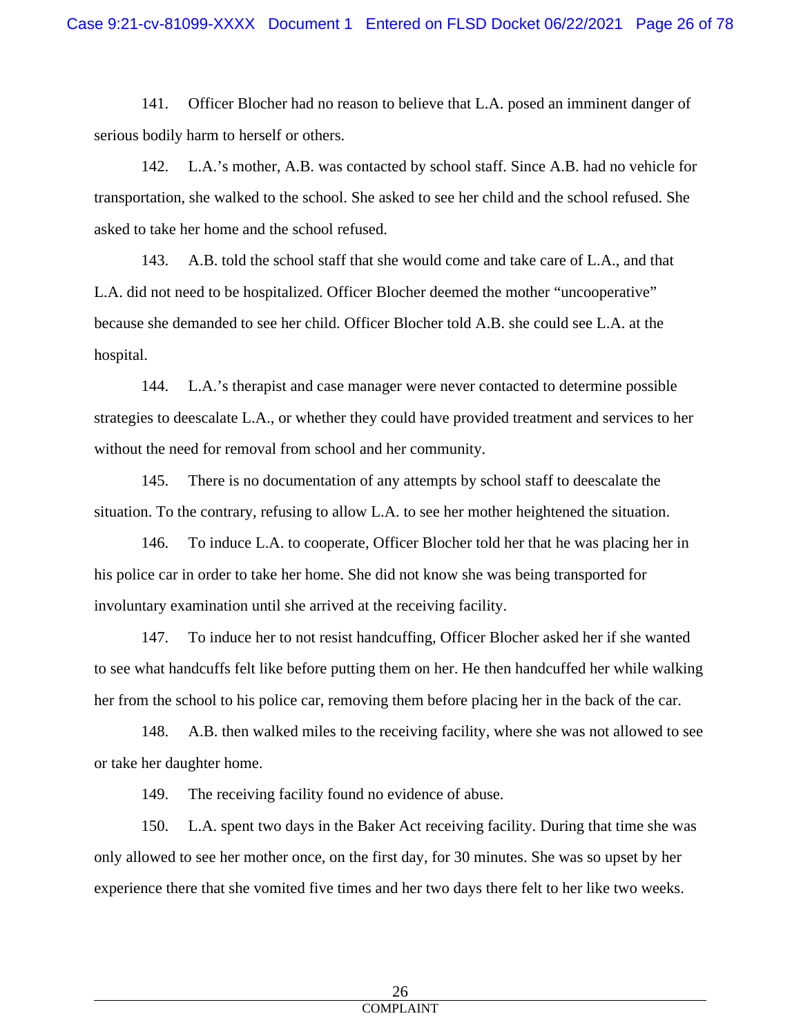141. Officer Blocher had no reason to believe that L.A. posed an imminent danger of serious bodily harm to herself or others.

142. L.A.'s mother, A.B. was contacted by school staff. Since A.B. had no vehicle for transportation, she walked to the school. She asked to see her child and the school refused. She asked to take her home and the school refused.

143. A.B. told the school staff that she would come and take care of L.A., and that L.A. did not need to be hospitalized. Officer Blocher deemed the mother "uncooperative" because she demanded to see her child. Officer Blocher told A.B. she could see L.A. at the hospital.

144. L.A.'s therapist and case manager were never contacted to determine possible strategies to deescalate L.A., or whether they could have provided treatment and services to her without the need for removal from school and her community.

145. There is no documentation of any attempts by school staff to deescalate the situation. To the contrary, refusing to allow L.A. to see her mother heightened the situation.

146. To induce L.A. to cooperate, Officer Blocher told her that he was placing her in his police car in order to take her home. She did not know she was being transported for involuntary examination until she arrived at the receiving facility.

147. To induce her to not resist handcuffing, Officer Blocher asked her if she wanted to see what handcuffs felt like before putting them on her. He then handcuffed her while walking her from the school to his police car, removing them before placing her in the back of the car.

148. A.B. then walked miles to the receiving facility, where she was not allowed to see or take her daughter home.

149. The receiving facility found no evidence of abuse.

150. L.A. spent two days in the Baker Act receiving facility. During that time she was only allowed to see her mother once, on the first day, for 30 minutes. She was so upset by her experience there that she vomited five times and her two days there felt to her like two weeks.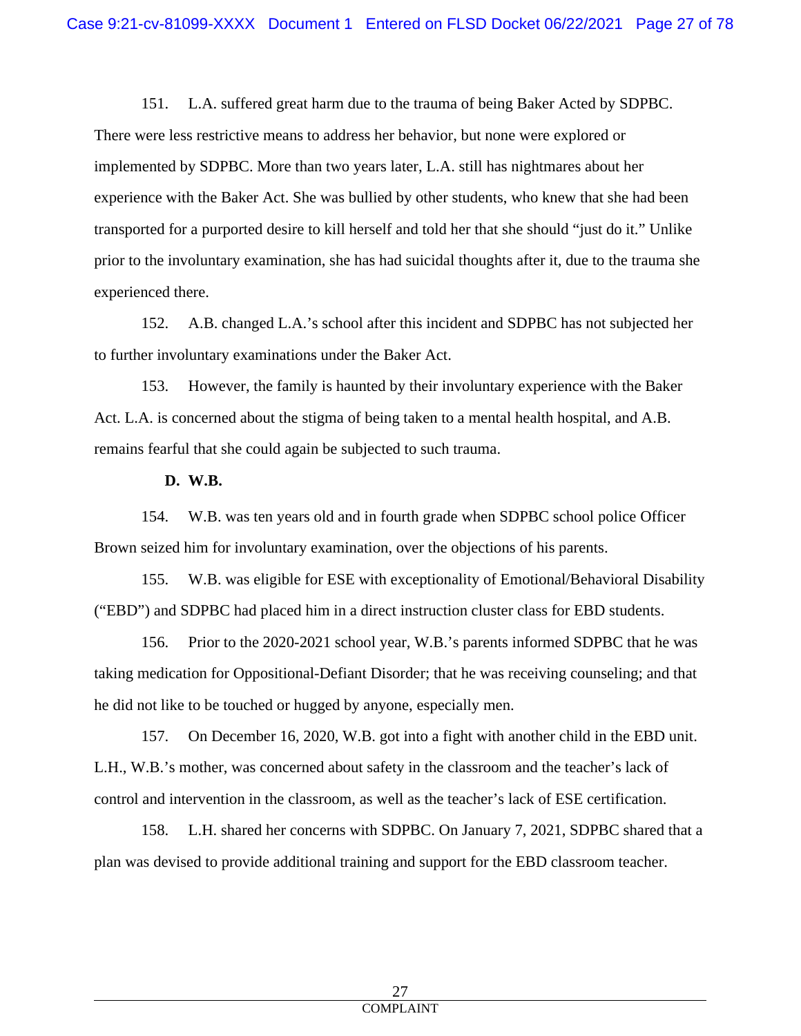151. L.A. suffered great harm due to the trauma of being Baker Acted by SDPBC. There were less restrictive means to address her behavior, but none were explored or implemented by SDPBC. More than two years later, L.A. still has nightmares about her experience with the Baker Act. She was bullied by other students, who knew that she had been transported for a purported desire to kill herself and told her that she should "just do it." Unlike prior to the involuntary examination, she has had suicidal thoughts after it, due to the trauma she experienced there.

152. A.B. changed L.A.'s school after this incident and SDPBC has not subjected her to further involuntary examinations under the Baker Act.

153. However, the family is haunted by their involuntary experience with the Baker Act. L.A. is concerned about the stigma of being taken to a mental health hospital, and A.B. remains fearful that she could again be subjected to such trauma.

**D. W.B.**

154. W.B. was ten years old and in fourth grade when SDPBC school police Officer Brown seized him for involuntary examination, over the objections of his parents.

155. W.B. was eligible for ESE with exceptionality of Emotional/Behavioral Disability ("EBD") and SDPBC had placed him in a direct instruction cluster class for EBD students.

156. Prior to the 2020-2021 school year, W.B.'s parents informed SDPBC that he was taking medication for Oppositional-Defiant Disorder; that he was receiving counseling; and that he did not like to be touched or hugged by anyone, especially men.

157. On December 16, 2020, W.B. got into a fight with another child in the EBD unit. L.H., W.B.'s mother, was concerned about safety in the classroom and the teacher's lack of control and intervention in the classroom, as well as the teacher's lack of ESE certification.

158. L.H. shared her concerns with SDPBC. On January 7, 2021, SDPBC shared that a plan was devised to provide additional training and support for the EBD classroom teacher.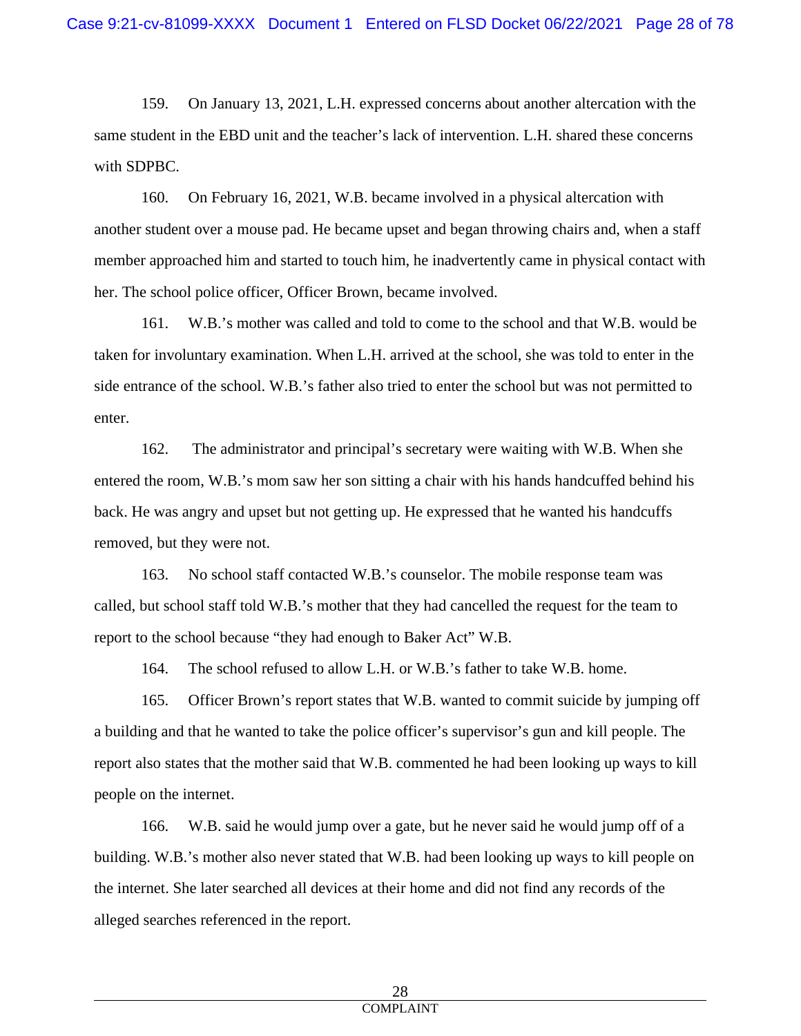159. On January 13, 2021, L.H. expressed concerns about another altercation with the same student in the EBD unit and the teacher's lack of intervention. L.H. shared these concerns with SDPBC.

160. On February 16, 2021, W.B. became involved in a physical altercation with another student over a mouse pad. He became upset and began throwing chairs and, when a staff member approached him and started to touch him, he inadvertently came in physical contact with her. The school police officer, Officer Brown, became involved.

161. W.B.'s mother was called and told to come to the school and that W.B. would be taken for involuntary examination. When L.H. arrived at the school, she was told to enter in the side entrance of the school. W.B.'s father also tried to enter the school but was not permitted to enter.

162. The administrator and principal's secretary were waiting with W.B. When she entered the room, W.B.'s mom saw her son sitting a chair with his hands handcuffed behind his back. He was angry and upset but not getting up. He expressed that he wanted his handcuffs removed, but they were not.

163. No school staff contacted W.B.'s counselor. The mobile response team was called, but school staff told W.B.'s mother that they had cancelled the request for the team to report to the school because "they had enough to Baker Act" W.B.

164. The school refused to allow L.H. or W.B.'s father to take W.B. home.

165. Officer Brown's report states that W.B. wanted to commit suicide by jumping off a building and that he wanted to take the police officer's supervisor's gun and kill people. The report also states that the mother said that W.B. commented he had been looking up ways to kill people on the internet.

166. W.B. said he would jump over a gate, but he never said he would jump off of a building. W.B.'s mother also never stated that W.B. had been looking up ways to kill people on the internet. She later searched all devices at their home and did not find any records of the alleged searches referenced in the report.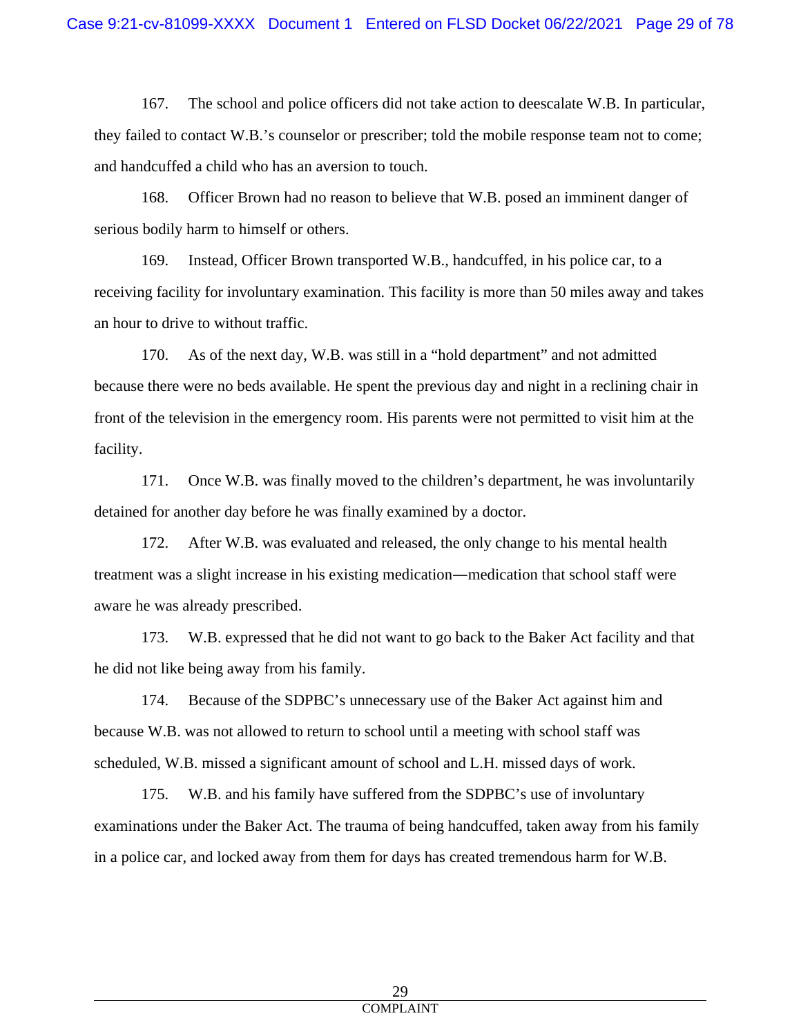167. The school and police officers did not take action to deescalate W.B. In particular, they failed to contact W.B.'s counselor or prescriber; told the mobile response team not to come; and handcuffed a child who has an aversion to touch.

168. Officer Brown had no reason to believe that W.B. posed an imminent danger of serious bodily harm to himself or others.

169. Instead, Officer Brown transported W.B., handcuffed, in his police car, to a receiving facility for involuntary examination. This facility is more than 50 miles away and takes an hour to drive to without traffic.

170. As of the next day, W.B. was still in a "hold department" and not admitted because there were no beds available. He spent the previous day and night in a reclining chair in front of the television in the emergency room. His parents were not permitted to visit him at the facility.

171. Once W.B. was finally moved to the children's department, he was involuntarily detained for another day before he was finally examined by a doctor.

172. After W.B. was evaluated and released, the only change to his mental health treatment was a slight increase in his existing medication—medication that school staff were aware he was already prescribed.

173. W.B. expressed that he did not want to go back to the Baker Act facility and that he did not like being away from his family.

174. Because of the SDPBC's unnecessary use of the Baker Act against him and because W.B. was not allowed to return to school until a meeting with school staff was scheduled, W.B. missed a significant amount of school and L.H. missed days of work.

175. W.B. and his family have suffered from the SDPBC's use of involuntary examinations under the Baker Act. The trauma of being handcuffed, taken away from his family in a police car, and locked away from them for days has created tremendous harm for W.B.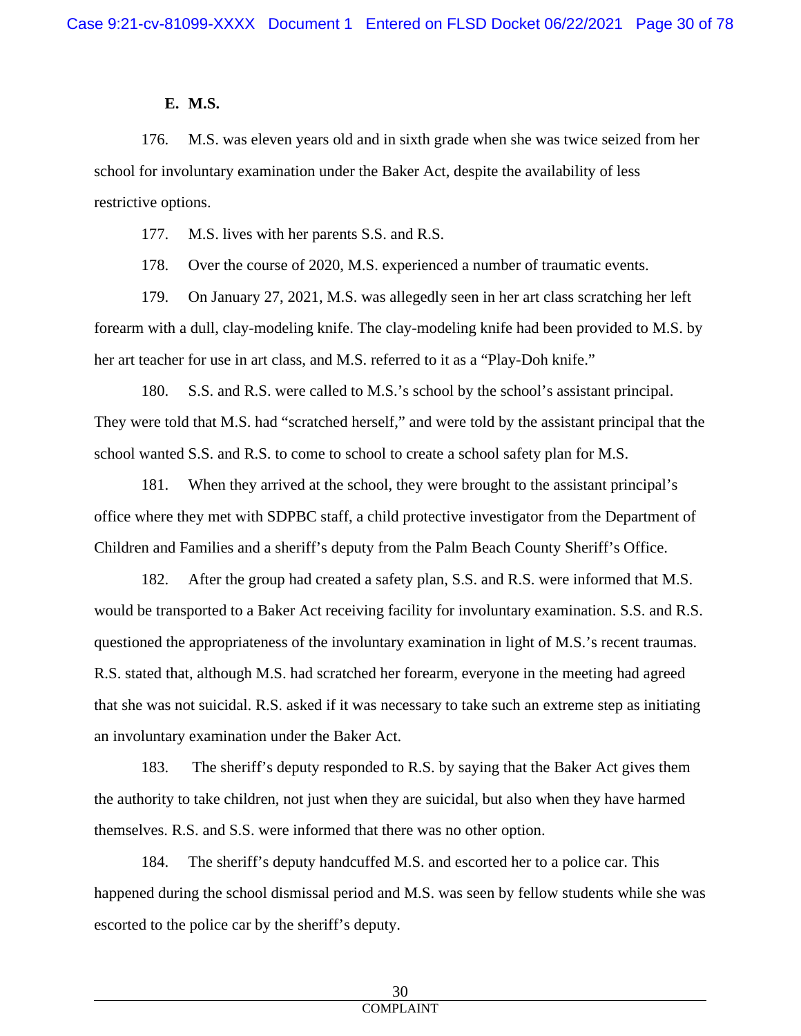### **E. M.S.**

176. M.S. was eleven years old and in sixth grade when she was twice seized from her school for involuntary examination under the Baker Act, despite the availability of less restrictive options.

177. M.S. lives with her parents S.S. and R.S.

178. Over the course of 2020, M.S. experienced a number of traumatic events.

179. On January 27, 2021, M.S. was allegedly seen in her art class scratching her left forearm with a dull, clay-modeling knife. The clay-modeling knife had been provided to M.S. by her art teacher for use in art class, and M.S. referred to it as a "Play-Doh knife."

180. S.S. and R.S. were called to M.S.'s school by the school's assistant principal. They were told that M.S. had "scratched herself," and were told by the assistant principal that the school wanted S.S. and R.S. to come to school to create a school safety plan for M.S.

181. When they arrived at the school, they were brought to the assistant principal's office where they met with SDPBC staff, a child protective investigator from the Department of Children and Families and a sheriff's deputy from the Palm Beach County Sheriff's Office.

182. After the group had created a safety plan, S.S. and R.S. were informed that M.S. would be transported to a Baker Act receiving facility for involuntary examination. S.S. and R.S. questioned the appropriateness of the involuntary examination in light of M.S.'s recent traumas. R.S. stated that, although M.S. had scratched her forearm, everyone in the meeting had agreed that she was not suicidal. R.S. asked if it was necessary to take such an extreme step as initiating an involuntary examination under the Baker Act.

183. The sheriff's deputy responded to R.S. by saying that the Baker Act gives them the authority to take children, not just when they are suicidal, but also when they have harmed themselves. R.S. and S.S. were informed that there was no other option.

184. The sheriff's deputy handcuffed M.S. and escorted her to a police car. This happened during the school dismissal period and M.S. was seen by fellow students while she was escorted to the police car by the sheriff's deputy.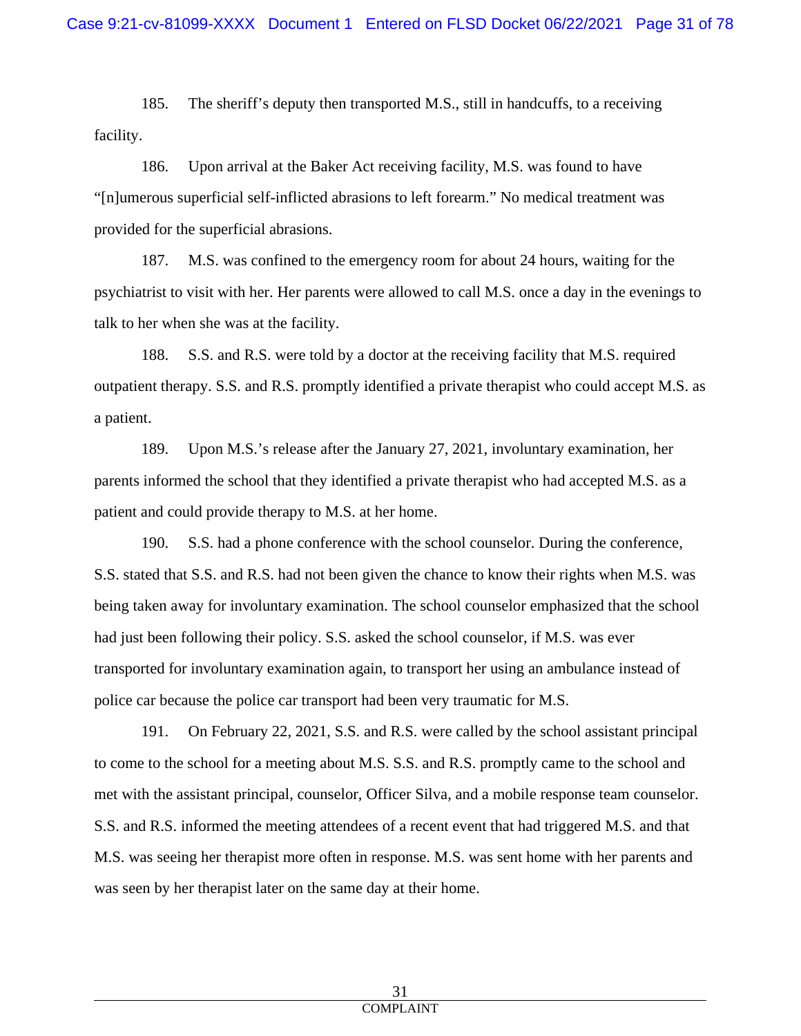185. The sheriff's deputy then transported M.S., still in handcuffs, to a receiving facility.

186. Upon arrival at the Baker Act receiving facility, M.S. was found to have "[n]umerous superficial self-inflicted abrasions to left forearm." No medical treatment was provided for the superficial abrasions.

187. M.S. was confined to the emergency room for about 24 hours, waiting for the psychiatrist to visit with her. Her parents were allowed to call M.S. once a day in the evenings to talk to her when she was at the facility.

188. S.S. and R.S. were told by a doctor at the receiving facility that M.S. required outpatient therapy. S.S. and R.S. promptly identified a private therapist who could accept M.S. as a patient.

189. Upon M.S.'s release after the January 27, 2021, involuntary examination, her parents informed the school that they identified a private therapist who had accepted M.S. as a patient and could provide therapy to M.S. at her home.

190. S.S. had a phone conference with the school counselor. During the conference, S.S. stated that S.S. and R.S. had not been given the chance to know their rights when M.S. was being taken away for involuntary examination. The school counselor emphasized that the school had just been following their policy. S.S. asked the school counselor, if M.S. was ever transported for involuntary examination again, to transport her using an ambulance instead of police car because the police car transport had been very traumatic for M.S.

191. On February 22, 2021, S.S. and R.S. were called by the school assistant principal to come to the school for a meeting about M.S. S.S. and R.S. promptly came to the school and met with the assistant principal, counselor, Officer Silva, and a mobile response team counselor. S.S. and R.S. informed the meeting attendees of a recent event that had triggered M.S. and that M.S. was seeing her therapist more often in response. M.S. was sent home with her parents and was seen by her therapist later on the same day at their home.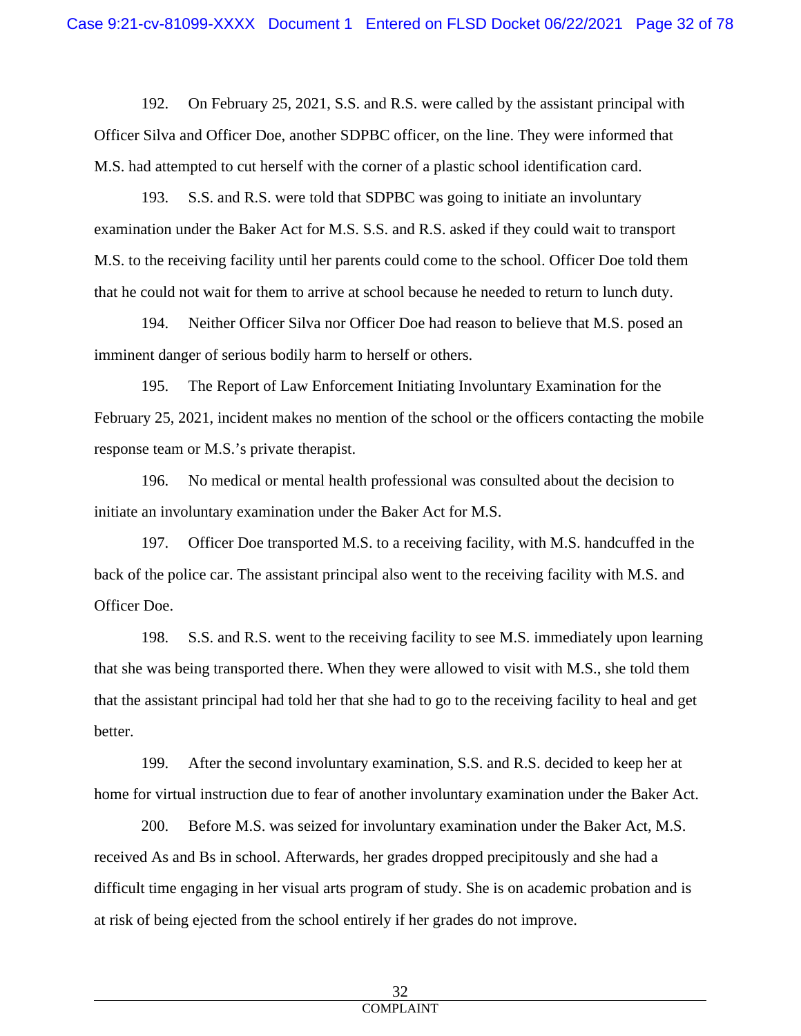192. On February 25, 2021, S.S. and R.S. were called by the assistant principal with Officer Silva and Officer Doe, another SDPBC officer, on the line. They were informed that M.S. had attempted to cut herself with the corner of a plastic school identification card.

193. S.S. and R.S. were told that SDPBC was going to initiate an involuntary examination under the Baker Act for M.S. S.S. and R.S. asked if they could wait to transport M.S. to the receiving facility until her parents could come to the school. Officer Doe told them that he could not wait for them to arrive at school because he needed to return to lunch duty.

194. Neither Officer Silva nor Officer Doe had reason to believe that M.S. posed an imminent danger of serious bodily harm to herself or others.

195. The Report of Law Enforcement Initiating Involuntary Examination for the February 25, 2021, incident makes no mention of the school or the officers contacting the mobile response team or M.S.'s private therapist.

196. No medical or mental health professional was consulted about the decision to initiate an involuntary examination under the Baker Act for M.S.

197. Officer Doe transported M.S. to a receiving facility, with M.S. handcuffed in the back of the police car. The assistant principal also went to the receiving facility with M.S. and Officer Doe.

198. S.S. and R.S. went to the receiving facility to see M.S. immediately upon learning that she was being transported there. When they were allowed to visit with M.S., she told them that the assistant principal had told her that she had to go to the receiving facility to heal and get better.

199. After the second involuntary examination, S.S. and R.S. decided to keep her at home for virtual instruction due to fear of another involuntary examination under the Baker Act.

200. Before M.S. was seized for involuntary examination under the Baker Act, M.S. received As and Bs in school. Afterwards, her grades dropped precipitously and she had a difficult time engaging in her visual arts program of study. She is on academic probation and is at risk of being ejected from the school entirely if her grades do not improve.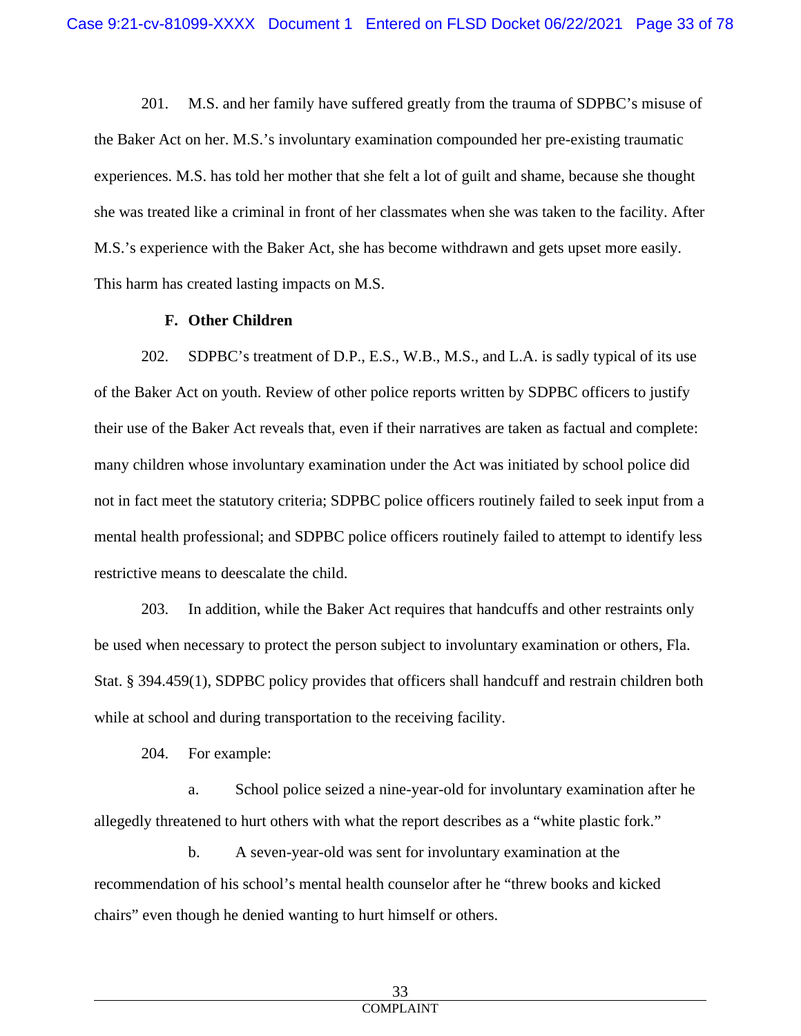201. M.S. and her family have suffered greatly from the trauma of SDPBC's misuse of the Baker Act on her. M.S.'s involuntary examination compounded her pre-existing traumatic experiences. M.S. has told her mother that she felt a lot of guilt and shame, because she thought she was treated like a criminal in front of her classmates when she was taken to the facility. After M.S.'s experience with the Baker Act, she has become withdrawn and gets upset more easily. This harm has created lasting impacts on M.S.

### **F. Other Children**

202. SDPBC's treatment of D.P., E.S., W.B., M.S., and L.A. is sadly typical of its use of the Baker Act on youth. Review of other police reports written by SDPBC officers to justify their use of the Baker Act reveals that, even if their narratives are taken as factual and complete: many children whose involuntary examination under the Act was initiated by school police did not in fact meet the statutory criteria; SDPBC police officers routinely failed to seek input from a mental health professional; and SDPBC police officers routinely failed to attempt to identify less restrictive means to deescalate the child.

203. In addition, while the Baker Act requires that handcuffs and other restraints only be used when necessary to protect the person subject to involuntary examination or others, Fla. Stat. § 394.459(1), SDPBC policy provides that officers shall handcuff and restrain children both while at school and during transportation to the receiving facility.

204. For example:

a. School police seized a nine-year-old for involuntary examination after he allegedly threatened to hurt others with what the report describes as a "white plastic fork."

b. A seven-year-old was sent for involuntary examination at the recommendation of his school's mental health counselor after he "threw books and kicked chairs" even though he denied wanting to hurt himself or others.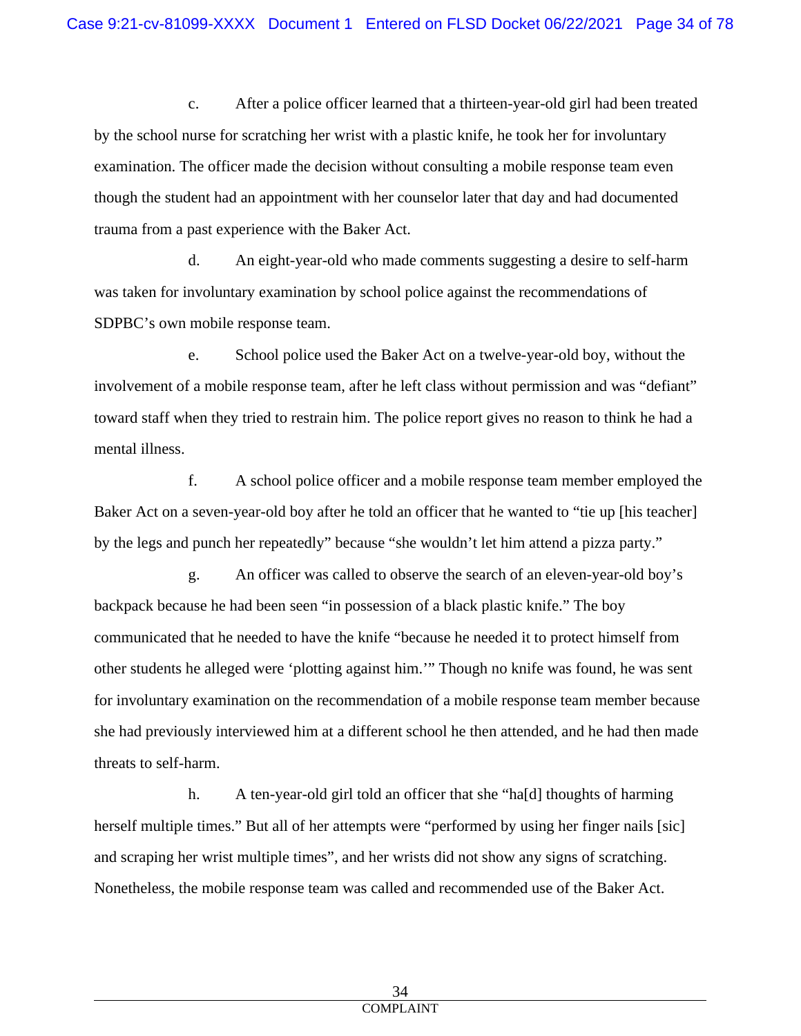c. After a police officer learned that a thirteen-year-old girl had been treated by the school nurse for scratching her wrist with a plastic knife, he took her for involuntary examination. The officer made the decision without consulting a mobile response team even though the student had an appointment with her counselor later that day and had documented trauma from a past experience with the Baker Act.

d. An eight-year-old who made comments suggesting a desire to self-harm was taken for involuntary examination by school police against the recommendations of SDPBC's own mobile response team.

e. School police used the Baker Act on a twelve-year-old boy, without the involvement of a mobile response team, after he left class without permission and was "defiant" toward staff when they tried to restrain him. The police report gives no reason to think he had a mental illness.

f. A school police officer and a mobile response team member employed the Baker Act on a seven-year-old boy after he told an officer that he wanted to "tie up [his teacher] by the legs and punch her repeatedly" because "she wouldn't let him attend a pizza party."

g. An officer was called to observe the search of an eleven-year-old boy's backpack because he had been seen "in possession of a black plastic knife." The boy communicated that he needed to have the knife "because he needed it to protect himself from other students he alleged were 'plotting against him.'" Though no knife was found, he was sent for involuntary examination on the recommendation of a mobile response team member because she had previously interviewed him at a different school he then attended, and he had then made threats to self-harm.

h. A ten-year-old girl told an officer that she "ha[d] thoughts of harming herself multiple times." But all of her attempts were "performed by using her finger nails [sic] and scraping her wrist multiple times", and her wrists did not show any signs of scratching. Nonetheless, the mobile response team was called and recommended use of the Baker Act.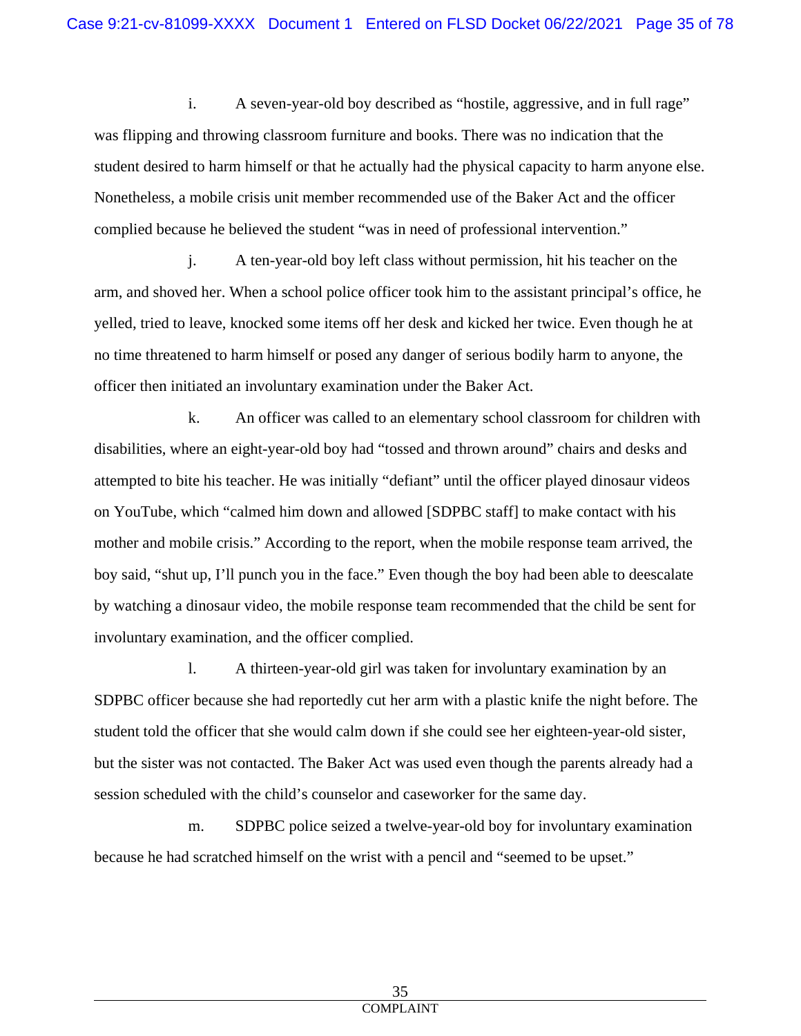i. A seven-year-old boy described as "hostile, aggressive, and in full rage" was flipping and throwing classroom furniture and books. There was no indication that the student desired to harm himself or that he actually had the physical capacity to harm anyone else. Nonetheless, a mobile crisis unit member recommended use of the Baker Act and the officer complied because he believed the student "was in need of professional intervention."

j. A ten-year-old boy left class without permission, hit his teacher on the arm, and shoved her. When a school police officer took him to the assistant principal's office, he yelled, tried to leave, knocked some items off her desk and kicked her twice. Even though he at no time threatened to harm himself or posed any danger of serious bodily harm to anyone, the officer then initiated an involuntary examination under the Baker Act.

k. An officer was called to an elementary school classroom for children with disabilities, where an eight-year-old boy had "tossed and thrown around" chairs and desks and attempted to bite his teacher. He was initially "defiant" until the officer played dinosaur videos on YouTube, which "calmed him down and allowed [SDPBC staff] to make contact with his mother and mobile crisis." According to the report, when the mobile response team arrived, the boy said, "shut up, I'll punch you in the face." Even though the boy had been able to deescalate by watching a dinosaur video, the mobile response team recommended that the child be sent for involuntary examination, and the officer complied.

l. A thirteen-year-old girl was taken for involuntary examination by an SDPBC officer because she had reportedly cut her arm with a plastic knife the night before. The student told the officer that she would calm down if she could see her eighteen-year-old sister, but the sister was not contacted. The Baker Act was used even though the parents already had a session scheduled with the child's counselor and caseworker for the same day.

m. SDPBC police seized a twelve-year-old boy for involuntary examination because he had scratched himself on the wrist with a pencil and "seemed to be upset."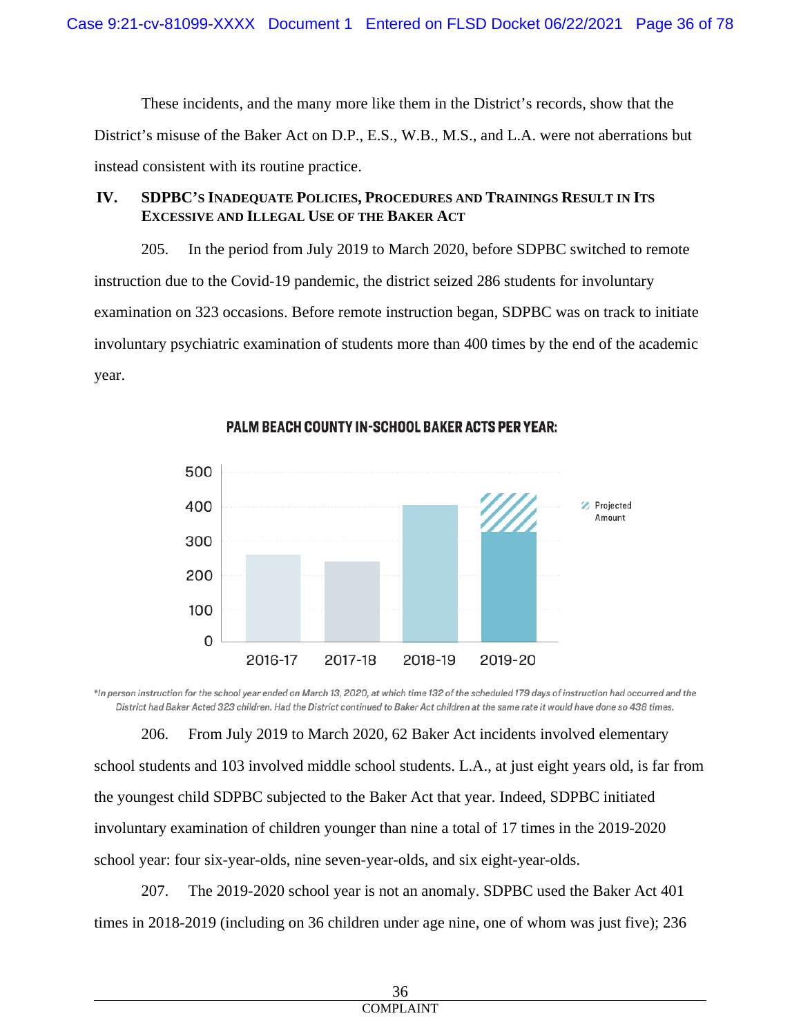These incidents, and the many more like them in the District's records, show that the District's misuse of the Baker Act on D.P., E.S., W.B., M.S., and L.A. were not aberrations but instead consistent with its routine practice.

# **IV. SDPBC'S INADEQUATE POLICIES, PROCEDURES AND TRAININGS RESULT IN ITS EXCESSIVE AND ILLEGAL USE OF THE BAKER ACT**

205. In the period from July 2019 to March 2020, before SDPBC switched to remote instruction due to the Covid-19 pandemic, the district seized 286 students for involuntary examination on 323 occasions. Before remote instruction began, SDPBC was on track to initiate involuntary psychiatric examination of students more than 400 times by the end of the academic year.



PALM BEACH COUNTY IN-SCHOOL BAKER ACTS PER YEAR:

\*In person instruction for the school year ended on March 13, 2020, at which time 132 of the scheduled 179 days of instruction had occurred and the District had Baker Acted 323 children. Had the District continued to Baker Act children at the same rate it would have done so 438 times.

206. From July 2019 to March 2020, 62 Baker Act incidents involved elementary school students and 103 involved middle school students. L.A., at just eight years old, is far from the youngest child SDPBC subjected to the Baker Act that year. Indeed, SDPBC initiated involuntary examination of children younger than nine a total of 17 times in the 2019-2020 school year: four six-year-olds, nine seven-year-olds, and six eight-year-olds.

207. The 2019-2020 school year is not an anomaly. SDPBC used the Baker Act 401 times in 2018-2019 (including on 36 children under age nine, one of whom was just five); 236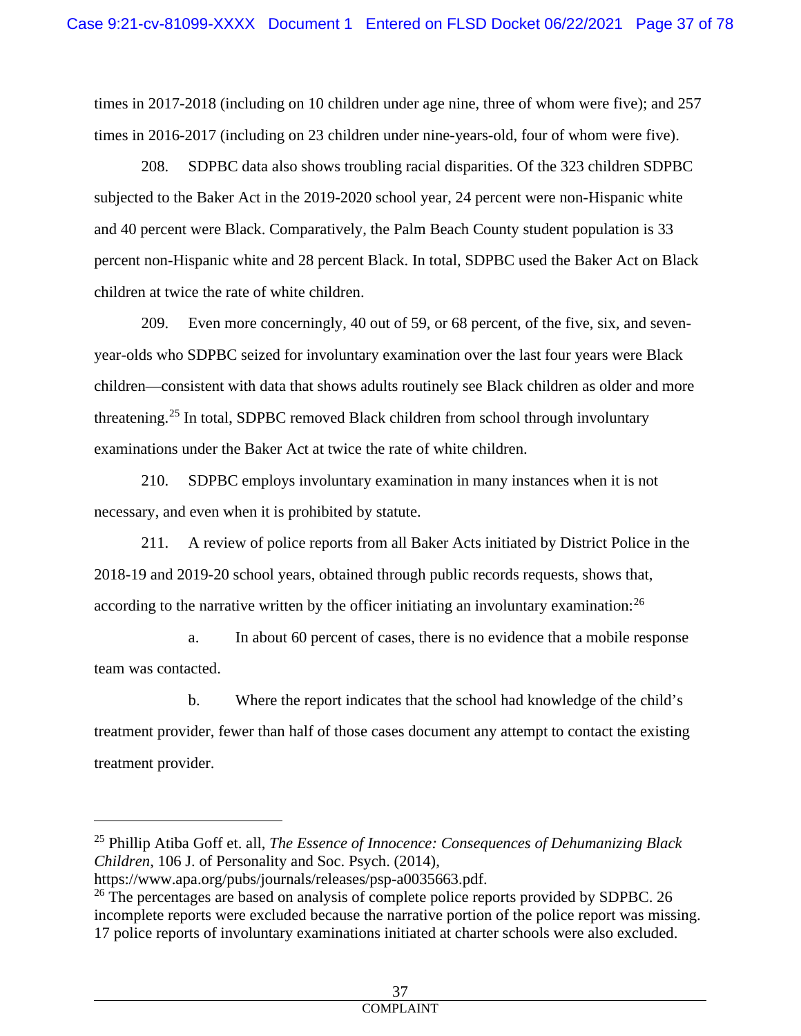times in 2017-2018 (including on 10 children under age nine, three of whom were five); and 257 times in 2016-2017 (including on 23 children under nine-years-old, four of whom were five).

208. SDPBC data also shows troubling racial disparities. Of the 323 children SDPBC subjected to the Baker Act in the 2019-2020 school year, 24 percent were non-Hispanic white and 40 percent were Black. Comparatively, the Palm Beach County student population is 33 percent non-Hispanic white and 28 percent Black. In total, SDPBC used the Baker Act on Black children at twice the rate of white children.

209. Even more concerningly, 40 out of 59, or 68 percent, of the five, six, and sevenyear-olds who SDPBC seized for involuntary examination over the last four years were Black children—consistent with data that shows adults routinely see Black children as older and more threatening.[25](#page-36-0) In total, SDPBC removed Black children from school through involuntary examinations under the Baker Act at twice the rate of white children.

210. SDPBC employs involuntary examination in many instances when it is not necessary, and even when it is prohibited by statute.

211. A review of police reports from all Baker Acts initiated by District Police in the 2018-19 and 2019-20 school years, obtained through public records requests, shows that, according to the narrative written by the officer initiating an involuntary examination:<sup>[26](#page-36-1)</sup>

a. In about 60 percent of cases, there is no evidence that a mobile response team was contacted.

b. Where the report indicates that the school had knowledge of the child's treatment provider, fewer than half of those cases document any attempt to contact the existing treatment provider.

<span id="page-36-0"></span><sup>25</sup> Phillip Atiba Goff et. all, *The Essence of Innocence: Consequences of Dehumanizing Black Children*, 106 J. of Personality and Soc. Psych. (2014),

https://www.apa.org/pubs/journals/releases/psp-a0035663.pdf.

<span id="page-36-1"></span><sup>&</sup>lt;sup>26</sup> The percentages are based on analysis of complete police reports provided by SDPBC. 26 incomplete reports were excluded because the narrative portion of the police report was missing. 17 police reports of involuntary examinations initiated at charter schools were also excluded.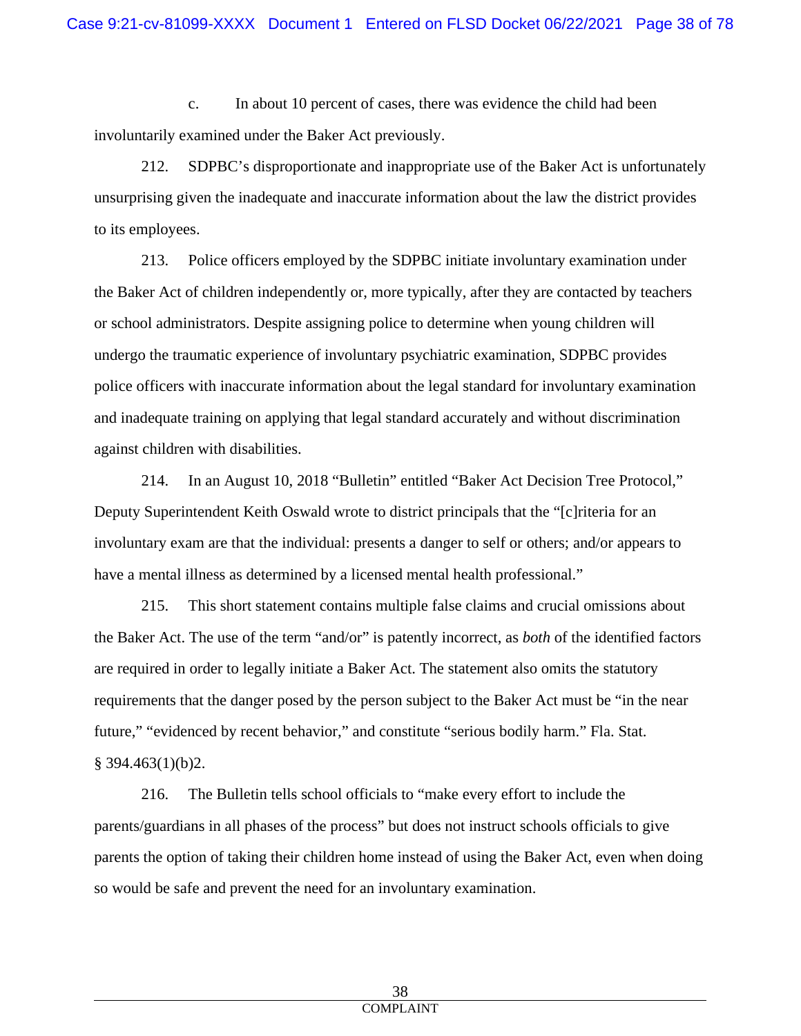c. In about 10 percent of cases, there was evidence the child had been involuntarily examined under the Baker Act previously.

212. SDPBC's disproportionate and inappropriate use of the Baker Act is unfortunately unsurprising given the inadequate and inaccurate information about the law the district provides to its employees.

213. Police officers employed by the SDPBC initiate involuntary examination under the Baker Act of children independently or, more typically, after they are contacted by teachers or school administrators. Despite assigning police to determine when young children will undergo the traumatic experience of involuntary psychiatric examination, SDPBC provides police officers with inaccurate information about the legal standard for involuntary examination and inadequate training on applying that legal standard accurately and without discrimination against children with disabilities.

214. In an August 10, 2018 "Bulletin" entitled "Baker Act Decision Tree Protocol," Deputy Superintendent Keith Oswald wrote to district principals that the "[c]riteria for an involuntary exam are that the individual: presents a danger to self or others; and/or appears to have a mental illness as determined by a licensed mental health professional."

215. This short statement contains multiple false claims and crucial omissions about the Baker Act. The use of the term "and/or" is patently incorrect, as *both* of the identified factors are required in order to legally initiate a Baker Act. The statement also omits the statutory requirements that the danger posed by the person subject to the Baker Act must be "in the near future," "evidenced by recent behavior," and constitute "serious bodily harm." Fla. Stat.  $§$  394.463(1)(b)2.

216. The Bulletin tells school officials to "make every effort to include the parents/guardians in all phases of the process" but does not instruct schools officials to give parents the option of taking their children home instead of using the Baker Act, even when doing so would be safe and prevent the need for an involuntary examination.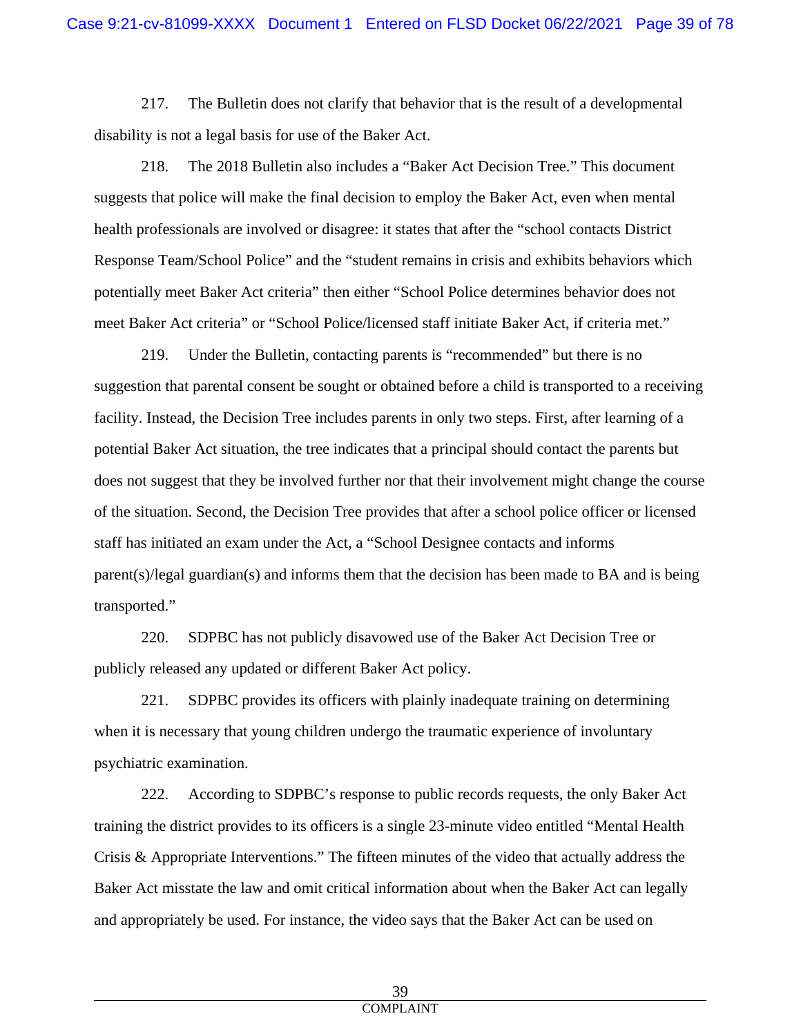217. The Bulletin does not clarify that behavior that is the result of a developmental disability is not a legal basis for use of the Baker Act.

218. The 2018 Bulletin also includes a "Baker Act Decision Tree." This document suggests that police will make the final decision to employ the Baker Act, even when mental health professionals are involved or disagree: it states that after the "school contacts District Response Team/School Police" and the "student remains in crisis and exhibits behaviors which potentially meet Baker Act criteria" then either "School Police determines behavior does not meet Baker Act criteria" or "School Police/licensed staff initiate Baker Act, if criteria met."

219. Under the Bulletin, contacting parents is "recommended" but there is no suggestion that parental consent be sought or obtained before a child is transported to a receiving facility. Instead, the Decision Tree includes parents in only two steps. First, after learning of a potential Baker Act situation, the tree indicates that a principal should contact the parents but does not suggest that they be involved further nor that their involvement might change the course of the situation. Second, the Decision Tree provides that after a school police officer or licensed staff has initiated an exam under the Act, a "School Designee contacts and informs parent(s)/legal guardian(s) and informs them that the decision has been made to BA and is being transported."

220. SDPBC has not publicly disavowed use of the Baker Act Decision Tree or publicly released any updated or different Baker Act policy.

221. SDPBC provides its officers with plainly inadequate training on determining when it is necessary that young children undergo the traumatic experience of involuntary psychiatric examination.

222. According to SDPBC's response to public records requests, the only Baker Act training the district provides to its officers is a single 23-minute video entitled "Mental Health Crisis & Appropriate Interventions." The fifteen minutes of the video that actually address the Baker Act misstate the law and omit critical information about when the Baker Act can legally and appropriately be used. For instance, the video says that the Baker Act can be used on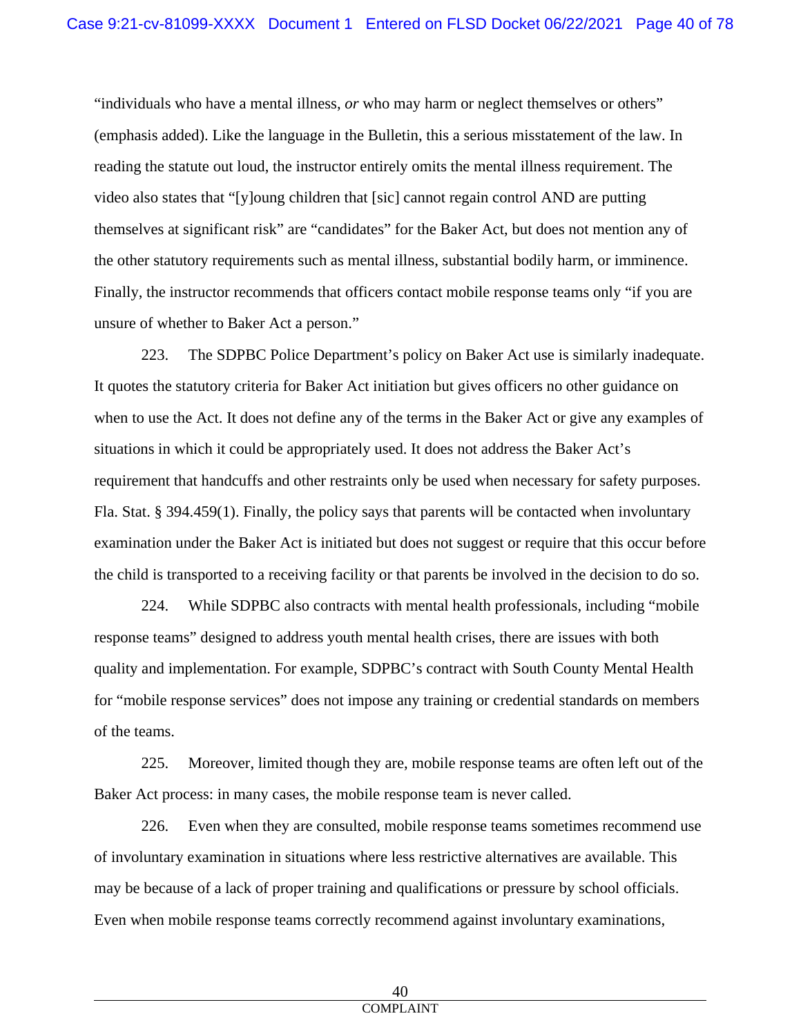"individuals who have a mental illness, *or* who may harm or neglect themselves or others" (emphasis added). Like the language in the Bulletin, this a serious misstatement of the law. In reading the statute out loud, the instructor entirely omits the mental illness requirement. The video also states that "[y]oung children that [sic] cannot regain control AND are putting themselves at significant risk" are "candidates" for the Baker Act, but does not mention any of the other statutory requirements such as mental illness, substantial bodily harm, or imminence. Finally, the instructor recommends that officers contact mobile response teams only "if you are unsure of whether to Baker Act a person."

223. The SDPBC Police Department's policy on Baker Act use is similarly inadequate. It quotes the statutory criteria for Baker Act initiation but gives officers no other guidance on when to use the Act. It does not define any of the terms in the Baker Act or give any examples of situations in which it could be appropriately used. It does not address the Baker Act's requirement that handcuffs and other restraints only be used when necessary for safety purposes. Fla. Stat. § 394.459(1). Finally, the policy says that parents will be contacted when involuntary examination under the Baker Act is initiated but does not suggest or require that this occur before the child is transported to a receiving facility or that parents be involved in the decision to do so.

224. While SDPBC also contracts with mental health professionals, including "mobile response teams" designed to address youth mental health crises, there are issues with both quality and implementation. For example, SDPBC's contract with South County Mental Health for "mobile response services" does not impose any training or credential standards on members of the teams.

225. Moreover, limited though they are, mobile response teams are often left out of the Baker Act process: in many cases, the mobile response team is never called.

226. Even when they are consulted, mobile response teams sometimes recommend use of involuntary examination in situations where less restrictive alternatives are available. This may be because of a lack of proper training and qualifications or pressure by school officials. Even when mobile response teams correctly recommend against involuntary examinations,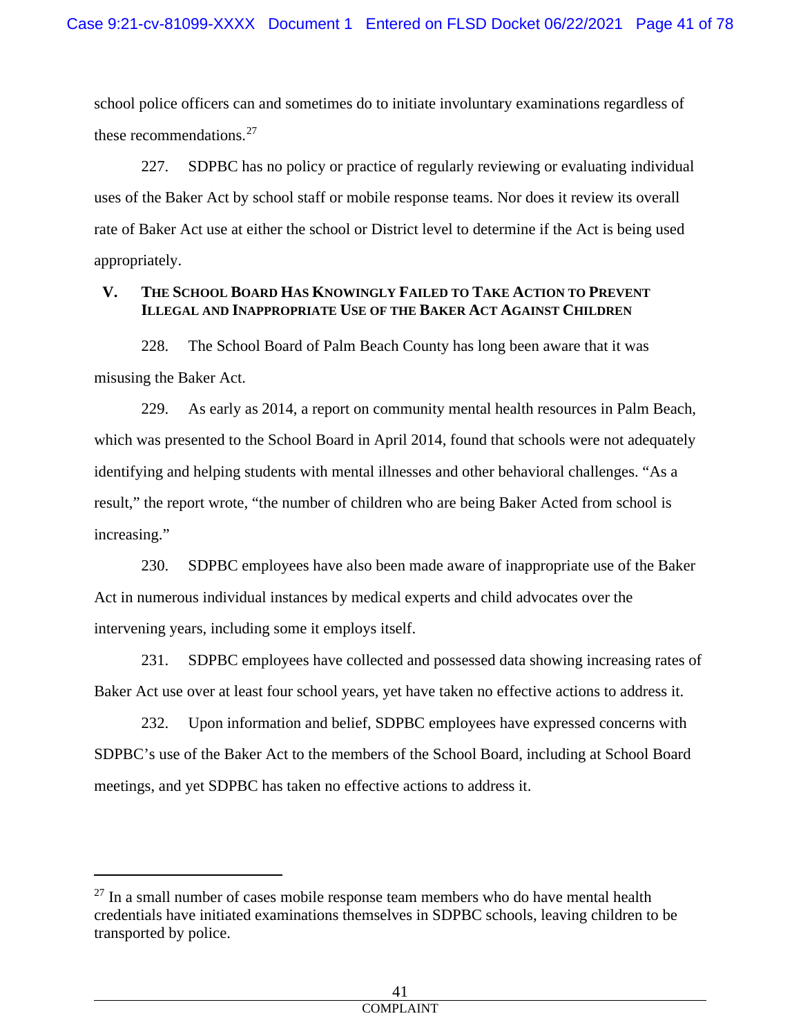school police officers can and sometimes do to initiate involuntary examinations regardless of these recommendations. [27](#page-40-0)

227. SDPBC has no policy or practice of regularly reviewing or evaluating individual uses of the Baker Act by school staff or mobile response teams. Nor does it review its overall rate of Baker Act use at either the school or District level to determine if the Act is being used appropriately.

# **V. THE SCHOOL BOARD HAS KNOWINGLY FAILED TO TAKE ACTION TO PREVENT ILLEGAL AND INAPPROPRIATE USE OF THE BAKER ACT AGAINST CHILDREN**

228. The School Board of Palm Beach County has long been aware that it was misusing the Baker Act.

229. As early as 2014, a report on community mental health resources in Palm Beach, which was presented to the School Board in April 2014, found that schools were not adequately identifying and helping students with mental illnesses and other behavioral challenges. "As a result," the report wrote, "the number of children who are being Baker Acted from school is increasing."

230. SDPBC employees have also been made aware of inappropriate use of the Baker Act in numerous individual instances by medical experts and child advocates over the intervening years, including some it employs itself.

231. SDPBC employees have collected and possessed data showing increasing rates of Baker Act use over at least four school years, yet have taken no effective actions to address it.

232. Upon information and belief, SDPBC employees have expressed concerns with SDPBC's use of the Baker Act to the members of the School Board, including at School Board meetings, and yet SDPBC has taken no effective actions to address it.

<span id="page-40-0"></span> $27$  In a small number of cases mobile response team members who do have mental health credentials have initiated examinations themselves in SDPBC schools, leaving children to be transported by police.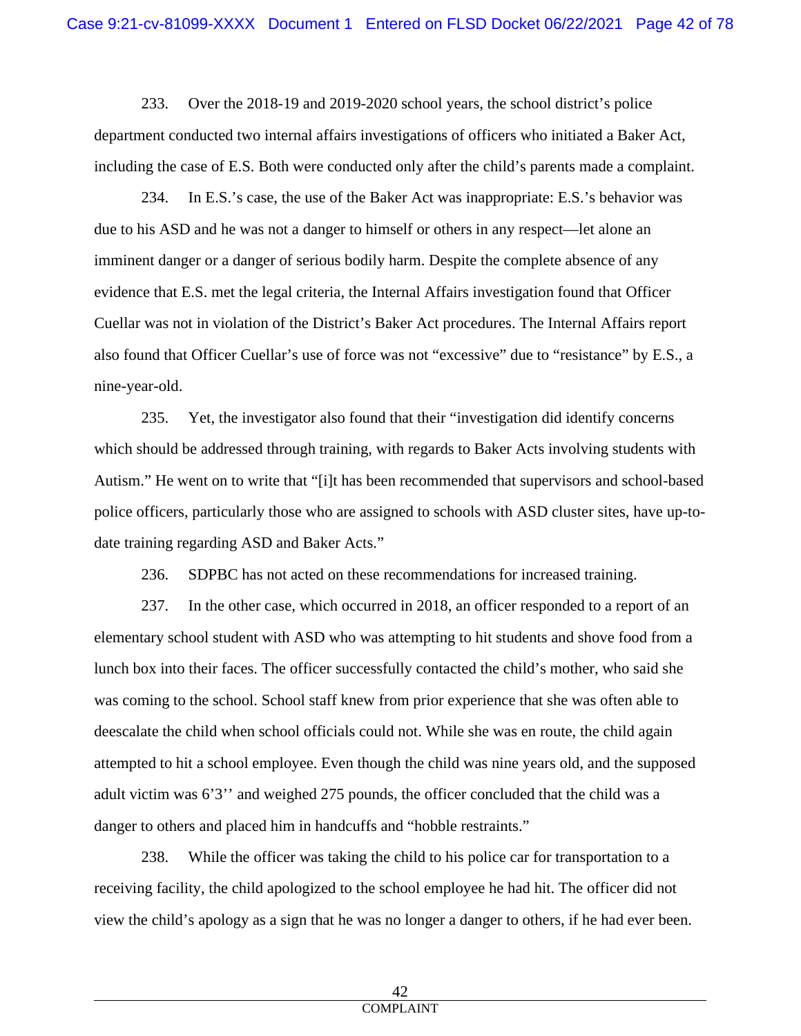233. Over the 2018-19 and 2019-2020 school years, the school district's police department conducted two internal affairs investigations of officers who initiated a Baker Act, including the case of E.S. Both were conducted only after the child's parents made a complaint.

234. In E.S.'s case, the use of the Baker Act was inappropriate: E.S.'s behavior was due to his ASD and he was not a danger to himself or others in any respect—let alone an imminent danger or a danger of serious bodily harm. Despite the complete absence of any evidence that E.S. met the legal criteria, the Internal Affairs investigation found that Officer Cuellar was not in violation of the District's Baker Act procedures. The Internal Affairs report also found that Officer Cuellar's use of force was not "excessive" due to "resistance" by E.S., a nine-year-old.

235. Yet, the investigator also found that their "investigation did identify concerns which should be addressed through training, with regards to Baker Acts involving students with Autism." He went on to write that "[i]t has been recommended that supervisors and school-based police officers, particularly those who are assigned to schools with ASD cluster sites, have up-todate training regarding ASD and Baker Acts."

236. SDPBC has not acted on these recommendations for increased training.

237. In the other case, which occurred in 2018, an officer responded to a report of an elementary school student with ASD who was attempting to hit students and shove food from a lunch box into their faces. The officer successfully contacted the child's mother, who said she was coming to the school. School staff knew from prior experience that she was often able to deescalate the child when school officials could not. While she was en route, the child again attempted to hit a school employee. Even though the child was nine years old, and the supposed adult victim was 6'3'' and weighed 275 pounds, the officer concluded that the child was a danger to others and placed him in handcuffs and "hobble restraints."

238. While the officer was taking the child to his police car for transportation to a receiving facility, the child apologized to the school employee he had hit. The officer did not view the child's apology as a sign that he was no longer a danger to others, if he had ever been.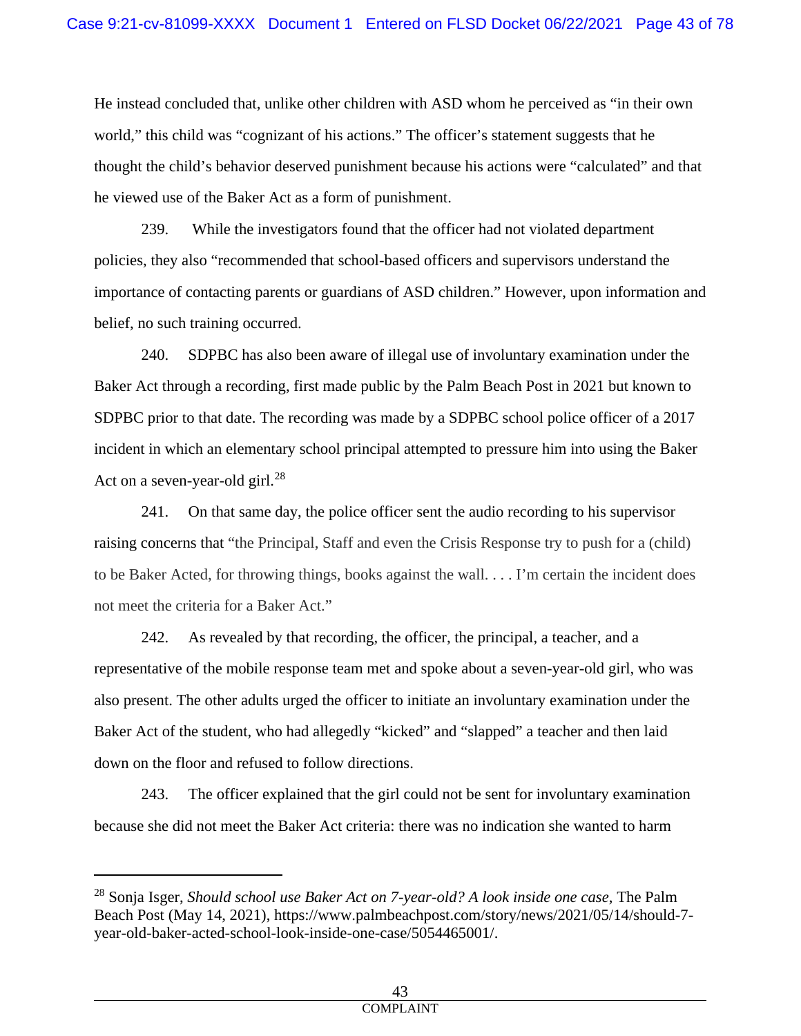He instead concluded that, unlike other children with ASD whom he perceived as "in their own world," this child was "cognizant of his actions." The officer's statement suggests that he thought the child's behavior deserved punishment because his actions were "calculated" and that he viewed use of the Baker Act as a form of punishment.

239. While the investigators found that the officer had not violated department policies, they also "recommended that school-based officers and supervisors understand the importance of contacting parents or guardians of ASD children." However, upon information and belief, no such training occurred.

240. SDPBC has also been aware of illegal use of involuntary examination under the Baker Act through a recording, first made public by the Palm Beach Post in 2021 but known to SDPBC prior to that date. The recording was made by a SDPBC school police officer of a 2017 incident in which an elementary school principal attempted to pressure him into using the Baker Act on a seven-year-old girl.<sup>[28](#page-42-0)</sup>

241. On that same day, the police officer sent the audio recording to his supervisor raising concerns that "the Principal, Staff and even the Crisis Response try to push for a (child) to be Baker Acted, for throwing things, books against the wall. . . . I'm certain the incident does not meet the criteria for a Baker Act."

242. As revealed by that recording, the officer, the principal, a teacher, and a representative of the mobile response team met and spoke about a seven-year-old girl, who was also present. The other adults urged the officer to initiate an involuntary examination under the Baker Act of the student, who had allegedly "kicked" and "slapped" a teacher and then laid down on the floor and refused to follow directions.

243. The officer explained that the girl could not be sent for involuntary examination because she did not meet the Baker Act criteria: there was no indication she wanted to harm

<span id="page-42-0"></span><sup>28</sup> Sonja Isger, *Should school use Baker Act on 7-year-old? A look inside one case*, The Palm Beach Post (May 14, 2021), https://www.palmbeachpost.com/story/news/2021/05/14/should-7 year-old-baker-acted-school-look-inside-one-case/5054465001/.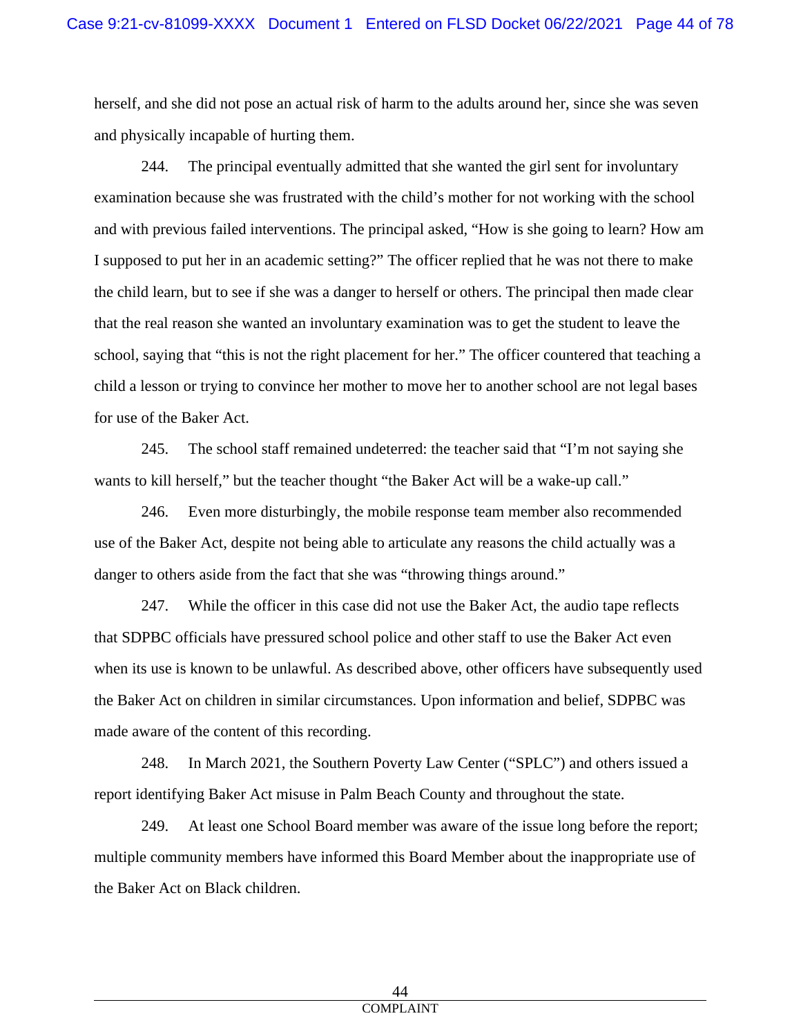herself, and she did not pose an actual risk of harm to the adults around her, since she was seven and physically incapable of hurting them.

244. The principal eventually admitted that she wanted the girl sent for involuntary examination because she was frustrated with the child's mother for not working with the school and with previous failed interventions. The principal asked, "How is she going to learn? How am I supposed to put her in an academic setting?" The officer replied that he was not there to make the child learn, but to see if she was a danger to herself or others. The principal then made clear that the real reason she wanted an involuntary examination was to get the student to leave the school, saying that "this is not the right placement for her." The officer countered that teaching a child a lesson or trying to convince her mother to move her to another school are not legal bases for use of the Baker Act.

245. The school staff remained undeterred: the teacher said that "I'm not saying she wants to kill herself," but the teacher thought "the Baker Act will be a wake-up call."

246. Even more disturbingly, the mobile response team member also recommended use of the Baker Act, despite not being able to articulate any reasons the child actually was a danger to others aside from the fact that she was "throwing things around."

247. While the officer in this case did not use the Baker Act, the audio tape reflects that SDPBC officials have pressured school police and other staff to use the Baker Act even when its use is known to be unlawful. As described above, other officers have subsequently used the Baker Act on children in similar circumstances. Upon information and belief, SDPBC was made aware of the content of this recording.

248. In March 2021, the Southern Poverty Law Center ("SPLC") and others issued a report identifying Baker Act misuse in Palm Beach County and throughout the state.

249. At least one School Board member was aware of the issue long before the report; multiple community members have informed this Board Member about the inappropriate use of the Baker Act on Black children.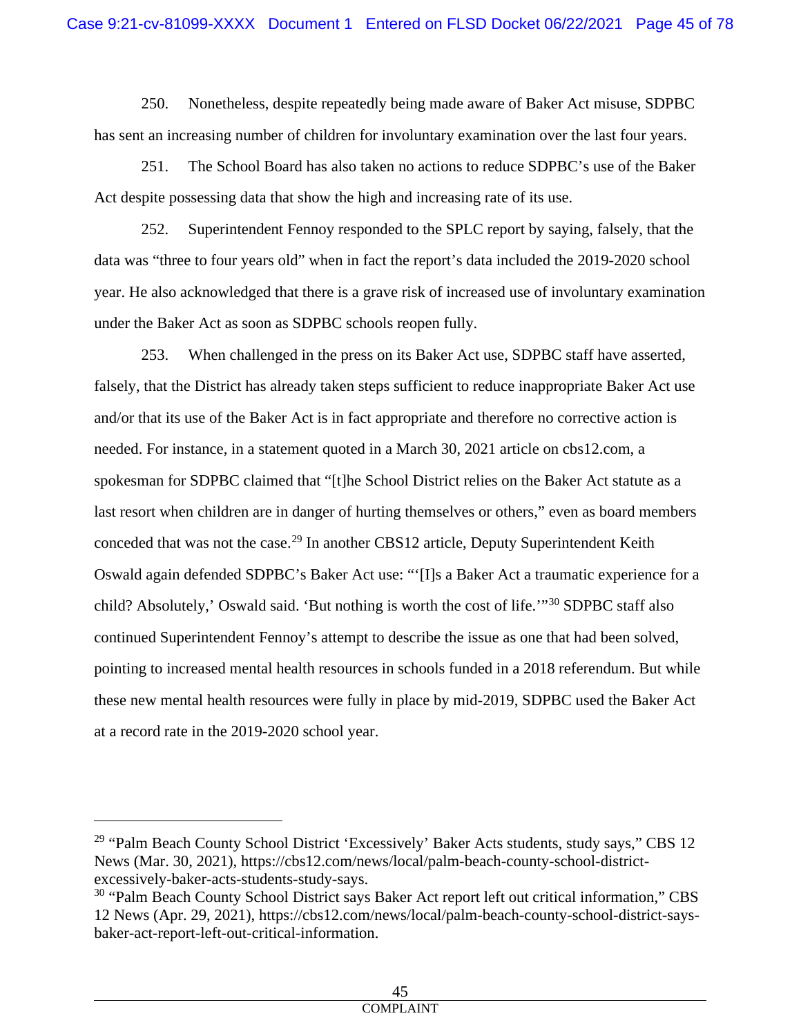250. Nonetheless, despite repeatedly being made aware of Baker Act misuse, SDPBC has sent an increasing number of children for involuntary examination over the last four years.

251. The School Board has also taken no actions to reduce SDPBC's use of the Baker Act despite possessing data that show the high and increasing rate of its use.

252. Superintendent Fennoy responded to the SPLC report by saying, falsely, that the data was "three to four years old" when in fact the report's data included the 2019-2020 school year. He also acknowledged that there is a grave risk of increased use of involuntary examination under the Baker Act as soon as SDPBC schools reopen fully.

253. When challenged in the press on its Baker Act use, SDPBC staff have asserted, falsely, that the District has already taken steps sufficient to reduce inappropriate Baker Act use and/or that its use of the Baker Act is in fact appropriate and therefore no corrective action is needed. For instance, in a statement quoted in a March 30, 2021 article on cbs12.com, a spokesman for SDPBC claimed that "[t]he School District relies on the Baker Act statute as a last resort when children are in danger of hurting themselves or others," even as board members conceded that was not the case.<sup>[29](#page-44-0)</sup> In another CBS12 article, Deputy Superintendent Keith Oswald again defended SDPBC's Baker Act use: "'[I]s a Baker Act a traumatic experience for a child? Absolutely,' Oswald said. 'But nothing is worth the cost of life.'"<sup>[30](#page-44-1)</sup> SDPBC staff also continued Superintendent Fennoy's attempt to describe the issue as one that had been solved, pointing to increased mental health resources in schools funded in a 2018 referendum. But while these new mental health resources were fully in place by mid-2019, SDPBC used the Baker Act at a record rate in the 2019-2020 school year.

<span id="page-44-0"></span><sup>&</sup>lt;sup>29</sup> "Palm Beach County School District 'Excessively' Baker Acts students, study says," CBS 12 News (Mar. 30, 2021), https://cbs12.com/news/local/palm-beach-county-school-districtexcessively-baker-acts-students-study-says.

<span id="page-44-1"></span><sup>&</sup>lt;sup>30</sup> "Palm Beach County School District says Baker Act report left out critical information," CBS 12 News (Apr. 29, 2021), https://cbs12.com/news/local/palm-beach-county-school-district-saysbaker-act-report-left-out-critical-information.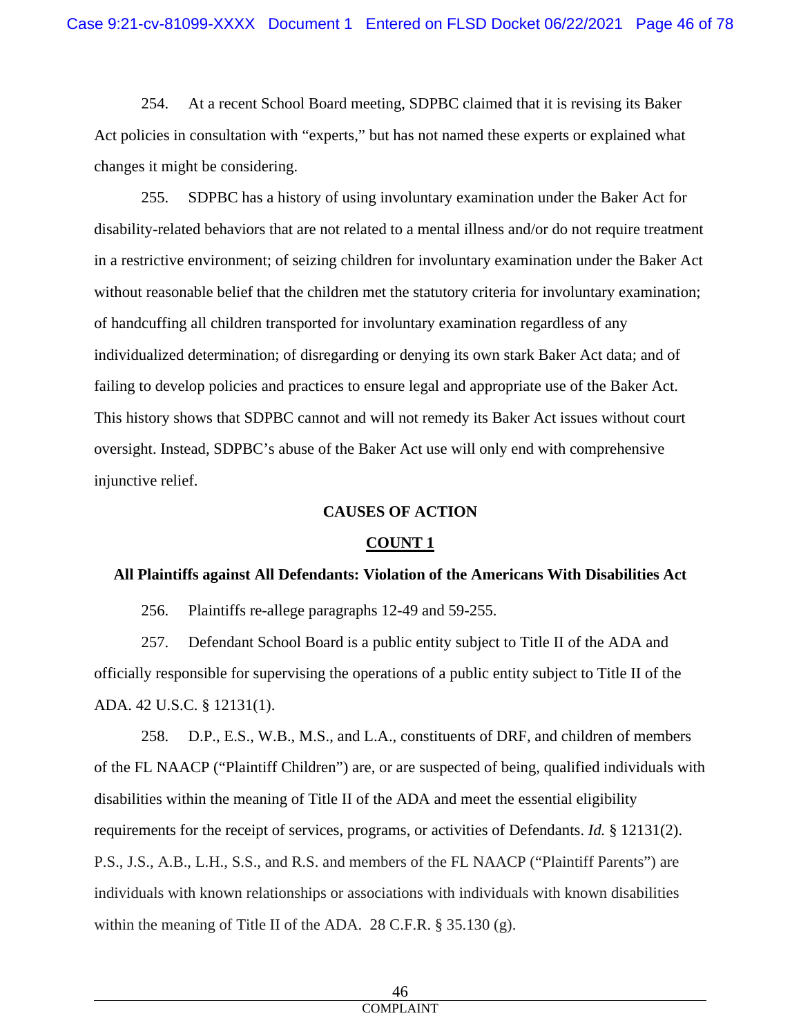254. At a recent School Board meeting, SDPBC claimed that it is revising its Baker Act policies in consultation with "experts," but has not named these experts or explained what changes it might be considering.

255. SDPBC has a history of using involuntary examination under the Baker Act for disability-related behaviors that are not related to a mental illness and/or do not require treatment in a restrictive environment; of seizing children for involuntary examination under the Baker Act without reasonable belief that the children met the statutory criteria for involuntary examination; of handcuffing all children transported for involuntary examination regardless of any individualized determination; of disregarding or denying its own stark Baker Act data; and of failing to develop policies and practices to ensure legal and appropriate use of the Baker Act. This history shows that SDPBC cannot and will not remedy its Baker Act issues without court oversight. Instead, SDPBC's abuse of the Baker Act use will only end with comprehensive injunctive relief.

#### **CAUSES OF ACTION**

# **COUNT 1**

#### **All Plaintiffs against All Defendants: Violation of the Americans With Disabilities Act**

256. Plaintiffs re-allege paragraphs 12-49 and 59-255.

257. Defendant School Board is a public entity subject to Title II of the ADA and officially responsible for supervising the operations of a public entity subject to Title II of the ADA. 42 U.S.C. § 12131(1).

258. D.P., E.S., W.B., M.S., and L.A., constituents of DRF, and children of members of the FL NAACP ("Plaintiff Children") are, or are suspected of being, qualified individuals with disabilities within the meaning of Title II of the ADA and meet the essential eligibility requirements for the receipt of services, programs, or activities of Defendants. *Id.* § 12131(2). P.S., J.S., A.B., L.H., S.S., and R.S. and members of the FL NAACP ("Plaintiff Parents") are individuals with known relationships or associations with individuals with known disabilities within the meaning of Title II of the ADA. 28 C.F.R. § 35.130 (g).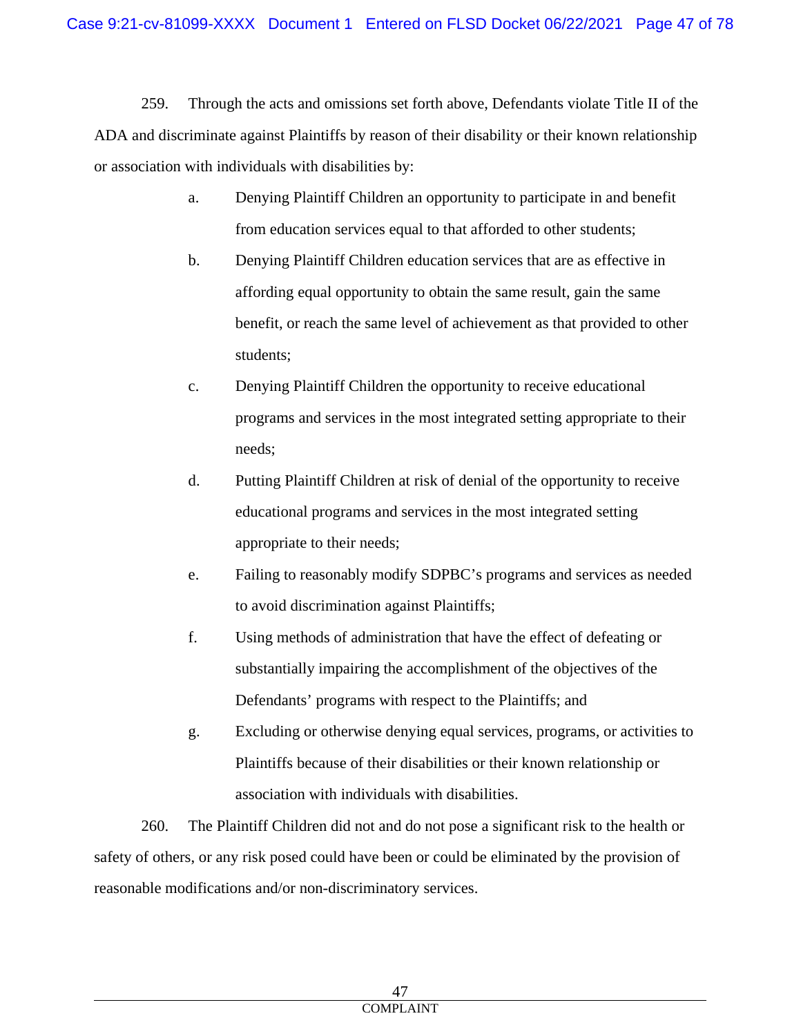259. Through the acts and omissions set forth above, Defendants violate Title II of the ADA and discriminate against Plaintiffs by reason of their disability or their known relationship or association with individuals with disabilities by:

- a. Denying Plaintiff Children an opportunity to participate in and benefit from education services equal to that afforded to other students;
- b. Denying Plaintiff Children education services that are as effective in affording equal opportunity to obtain the same result, gain the same benefit, or reach the same level of achievement as that provided to other students;
- c. Denying Plaintiff Children the opportunity to receive educational programs and services in the most integrated setting appropriate to their needs;
- d. Putting Plaintiff Children at risk of denial of the opportunity to receive educational programs and services in the most integrated setting appropriate to their needs;
- e. Failing to reasonably modify SDPBC's programs and services as needed to avoid discrimination against Plaintiffs;
- f. Using methods of administration that have the effect of defeating or substantially impairing the accomplishment of the objectives of the Defendants' programs with respect to the Plaintiffs; and
- g. Excluding or otherwise denying equal services, programs, or activities to Plaintiffs because of their disabilities or their known relationship or association with individuals with disabilities.

260. The Plaintiff Children did not and do not pose a significant risk to the health or safety of others, or any risk posed could have been or could be eliminated by the provision of reasonable modifications and/or non-discriminatory services.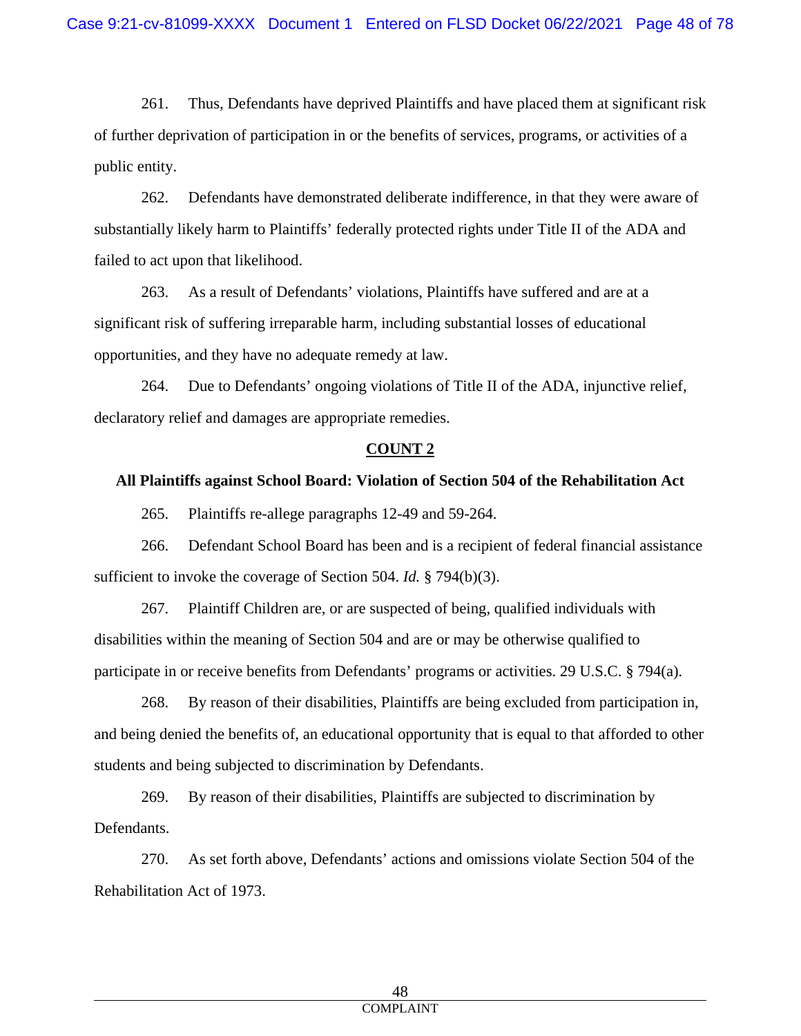261. Thus, Defendants have deprived Plaintiffs and have placed them at significant risk of further deprivation of participation in or the benefits of services, programs, or activities of a public entity.

262. Defendants have demonstrated deliberate indifference, in that they were aware of substantially likely harm to Plaintiffs' federally protected rights under Title II of the ADA and failed to act upon that likelihood.

263. As a result of Defendants' violations, Plaintiffs have suffered and are at a significant risk of suffering irreparable harm, including substantial losses of educational opportunities, and they have no adequate remedy at law.

264. Due to Defendants' ongoing violations of Title II of the ADA, injunctive relief, declaratory relief and damages are appropriate remedies.

#### **COUNT 2**

#### **All Plaintiffs against School Board: Violation of Section 504 of the Rehabilitation Act**

265. Plaintiffs re-allege paragraphs 12-49 and 59-264.

266. Defendant School Board has been and is a recipient of federal financial assistance sufficient to invoke the coverage of Section 504. *Id.* § 794(b)(3).

267. Plaintiff Children are, or are suspected of being, qualified individuals with disabilities within the meaning of Section 504 and are or may be otherwise qualified to participate in or receive benefits from Defendants' programs or activities. 29 U.S.C. § 794(a).

268. By reason of their disabilities, Plaintiffs are being excluded from participation in, and being denied the benefits of, an educational opportunity that is equal to that afforded to other students and being subjected to discrimination by Defendants.

269. By reason of their disabilities, Plaintiffs are subjected to discrimination by Defendants.

270. As set forth above, Defendants' actions and omissions violate Section 504 of the Rehabilitation Act of 1973.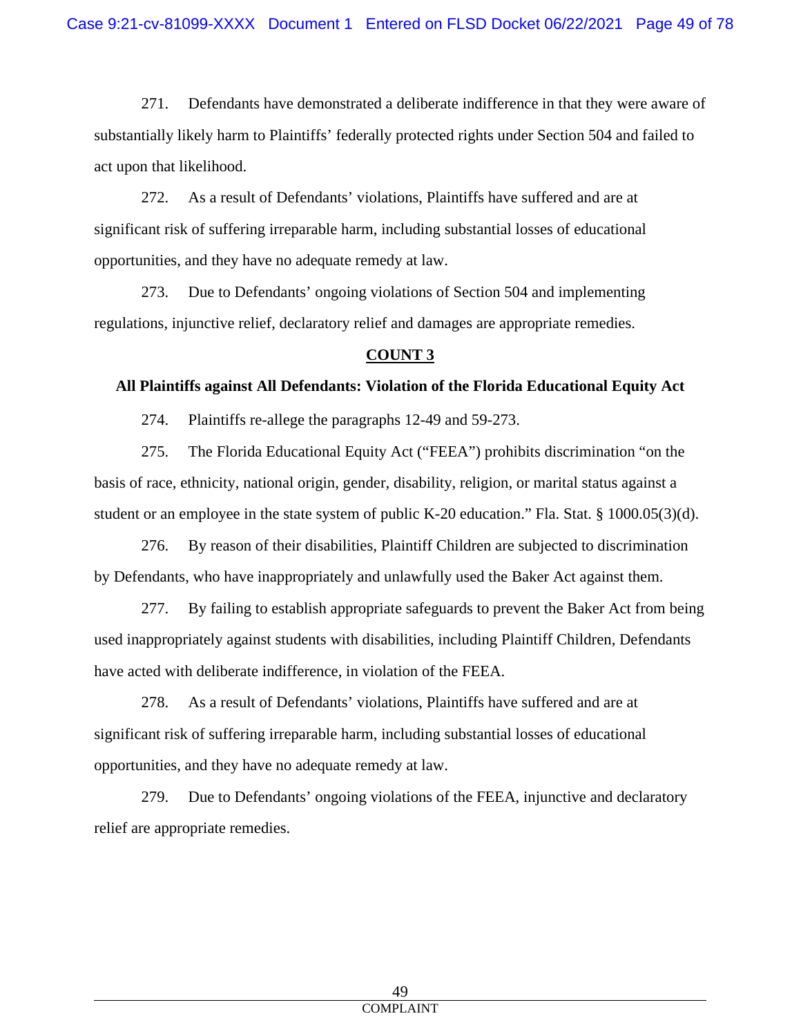271. Defendants have demonstrated a deliberate indifference in that they were aware of substantially likely harm to Plaintiffs' federally protected rights under Section 504 and failed to act upon that likelihood.

272. As a result of Defendants' violations, Plaintiffs have suffered and are at significant risk of suffering irreparable harm, including substantial losses of educational opportunities, and they have no adequate remedy at law.

273. Due to Defendants' ongoing violations of Section 504 and implementing regulations, injunctive relief, declaratory relief and damages are appropriate remedies.

# **COUNT 3**

# **All Plaintiffs against All Defendants: Violation of the Florida Educational Equity Act**

274. Plaintiffs re-allege the paragraphs 12-49 and 59-273.

275. The Florida Educational Equity Act ("FEEA") prohibits discrimination "on the basis of race, ethnicity, national origin, gender, disability, religion, or marital status against a student or an employee in the state system of public K-20 education." Fla. Stat. § 1000.05(3)(d).

276. By reason of their disabilities, Plaintiff Children are subjected to discrimination by Defendants, who have inappropriately and unlawfully used the Baker Act against them.

277. By failing to establish appropriate safeguards to prevent the Baker Act from being used inappropriately against students with disabilities, including Plaintiff Children, Defendants have acted with deliberate indifference, in violation of the FEEA.

278. As a result of Defendants' violations, Plaintiffs have suffered and are at significant risk of suffering irreparable harm, including substantial losses of educational opportunities, and they have no adequate remedy at law.

279. Due to Defendants' ongoing violations of the FEEA, injunctive and declaratory relief are appropriate remedies.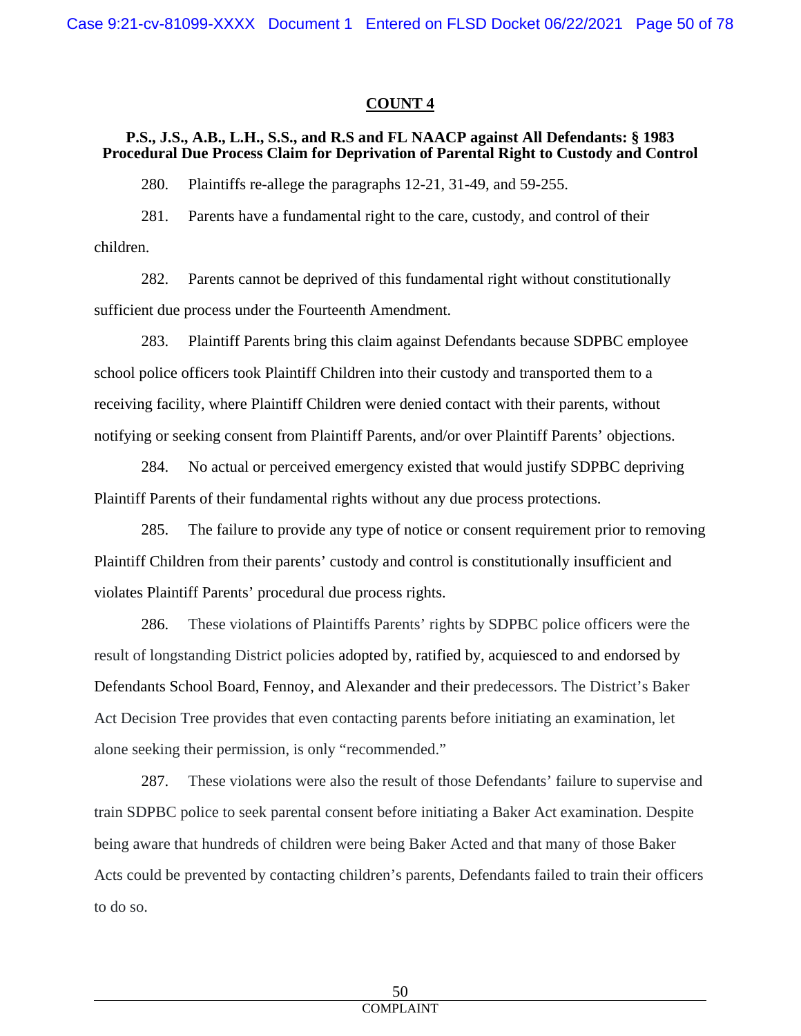#### **COUNT 4**

#### **P.S., J.S., A.B., L.H., S.S., and R.S and FL NAACP against All Defendants: § 1983 Procedural Due Process Claim for Deprivation of Parental Right to Custody and Control**

280. Plaintiffs re-allege the paragraphs 12-21, 31-49, and 59-255.

281. Parents have a fundamental right to the care, custody, and control of their children.

282. Parents cannot be deprived of this fundamental right without constitutionally sufficient due process under the Fourteenth Amendment.

283. Plaintiff Parents bring this claim against Defendants because SDPBC employee school police officers took Plaintiff Children into their custody and transported them to a receiving facility, where Plaintiff Children were denied contact with their parents, without notifying or seeking consent from Plaintiff Parents, and/or over Plaintiff Parents' objections.

284. No actual or perceived emergency existed that would justify SDPBC depriving Plaintiff Parents of their fundamental rights without any due process protections.

285. The failure to provide any type of notice or consent requirement prior to removing Plaintiff Children from their parents' custody and control is constitutionally insufficient and violates Plaintiff Parents' procedural due process rights.

286. These violations of Plaintiffs Parents' rights by SDPBC police officers were the result of longstanding District policies adopted by, ratified by, acquiesced to and endorsed by Defendants School Board, Fennoy, and Alexander and their predecessors. The District's Baker Act Decision Tree provides that even contacting parents before initiating an examination, let alone seeking their permission, is only "recommended."

287. These violations were also the result of those Defendants' failure to supervise and train SDPBC police to seek parental consent before initiating a Baker Act examination. Despite being aware that hundreds of children were being Baker Acted and that many of those Baker Acts could be prevented by contacting children's parents, Defendants failed to train their officers to do so.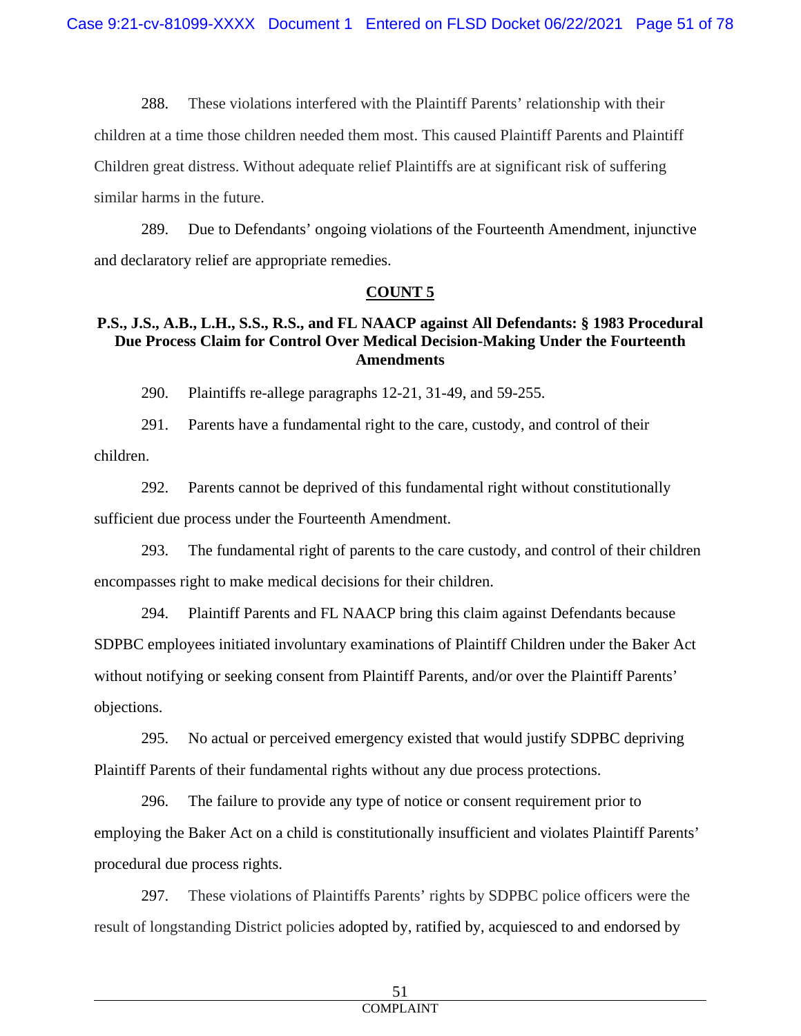288. These violations interfered with the Plaintiff Parents' relationship with their children at a time those children needed them most. This caused Plaintiff Parents and Plaintiff Children great distress. Without adequate relief Plaintiffs are at significant risk of suffering similar harms in the future.

289. Due to Defendants' ongoing violations of the Fourteenth Amendment, injunctive and declaratory relief are appropriate remedies.

#### **COUNT 5**

# **P.S., J.S., A.B., L.H., S.S., R.S., and FL NAACP against All Defendants: § 1983 Procedural Due Process Claim for Control Over Medical Decision-Making Under the Fourteenth Amendments**

290. Plaintiffs re-allege paragraphs 12-21, 31-49, and 59-255.

291. Parents have a fundamental right to the care, custody, and control of their children.

292. Parents cannot be deprived of this fundamental right without constitutionally sufficient due process under the Fourteenth Amendment.

293. The fundamental right of parents to the care custody, and control of their children encompasses right to make medical decisions for their children.

294. Plaintiff Parents and FL NAACP bring this claim against Defendants because SDPBC employees initiated involuntary examinations of Plaintiff Children under the Baker Act without notifying or seeking consent from Plaintiff Parents, and/or over the Plaintiff Parents' objections.

295. No actual or perceived emergency existed that would justify SDPBC depriving Plaintiff Parents of their fundamental rights without any due process protections.

296. The failure to provide any type of notice or consent requirement prior to employing the Baker Act on a child is constitutionally insufficient and violates Plaintiff Parents' procedural due process rights.

297. These violations of Plaintiffs Parents' rights by SDPBC police officers were the result of longstanding District policies adopted by, ratified by, acquiesced to and endorsed by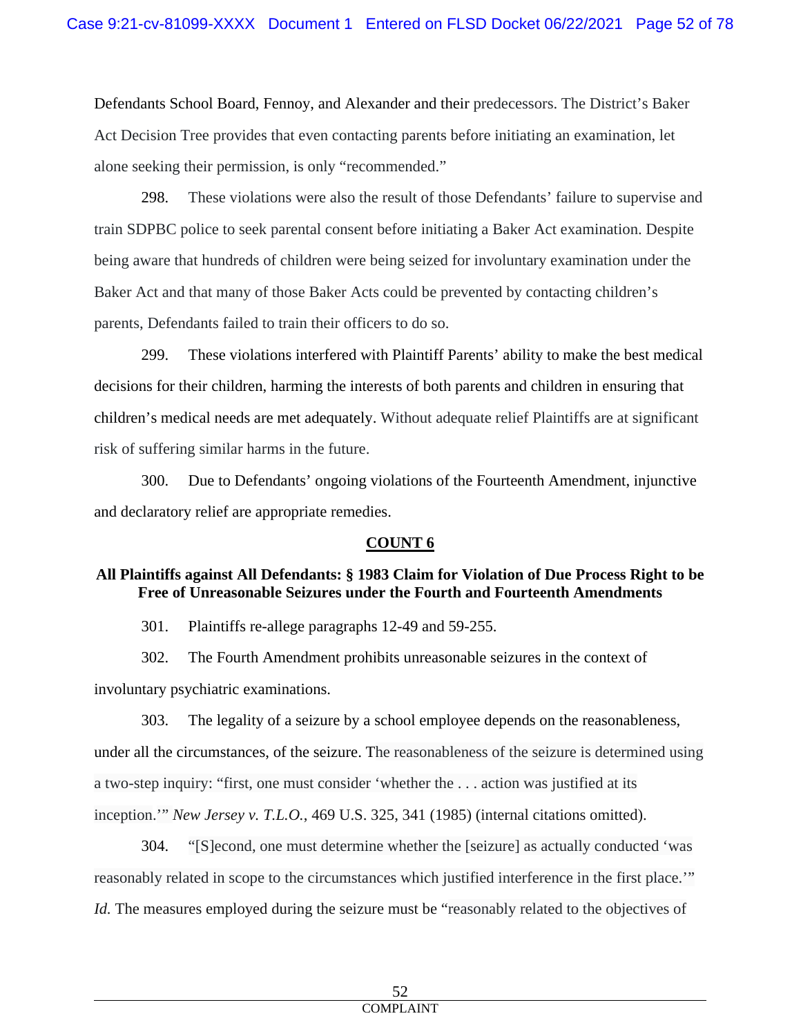Defendants School Board, Fennoy, and Alexander and their predecessors. The District's Baker Act Decision Tree provides that even contacting parents before initiating an examination, let alone seeking their permission, is only "recommended."

298. These violations were also the result of those Defendants' failure to supervise and train SDPBC police to seek parental consent before initiating a Baker Act examination. Despite being aware that hundreds of children were being seized for involuntary examination under the Baker Act and that many of those Baker Acts could be prevented by contacting children's parents, Defendants failed to train their officers to do so.

299. These violations interfered with Plaintiff Parents' ability to make the best medical decisions for their children, harming the interests of both parents and children in ensuring that children's medical needs are met adequately. Without adequate relief Plaintiffs are at significant risk of suffering similar harms in the future.

300. Due to Defendants' ongoing violations of the Fourteenth Amendment, injunctive and declaratory relief are appropriate remedies.

# **COUNT 6**

# **All Plaintiffs against All Defendants: § 1983 Claim for Violation of Due Process Right to be Free of Unreasonable Seizures under the Fourth and Fourteenth Amendments**

301. Plaintiffs re-allege paragraphs 12-49 and 59-255.

302. The Fourth Amendment prohibits unreasonable seizures in the context of involuntary psychiatric examinations.

303. The legality of a seizure by a school employee depends on the reasonableness, under all the circumstances, of the seizure. The reasonableness of the seizure is determined using a two-step inquiry: "first, one must consider 'whether the . . . action was justified at its inception.'" *New Jersey v. T.L.O.*, 469 U.S. 325, 341 (1985) (internal citations omitted).

304. "[S]econd, one must determine whether the [seizure] as actually conducted 'was reasonably related in scope to the circumstances which justified interference in the first place.'" *Id.* The measures employed during the seizure must be "reasonably related to the objectives of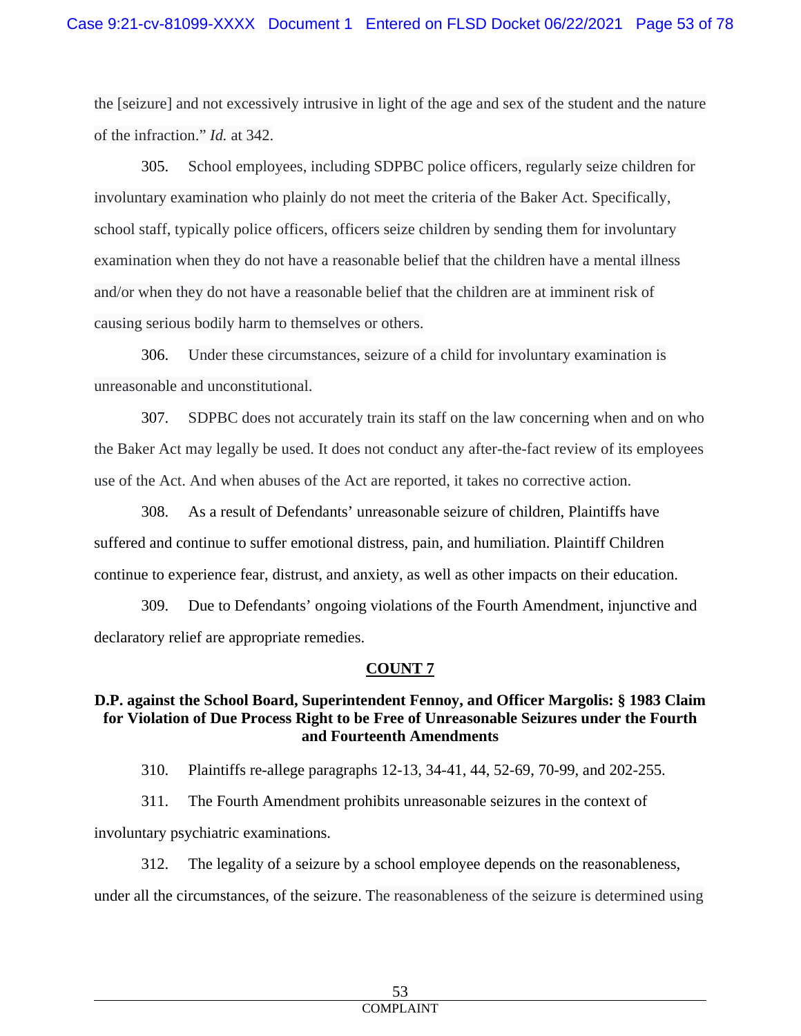the [seizure] and not excessively intrusive in light of the age and sex of the student and the nature of the infraction." *Id.* at 342.

305. School employees, including SDPBC police officers, regularly seize children for involuntary examination who plainly do not meet the criteria of the Baker Act. Specifically, school staff, typically police officers, officers seize children by sending them for involuntary examination when they do not have a reasonable belief that the children have a mental illness and/or when they do not have a reasonable belief that the children are at imminent risk of causing serious bodily harm to themselves or others.

306. Under these circumstances, seizure of a child for involuntary examination is unreasonable and unconstitutional.

307. SDPBC does not accurately train its staff on the law concerning when and on who the Baker Act may legally be used. It does not conduct any after-the-fact review of its employees use of the Act. And when abuses of the Act are reported, it takes no corrective action.

308. As a result of Defendants' unreasonable seizure of children, Plaintiffs have suffered and continue to suffer emotional distress, pain, and humiliation. Plaintiff Children continue to experience fear, distrust, and anxiety, as well as other impacts on their education.

309. Due to Defendants' ongoing violations of the Fourth Amendment, injunctive and declaratory relief are appropriate remedies.

# **COUNT 7**

# **D.P. against the School Board, Superintendent Fennoy, and Officer Margolis: § 1983 Claim for Violation of Due Process Right to be Free of Unreasonable Seizures under the Fourth and Fourteenth Amendments**

310. Plaintiffs re-allege paragraphs 12-13, 34-41, 44, 52-69, 70-99, and 202-255.

311. The Fourth Amendment prohibits unreasonable seizures in the context of involuntary psychiatric examinations.

312. The legality of a seizure by a school employee depends on the reasonableness, under all the circumstances, of the seizure. The reasonableness of the seizure is determined using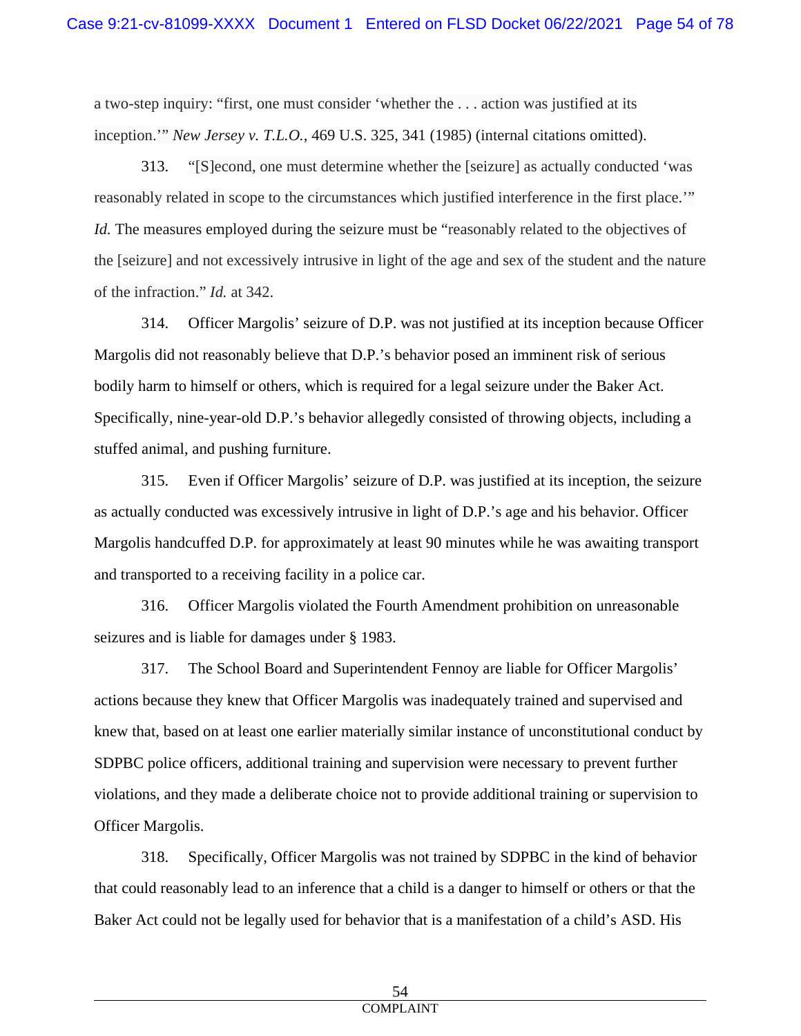a two-step inquiry: "first, one must consider 'whether the . . . action was justified at its inception.'" *New Jersey v. T.L.O.*, 469 U.S. 325, 341 (1985) (internal citations omitted).

313. "[S]econd, one must determine whether the [seizure] as actually conducted 'was reasonably related in scope to the circumstances which justified interference in the first place.'" *Id.* The measures employed during the seizure must be "reasonably related to the objectives of the [seizure] and not excessively intrusive in light of the age and sex of the student and the nature of the infraction." *Id.* at 342.

314. Officer Margolis' seizure of D.P. was not justified at its inception because Officer Margolis did not reasonably believe that D.P.'s behavior posed an imminent risk of serious bodily harm to himself or others, which is required for a legal seizure under the Baker Act. Specifically, nine-year-old D.P.'s behavior allegedly consisted of throwing objects, including a stuffed animal, and pushing furniture.

315. Even if Officer Margolis' seizure of D.P. was justified at its inception, the seizure as actually conducted was excessively intrusive in light of D.P.'s age and his behavior. Officer Margolis handcuffed D.P. for approximately at least 90 minutes while he was awaiting transport and transported to a receiving facility in a police car.

316. Officer Margolis violated the Fourth Amendment prohibition on unreasonable seizures and is liable for damages under § 1983.

317. The School Board and Superintendent Fennoy are liable for Officer Margolis' actions because they knew that Officer Margolis was inadequately trained and supervised and knew that, based on at least one earlier materially similar instance of unconstitutional conduct by SDPBC police officers, additional training and supervision were necessary to prevent further violations, and they made a deliberate choice not to provide additional training or supervision to Officer Margolis.

318. Specifically, Officer Margolis was not trained by SDPBC in the kind of behavior that could reasonably lead to an inference that a child is a danger to himself or others or that the Baker Act could not be legally used for behavior that is a manifestation of a child's ASD. His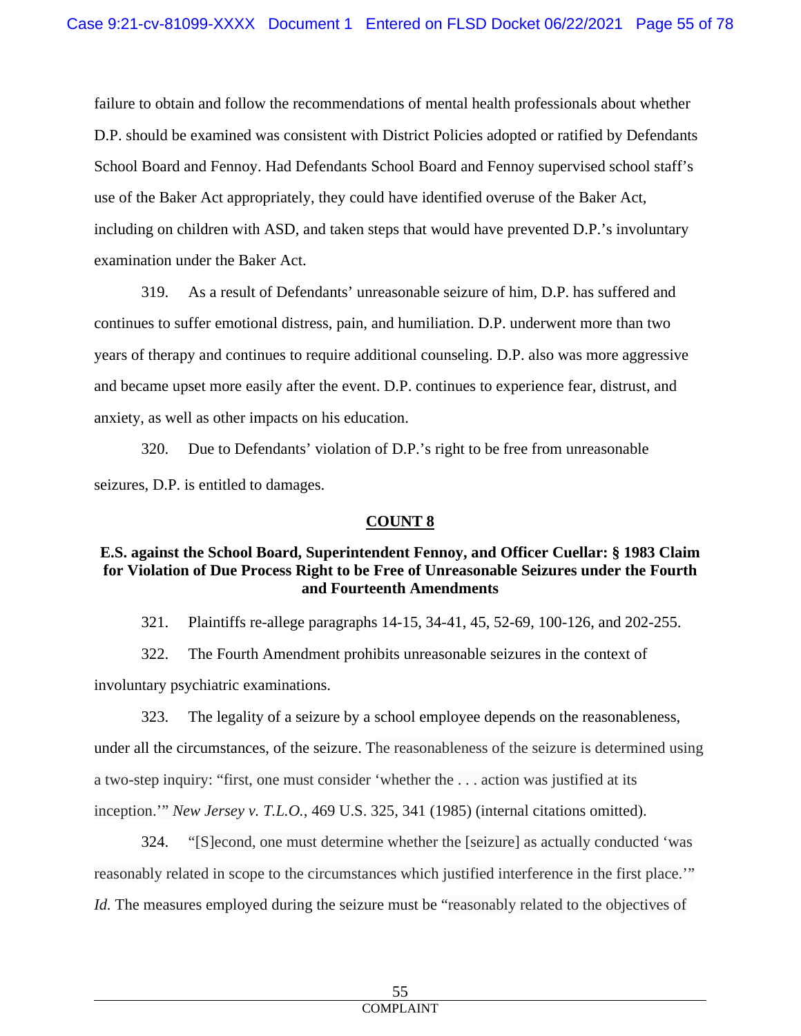failure to obtain and follow the recommendations of mental health professionals about whether D.P. should be examined was consistent with District Policies adopted or ratified by Defendants School Board and Fennoy. Had Defendants School Board and Fennoy supervised school staff's use of the Baker Act appropriately, they could have identified overuse of the Baker Act, including on children with ASD, and taken steps that would have prevented D.P.'s involuntary examination under the Baker Act.

319. As a result of Defendants' unreasonable seizure of him, D.P. has suffered and continues to suffer emotional distress, pain, and humiliation. D.P. underwent more than two years of therapy and continues to require additional counseling. D.P. also was more aggressive and became upset more easily after the event. D.P. continues to experience fear, distrust, and anxiety, as well as other impacts on his education.

320. Due to Defendants' violation of D.P.'s right to be free from unreasonable seizures, D.P. is entitled to damages.

# **COUNT 8**

#### **E.S. against the School Board, Superintendent Fennoy, and Officer Cuellar: § 1983 Claim for Violation of Due Process Right to be Free of Unreasonable Seizures under the Fourth and Fourteenth Amendments**

321. Plaintiffs re-allege paragraphs 14-15, 34-41, 45, 52-69, 100-126, and 202-255.

322. The Fourth Amendment prohibits unreasonable seizures in the context of involuntary psychiatric examinations.

323. The legality of a seizure by a school employee depends on the reasonableness, under all the circumstances, of the seizure. The reasonableness of the seizure is determined using a two-step inquiry: "first, one must consider 'whether the . . . action was justified at its inception.'" *New Jersey v. T.L.O.*, 469 U.S. 325, 341 (1985) (internal citations omitted).

324. "[S]econd, one must determine whether the [seizure] as actually conducted 'was reasonably related in scope to the circumstances which justified interference in the first place.'" *Id.* The measures employed during the seizure must be "reasonably related to the objectives of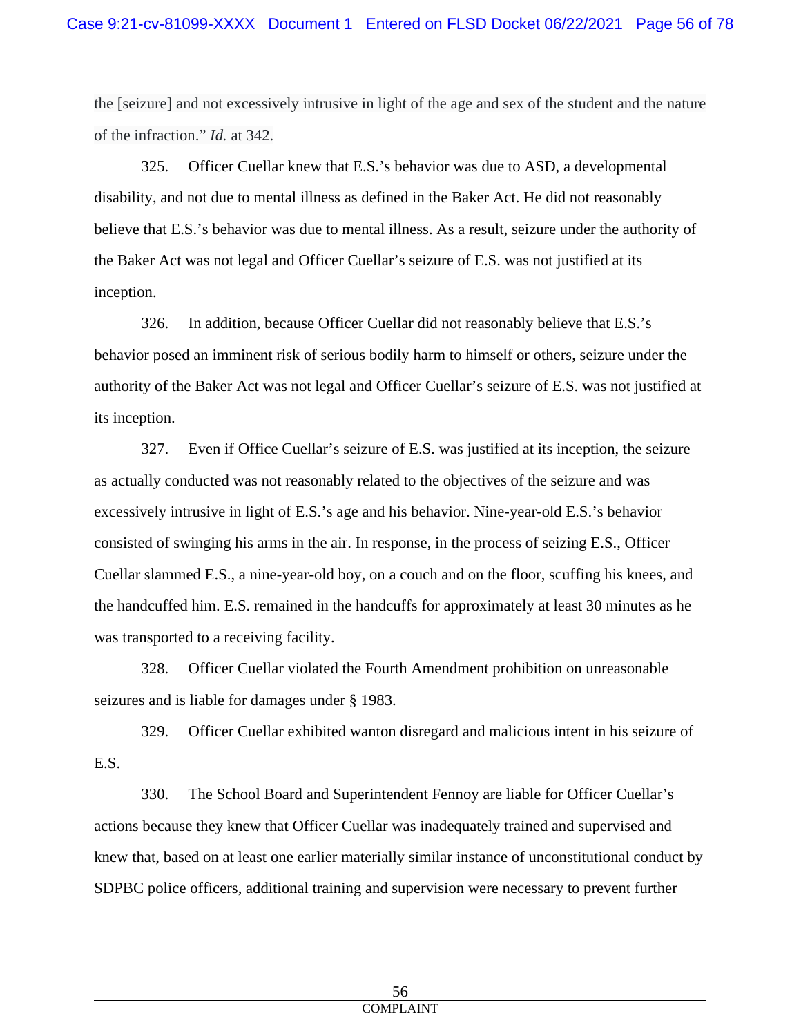the [seizure] and not excessively intrusive in light of the age and sex of the student and the nature of the infraction." *Id.* at 342.

325. Officer Cuellar knew that E.S.'s behavior was due to ASD, a developmental disability, and not due to mental illness as defined in the Baker Act. He did not reasonably believe that E.S.'s behavior was due to mental illness. As a result, seizure under the authority of the Baker Act was not legal and Officer Cuellar's seizure of E.S. was not justified at its inception.

326. In addition, because Officer Cuellar did not reasonably believe that E.S.'s behavior posed an imminent risk of serious bodily harm to himself or others, seizure under the authority of the Baker Act was not legal and Officer Cuellar's seizure of E.S. was not justified at its inception.

327. Even if Office Cuellar's seizure of E.S. was justified at its inception, the seizure as actually conducted was not reasonably related to the objectives of the seizure and was excessively intrusive in light of E.S.'s age and his behavior. Nine-year-old E.S.'s behavior consisted of swinging his arms in the air. In response, in the process of seizing E.S., Officer Cuellar slammed E.S., a nine-year-old boy, on a couch and on the floor, scuffing his knees, and the handcuffed him. E.S. remained in the handcuffs for approximately at least 30 minutes as he was transported to a receiving facility.

328. Officer Cuellar violated the Fourth Amendment prohibition on unreasonable seizures and is liable for damages under § 1983.

329. Officer Cuellar exhibited wanton disregard and malicious intent in his seizure of E.S.

330. The School Board and Superintendent Fennoy are liable for Officer Cuellar's actions because they knew that Officer Cuellar was inadequately trained and supervised and knew that, based on at least one earlier materially similar instance of unconstitutional conduct by SDPBC police officers, additional training and supervision were necessary to prevent further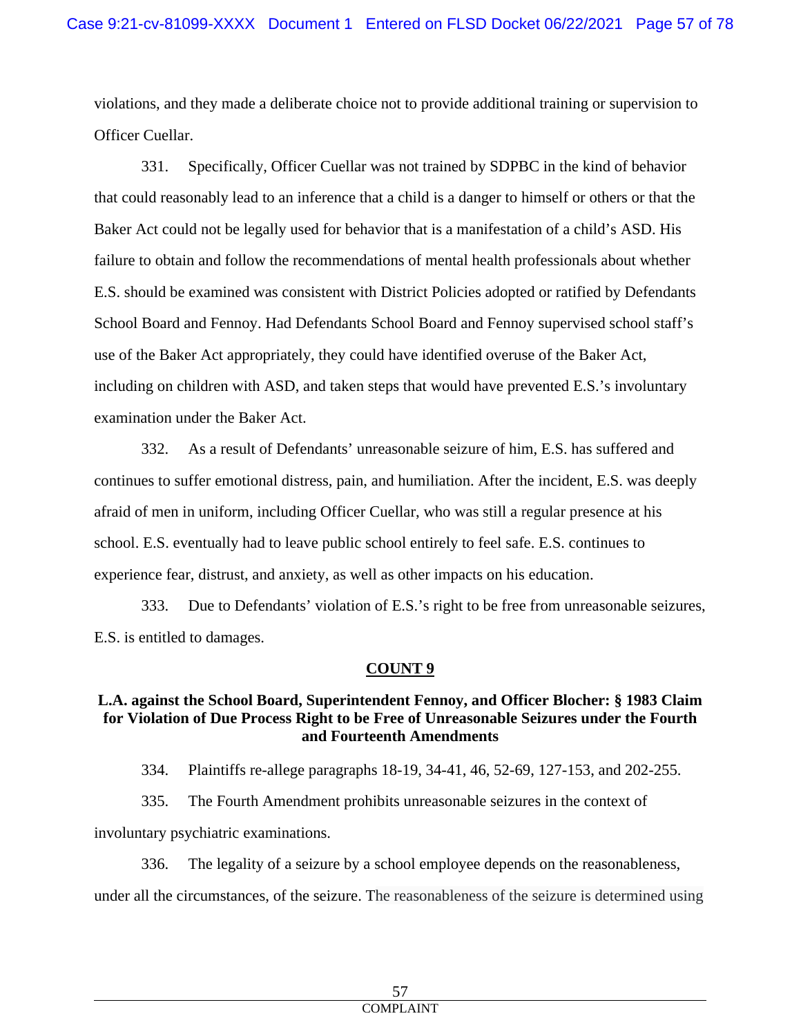violations, and they made a deliberate choice not to provide additional training or supervision to Officer Cuellar.

331. Specifically, Officer Cuellar was not trained by SDPBC in the kind of behavior that could reasonably lead to an inference that a child is a danger to himself or others or that the Baker Act could not be legally used for behavior that is a manifestation of a child's ASD. His failure to obtain and follow the recommendations of mental health professionals about whether E.S. should be examined was consistent with District Policies adopted or ratified by Defendants School Board and Fennoy. Had Defendants School Board and Fennoy supervised school staff's use of the Baker Act appropriately, they could have identified overuse of the Baker Act, including on children with ASD, and taken steps that would have prevented E.S.'s involuntary examination under the Baker Act.

332. As a result of Defendants' unreasonable seizure of him, E.S. has suffered and continues to suffer emotional distress, pain, and humiliation. After the incident, E.S. was deeply afraid of men in uniform, including Officer Cuellar, who was still a regular presence at his school. E.S. eventually had to leave public school entirely to feel safe. E.S. continues to experience fear, distrust, and anxiety, as well as other impacts on his education.

333. Due to Defendants' violation of E.S.'s right to be free from unreasonable seizures, E.S. is entitled to damages.

# **COUNT 9**

# **L.A. against the School Board, Superintendent Fennoy, and Officer Blocher: § 1983 Claim for Violation of Due Process Right to be Free of Unreasonable Seizures under the Fourth and Fourteenth Amendments**

334. Plaintiffs re-allege paragraphs 18-19, 34-41, 46, 52-69, 127-153, and 202-255.

335. The Fourth Amendment prohibits unreasonable seizures in the context of involuntary psychiatric examinations.

336. The legality of a seizure by a school employee depends on the reasonableness, under all the circumstances, of the seizure. The reasonableness of the seizure is determined using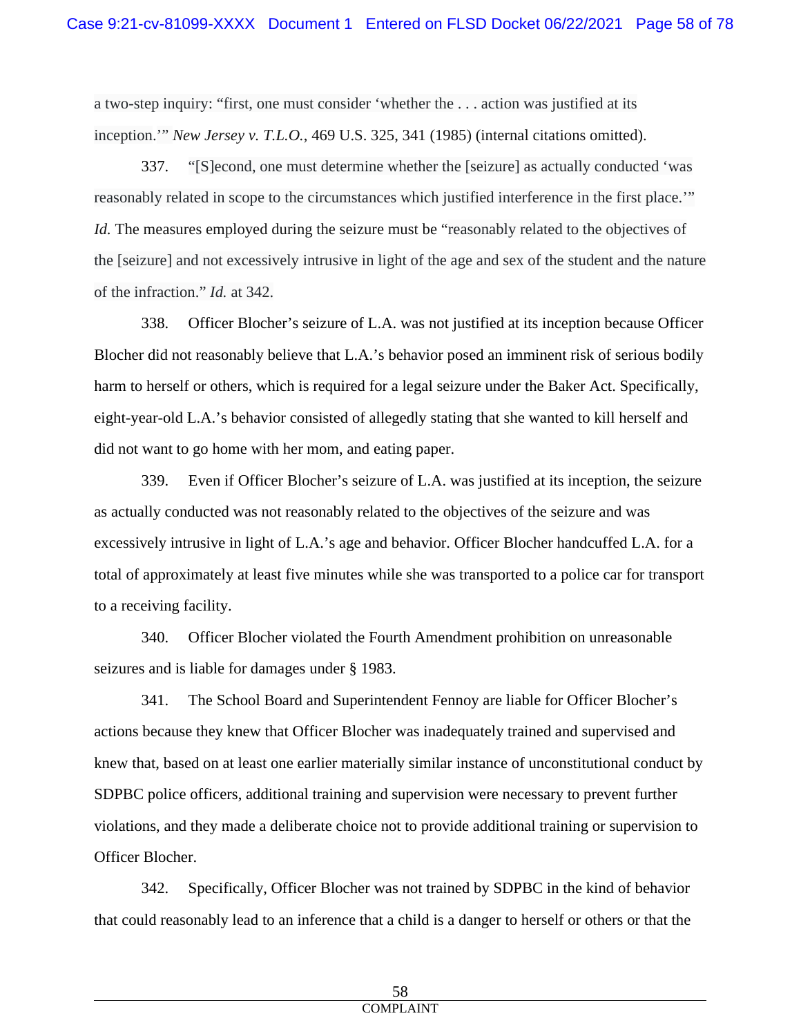a two-step inquiry: "first, one must consider 'whether the . . . action was justified at its inception.'" *New Jersey v. T.L.O.*, 469 U.S. 325, 341 (1985) (internal citations omitted).

337. "[S]econd, one must determine whether the [seizure] as actually conducted 'was reasonably related in scope to the circumstances which justified interference in the first place.'" *Id.* The measures employed during the seizure must be "reasonably related to the objectives of the [seizure] and not excessively intrusive in light of the age and sex of the student and the nature of the infraction." *Id.* at 342.

338. Officer Blocher's seizure of L.A. was not justified at its inception because Officer Blocher did not reasonably believe that L.A.'s behavior posed an imminent risk of serious bodily harm to herself or others, which is required for a legal seizure under the Baker Act. Specifically, eight-year-old L.A.'s behavior consisted of allegedly stating that she wanted to kill herself and did not want to go home with her mom, and eating paper.

339. Even if Officer Blocher's seizure of L.A. was justified at its inception, the seizure as actually conducted was not reasonably related to the objectives of the seizure and was excessively intrusive in light of L.A.'s age and behavior. Officer Blocher handcuffed L.A. for a total of approximately at least five minutes while she was transported to a police car for transport to a receiving facility.

340. Officer Blocher violated the Fourth Amendment prohibition on unreasonable seizures and is liable for damages under § 1983.

341. The School Board and Superintendent Fennoy are liable for Officer Blocher's actions because they knew that Officer Blocher was inadequately trained and supervised and knew that, based on at least one earlier materially similar instance of unconstitutional conduct by SDPBC police officers, additional training and supervision were necessary to prevent further violations, and they made a deliberate choice not to provide additional training or supervision to Officer Blocher.

342. Specifically, Officer Blocher was not trained by SDPBC in the kind of behavior that could reasonably lead to an inference that a child is a danger to herself or others or that the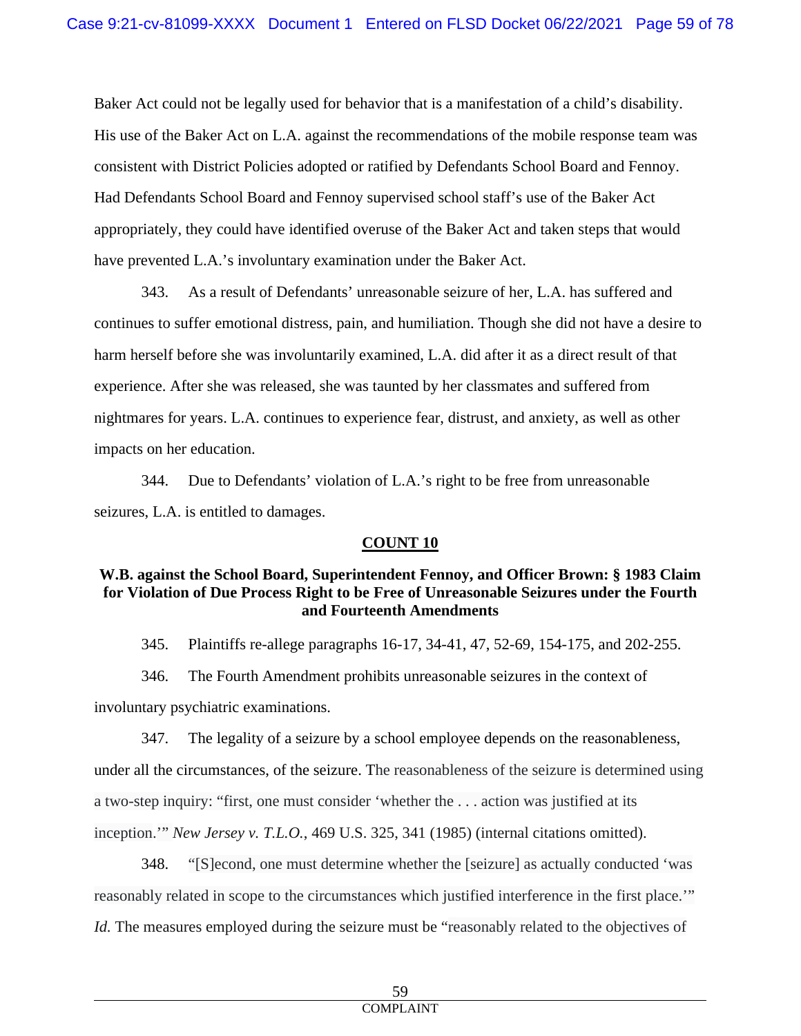Baker Act could not be legally used for behavior that is a manifestation of a child's disability. His use of the Baker Act on L.A. against the recommendations of the mobile response team was consistent with District Policies adopted or ratified by Defendants School Board and Fennoy. Had Defendants School Board and Fennoy supervised school staff's use of the Baker Act appropriately, they could have identified overuse of the Baker Act and taken steps that would have prevented L.A.'s involuntary examination under the Baker Act.

343. As a result of Defendants' unreasonable seizure of her, L.A. has suffered and continues to suffer emotional distress, pain, and humiliation. Though she did not have a desire to harm herself before she was involuntarily examined, L.A. did after it as a direct result of that experience. After she was released, she was taunted by her classmates and suffered from nightmares for years. L.A. continues to experience fear, distrust, and anxiety, as well as other impacts on her education.

344. Due to Defendants' violation of L.A.'s right to be free from unreasonable seizures, L.A. is entitled to damages.

# **COUNT 10**

# **W.B. against the School Board, Superintendent Fennoy, and Officer Brown: § 1983 Claim for Violation of Due Process Right to be Free of Unreasonable Seizures under the Fourth and Fourteenth Amendments**

345. Plaintiffs re-allege paragraphs 16-17, 34-41, 47, 52-69, 154-175, and 202-255.

346. The Fourth Amendment prohibits unreasonable seizures in the context of involuntary psychiatric examinations.

347. The legality of a seizure by a school employee depends on the reasonableness, under all the circumstances, of the seizure. The reasonableness of the seizure is determined using a two-step inquiry: "first, one must consider 'whether the . . . action was justified at its inception.'" *New Jersey v. T.L.O.*, 469 U.S. 325, 341 (1985) (internal citations omitted).

348. "[S]econd, one must determine whether the [seizure] as actually conducted 'was reasonably related in scope to the circumstances which justified interference in the first place.'" *Id.* The measures employed during the seizure must be "reasonably related to the objectives of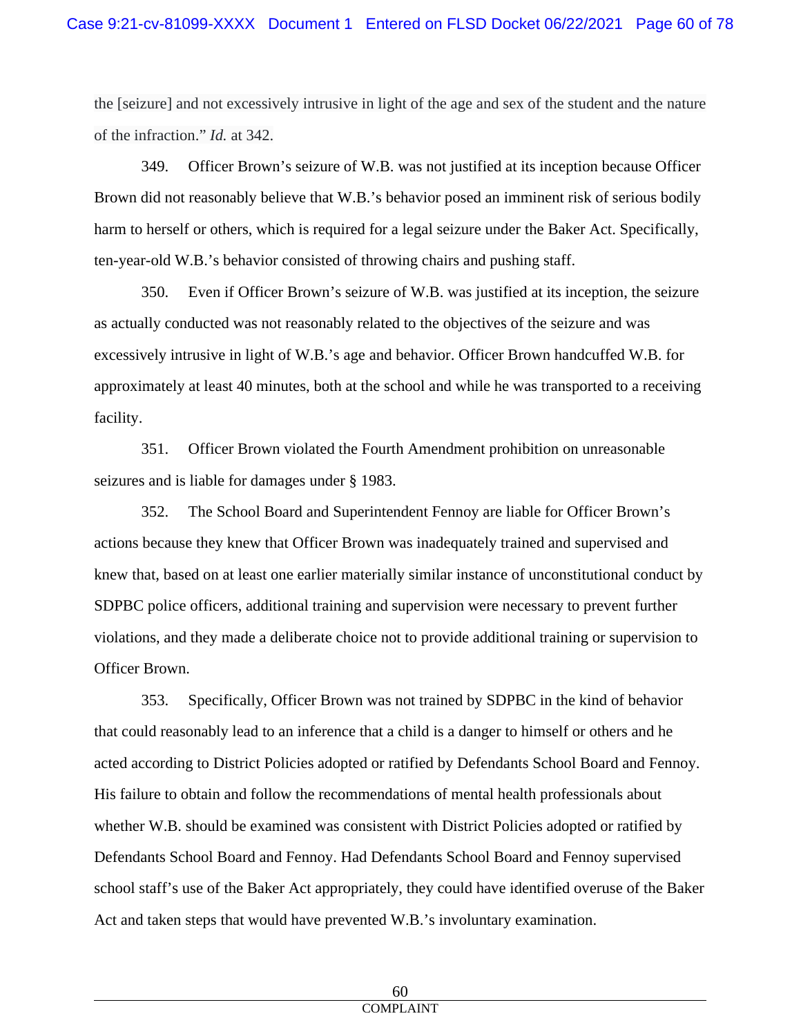the [seizure] and not excessively intrusive in light of the age and sex of the student and the nature of the infraction." *Id.* at 342.

349. Officer Brown's seizure of W.B. was not justified at its inception because Officer Brown did not reasonably believe that W.B.'s behavior posed an imminent risk of serious bodily harm to herself or others, which is required for a legal seizure under the Baker Act. Specifically, ten-year-old W.B.'s behavior consisted of throwing chairs and pushing staff.

350. Even if Officer Brown's seizure of W.B. was justified at its inception, the seizure as actually conducted was not reasonably related to the objectives of the seizure and was excessively intrusive in light of W.B.'s age and behavior. Officer Brown handcuffed W.B. for approximately at least 40 minutes, both at the school and while he was transported to a receiving facility.

351. Officer Brown violated the Fourth Amendment prohibition on unreasonable seizures and is liable for damages under § 1983.

352. The School Board and Superintendent Fennoy are liable for Officer Brown's actions because they knew that Officer Brown was inadequately trained and supervised and knew that, based on at least one earlier materially similar instance of unconstitutional conduct by SDPBC police officers, additional training and supervision were necessary to prevent further violations, and they made a deliberate choice not to provide additional training or supervision to Officer Brown.

353. Specifically, Officer Brown was not trained by SDPBC in the kind of behavior that could reasonably lead to an inference that a child is a danger to himself or others and he acted according to District Policies adopted or ratified by Defendants School Board and Fennoy. His failure to obtain and follow the recommendations of mental health professionals about whether W.B. should be examined was consistent with District Policies adopted or ratified by Defendants School Board and Fennoy. Had Defendants School Board and Fennoy supervised school staff's use of the Baker Act appropriately, they could have identified overuse of the Baker Act and taken steps that would have prevented W.B.'s involuntary examination.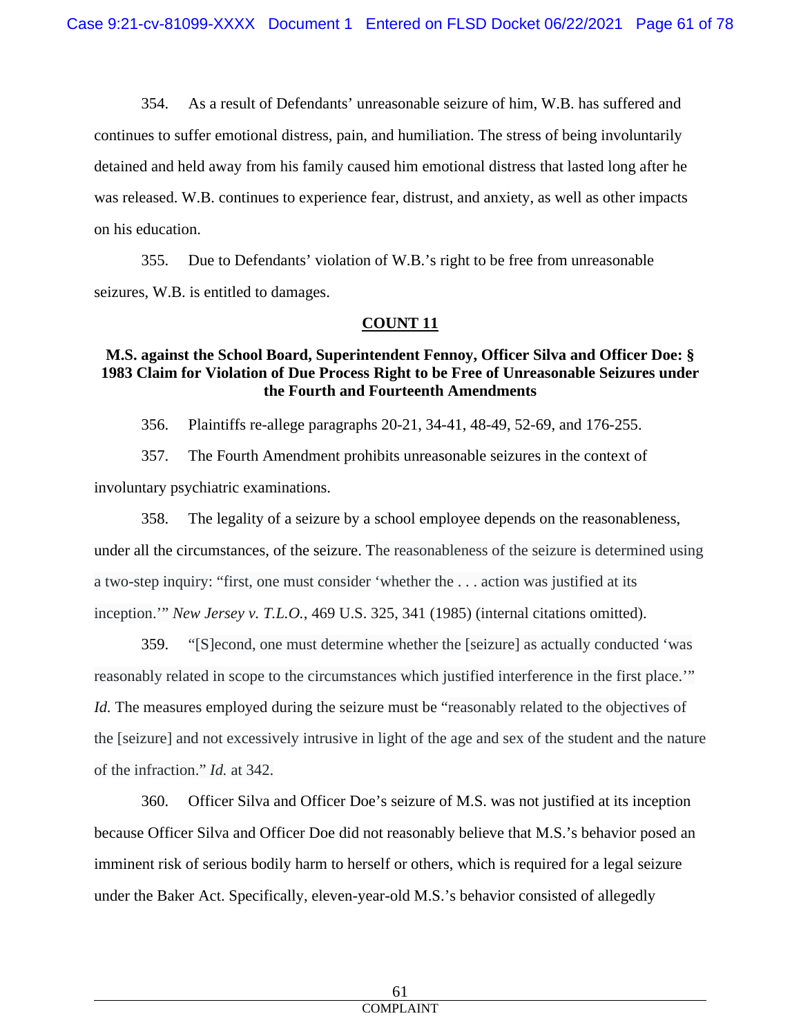354. As a result of Defendants' unreasonable seizure of him, W.B. has suffered and continues to suffer emotional distress, pain, and humiliation. The stress of being involuntarily detained and held away from his family caused him emotional distress that lasted long after he was released. W.B. continues to experience fear, distrust, and anxiety, as well as other impacts on his education.

355. Due to Defendants' violation of W.B.'s right to be free from unreasonable seizures, W.B. is entitled to damages.

# **COUNT 11**

# **M.S. against the School Board, Superintendent Fennoy, Officer Silva and Officer Doe: § 1983 Claim for Violation of Due Process Right to be Free of Unreasonable Seizures under the Fourth and Fourteenth Amendments**

356. Plaintiffs re-allege paragraphs 20-21, 34-41, 48-49, 52-69, and 176-255.

357. The Fourth Amendment prohibits unreasonable seizures in the context of involuntary psychiatric examinations.

358. The legality of a seizure by a school employee depends on the reasonableness, under all the circumstances, of the seizure. The reasonableness of the seizure is determined using a two-step inquiry: "first, one must consider 'whether the . . . action was justified at its inception.'" *New Jersey v. T.L.O.*, 469 U.S. 325, 341 (1985) (internal citations omitted).

359. "[S]econd, one must determine whether the [seizure] as actually conducted 'was reasonably related in scope to the circumstances which justified interference in the first place.'" *Id.* The measures employed during the seizure must be "reasonably related to the objectives of the [seizure] and not excessively intrusive in light of the age and sex of the student and the nature of the infraction." *Id.* at 342.

360. Officer Silva and Officer Doe's seizure of M.S. was not justified at its inception because Officer Silva and Officer Doe did not reasonably believe that M.S.'s behavior posed an imminent risk of serious bodily harm to herself or others, which is required for a legal seizure under the Baker Act. Specifically, eleven-year-old M.S.'s behavior consisted of allegedly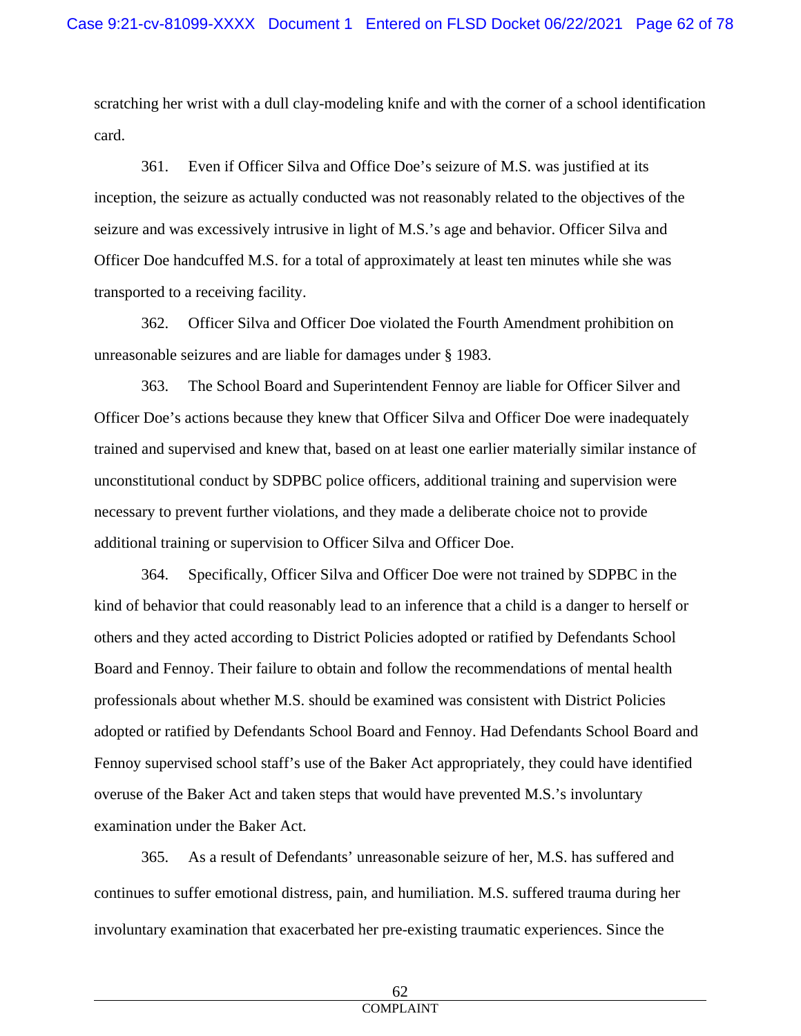scratching her wrist with a dull clay-modeling knife and with the corner of a school identification card.

361. Even if Officer Silva and Office Doe's seizure of M.S. was justified at its inception, the seizure as actually conducted was not reasonably related to the objectives of the seizure and was excessively intrusive in light of M.S.'s age and behavior. Officer Silva and Officer Doe handcuffed M.S. for a total of approximately at least ten minutes while she was transported to a receiving facility.

362. Officer Silva and Officer Doe violated the Fourth Amendment prohibition on unreasonable seizures and are liable for damages under § 1983.

363. The School Board and Superintendent Fennoy are liable for Officer Silver and Officer Doe's actions because they knew that Officer Silva and Officer Doe were inadequately trained and supervised and knew that, based on at least one earlier materially similar instance of unconstitutional conduct by SDPBC police officers, additional training and supervision were necessary to prevent further violations, and they made a deliberate choice not to provide additional training or supervision to Officer Silva and Officer Doe.

364. Specifically, Officer Silva and Officer Doe were not trained by SDPBC in the kind of behavior that could reasonably lead to an inference that a child is a danger to herself or others and they acted according to District Policies adopted or ratified by Defendants School Board and Fennoy. Their failure to obtain and follow the recommendations of mental health professionals about whether M.S. should be examined was consistent with District Policies adopted or ratified by Defendants School Board and Fennoy. Had Defendants School Board and Fennoy supervised school staff's use of the Baker Act appropriately, they could have identified overuse of the Baker Act and taken steps that would have prevented M.S.'s involuntary examination under the Baker Act.

365. As a result of Defendants' unreasonable seizure of her, M.S. has suffered and continues to suffer emotional distress, pain, and humiliation. M.S. suffered trauma during her involuntary examination that exacerbated her pre-existing traumatic experiences. Since the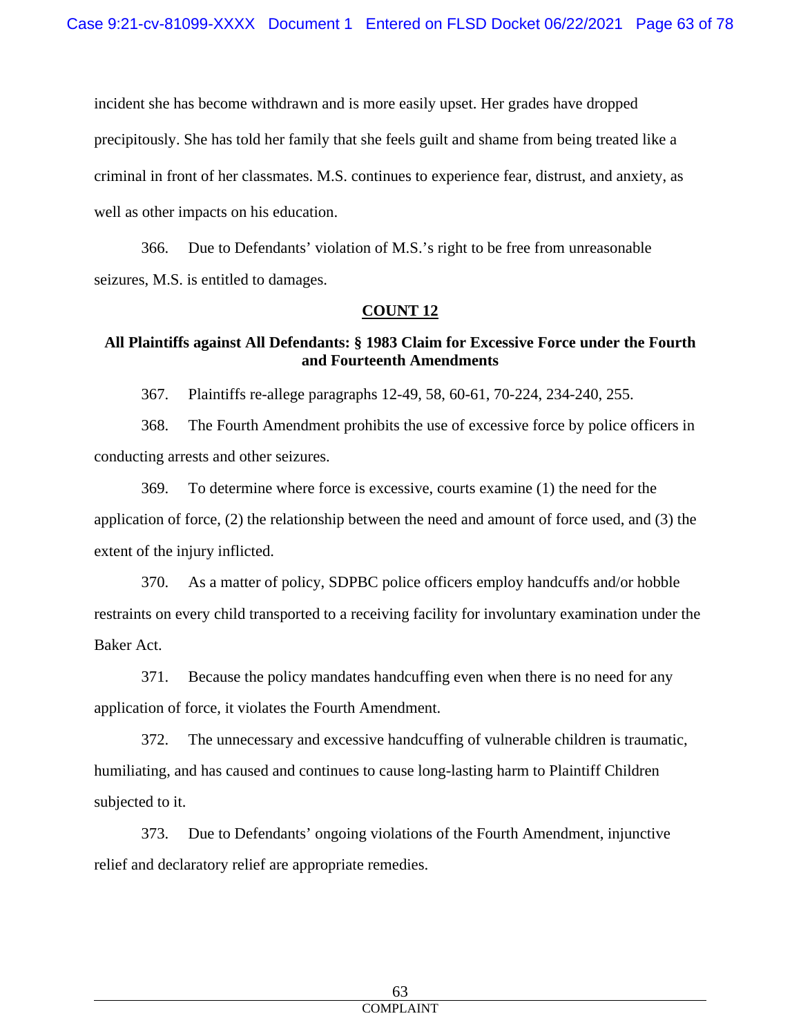incident she has become withdrawn and is more easily upset. Her grades have dropped precipitously. She has told her family that she feels guilt and shame from being treated like a criminal in front of her classmates. M.S. continues to experience fear, distrust, and anxiety, as well as other impacts on his education.

366. Due to Defendants' violation of M.S.'s right to be free from unreasonable seizures, M.S. is entitled to damages.

#### **COUNT 12**

# **All Plaintiffs against All Defendants: § 1983 Claim for Excessive Force under the Fourth and Fourteenth Amendments**

367. Plaintiffs re-allege paragraphs 12-49, 58, 60-61, 70-224, 234-240, 255.

368. The Fourth Amendment prohibits the use of excessive force by police officers in conducting arrests and other seizures.

369. To determine where force is excessive, courts examine (1) the need for the application of force, (2) the relationship between the need and amount of force used, and (3) the extent of the injury inflicted.

370. As a matter of policy, SDPBC police officers employ handcuffs and/or hobble restraints on every child transported to a receiving facility for involuntary examination under the Baker Act.

371. Because the policy mandates handcuffing even when there is no need for any application of force, it violates the Fourth Amendment.

372. The unnecessary and excessive handcuffing of vulnerable children is traumatic, humiliating, and has caused and continues to cause long-lasting harm to Plaintiff Children subjected to it.

373. Due to Defendants' ongoing violations of the Fourth Amendment, injunctive relief and declaratory relief are appropriate remedies.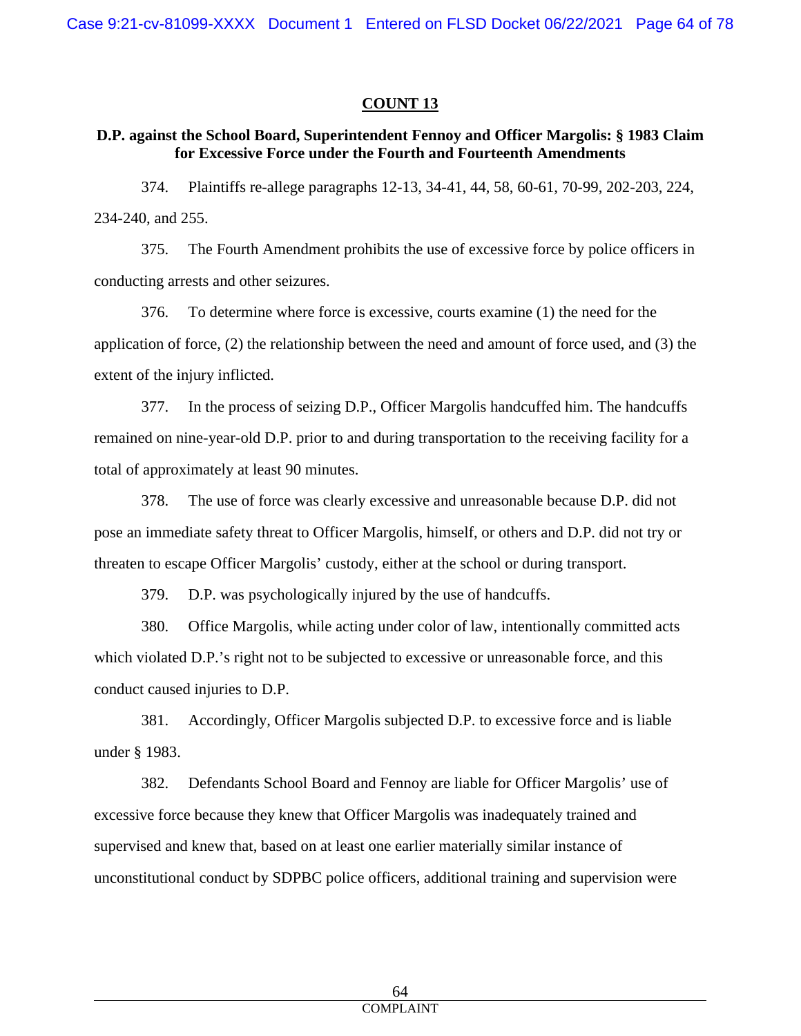#### **COUNT 13**

#### **D.P. against the School Board, Superintendent Fennoy and Officer Margolis: § 1983 Claim for Excessive Force under the Fourth and Fourteenth Amendments**

374. Plaintiffs re-allege paragraphs 12-13, 34-41, 44, 58, 60-61, 70-99, 202-203, 224, 234-240, and 255.

375. The Fourth Amendment prohibits the use of excessive force by police officers in conducting arrests and other seizures.

376. To determine where force is excessive, courts examine (1) the need for the application of force, (2) the relationship between the need and amount of force used, and (3) the extent of the injury inflicted.

377. In the process of seizing D.P., Officer Margolis handcuffed him. The handcuffs remained on nine-year-old D.P. prior to and during transportation to the receiving facility for a total of approximately at least 90 minutes.

378. The use of force was clearly excessive and unreasonable because D.P. did not pose an immediate safety threat to Officer Margolis, himself, or others and D.P. did not try or threaten to escape Officer Margolis' custody, either at the school or during transport.

379. D.P. was psychologically injured by the use of handcuffs.

380. Office Margolis, while acting under color of law, intentionally committed acts which violated D.P.'s right not to be subjected to excessive or unreasonable force, and this conduct caused injuries to D.P.

381. Accordingly, Officer Margolis subjected D.P. to excessive force and is liable under § 1983.

382. Defendants School Board and Fennoy are liable for Officer Margolis' use of excessive force because they knew that Officer Margolis was inadequately trained and supervised and knew that, based on at least one earlier materially similar instance of unconstitutional conduct by SDPBC police officers, additional training and supervision were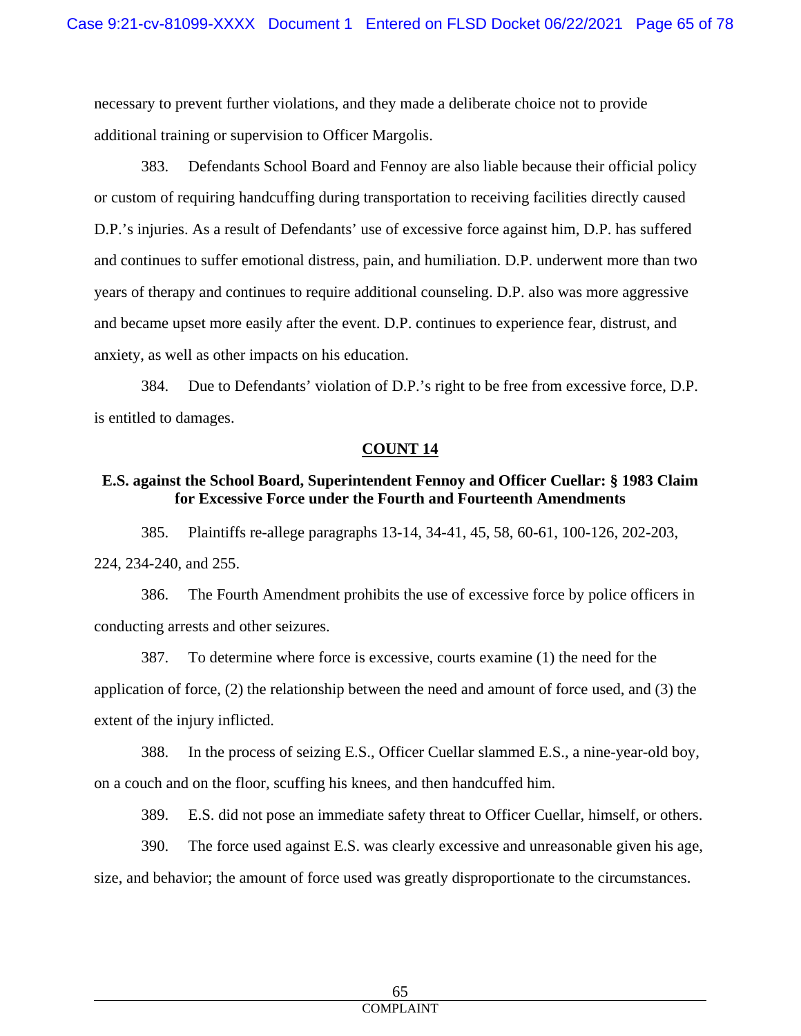necessary to prevent further violations, and they made a deliberate choice not to provide additional training or supervision to Officer Margolis.

383. Defendants School Board and Fennoy are also liable because their official policy or custom of requiring handcuffing during transportation to receiving facilities directly caused D.P.'s injuries. As a result of Defendants' use of excessive force against him, D.P. has suffered and continues to suffer emotional distress, pain, and humiliation. D.P. underwent more than two years of therapy and continues to require additional counseling. D.P. also was more aggressive and became upset more easily after the event. D.P. continues to experience fear, distrust, and anxiety, as well as other impacts on his education.

384. Due to Defendants' violation of D.P.'s right to be free from excessive force, D.P. is entitled to damages.

#### **COUNT 14**

#### **E.S. against the School Board, Superintendent Fennoy and Officer Cuellar: § 1983 Claim for Excessive Force under the Fourth and Fourteenth Amendments**

385. Plaintiffs re-allege paragraphs 13-14, 34-41, 45, 58, 60-61, 100-126, 202-203, 224, 234-240, and 255.

386. The Fourth Amendment prohibits the use of excessive force by police officers in conducting arrests and other seizures.

387. To determine where force is excessive, courts examine (1) the need for the application of force, (2) the relationship between the need and amount of force used, and (3) the extent of the injury inflicted.

388. In the process of seizing E.S., Officer Cuellar slammed E.S., a nine-year-old boy, on a couch and on the floor, scuffing his knees, and then handcuffed him.

389. E.S. did not pose an immediate safety threat to Officer Cuellar, himself, or others.

390. The force used against E.S. was clearly excessive and unreasonable given his age, size, and behavior; the amount of force used was greatly disproportionate to the circumstances.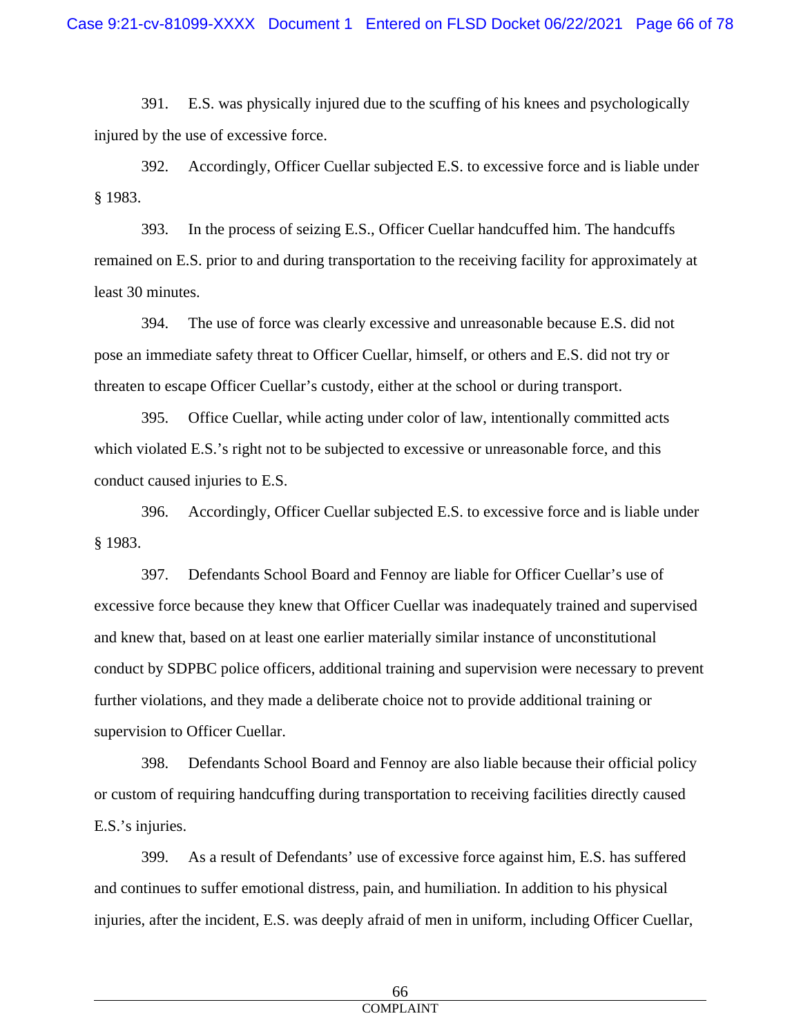391. E.S. was physically injured due to the scuffing of his knees and psychologically injured by the use of excessive force.

392. Accordingly, Officer Cuellar subjected E.S. to excessive force and is liable under § 1983.

393. In the process of seizing E.S., Officer Cuellar handcuffed him. The handcuffs remained on E.S. prior to and during transportation to the receiving facility for approximately at least 30 minutes.

394. The use of force was clearly excessive and unreasonable because E.S. did not pose an immediate safety threat to Officer Cuellar, himself, or others and E.S. did not try or threaten to escape Officer Cuellar's custody, either at the school or during transport.

395. Office Cuellar, while acting under color of law, intentionally committed acts which violated E.S.'s right not to be subjected to excessive or unreasonable force, and this conduct caused injuries to E.S.

396. Accordingly, Officer Cuellar subjected E.S. to excessive force and is liable under § 1983.

397. Defendants School Board and Fennoy are liable for Officer Cuellar's use of excessive force because they knew that Officer Cuellar was inadequately trained and supervised and knew that, based on at least one earlier materially similar instance of unconstitutional conduct by SDPBC police officers, additional training and supervision were necessary to prevent further violations, and they made a deliberate choice not to provide additional training or supervision to Officer Cuellar.

398. Defendants School Board and Fennoy are also liable because their official policy or custom of requiring handcuffing during transportation to receiving facilities directly caused E.S.'s injuries.

399. As a result of Defendants' use of excessive force against him, E.S. has suffered and continues to suffer emotional distress, pain, and humiliation. In addition to his physical injuries, after the incident, E.S. was deeply afraid of men in uniform, including Officer Cuellar,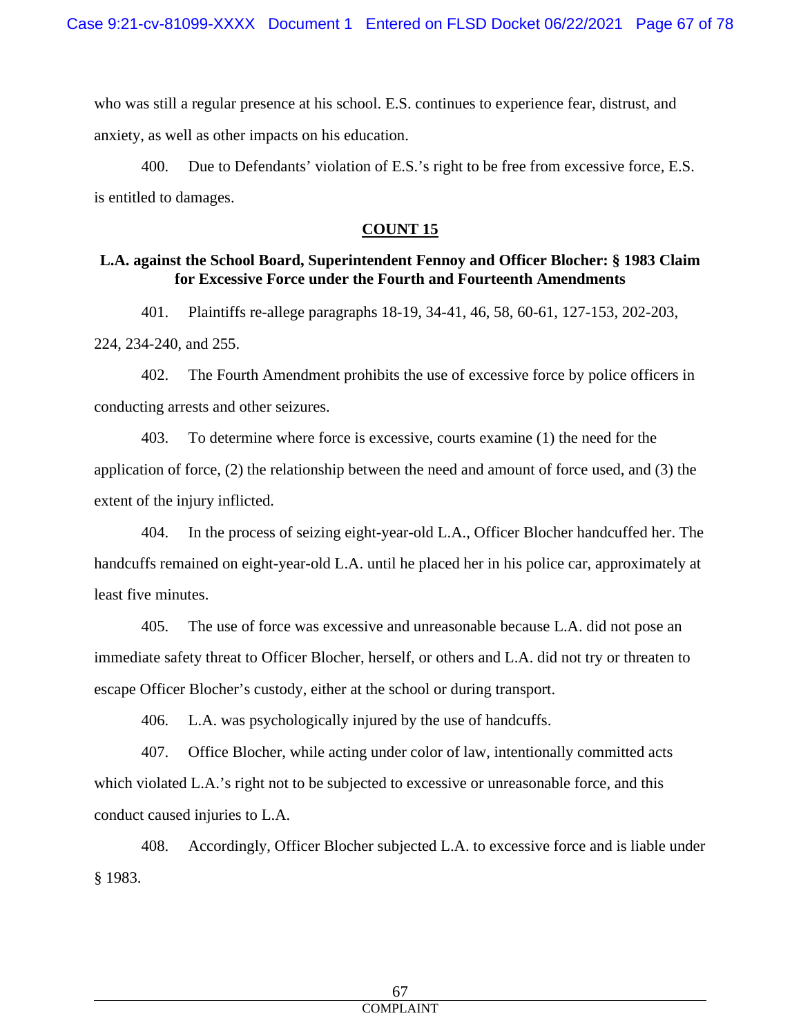who was still a regular presence at his school. E.S. continues to experience fear, distrust, and anxiety, as well as other impacts on his education.

400. Due to Defendants' violation of E.S.'s right to be free from excessive force, E.S. is entitled to damages.

# **COUNT 15**

# **L.A. against the School Board, Superintendent Fennoy and Officer Blocher: § 1983 Claim for Excessive Force under the Fourth and Fourteenth Amendments**

401. Plaintiffs re-allege paragraphs 18-19, 34-41, 46, 58, 60-61, 127-153, 202-203,

224, 234-240, and 255.

402. The Fourth Amendment prohibits the use of excessive force by police officers in conducting arrests and other seizures.

403. To determine where force is excessive, courts examine (1) the need for the application of force, (2) the relationship between the need and amount of force used, and (3) the extent of the injury inflicted.

404. In the process of seizing eight-year-old L.A., Officer Blocher handcuffed her. The handcuffs remained on eight-year-old L.A. until he placed her in his police car, approximately at least five minutes.

405. The use of force was excessive and unreasonable because L.A. did not pose an immediate safety threat to Officer Blocher, herself, or others and L.A. did not try or threaten to escape Officer Blocher's custody, either at the school or during transport.

406. L.A. was psychologically injured by the use of handcuffs.

407. Office Blocher, while acting under color of law, intentionally committed acts which violated L.A.'s right not to be subjected to excessive or unreasonable force, and this conduct caused injuries to L.A.

408. Accordingly, Officer Blocher subjected L.A. to excessive force and is liable under § 1983.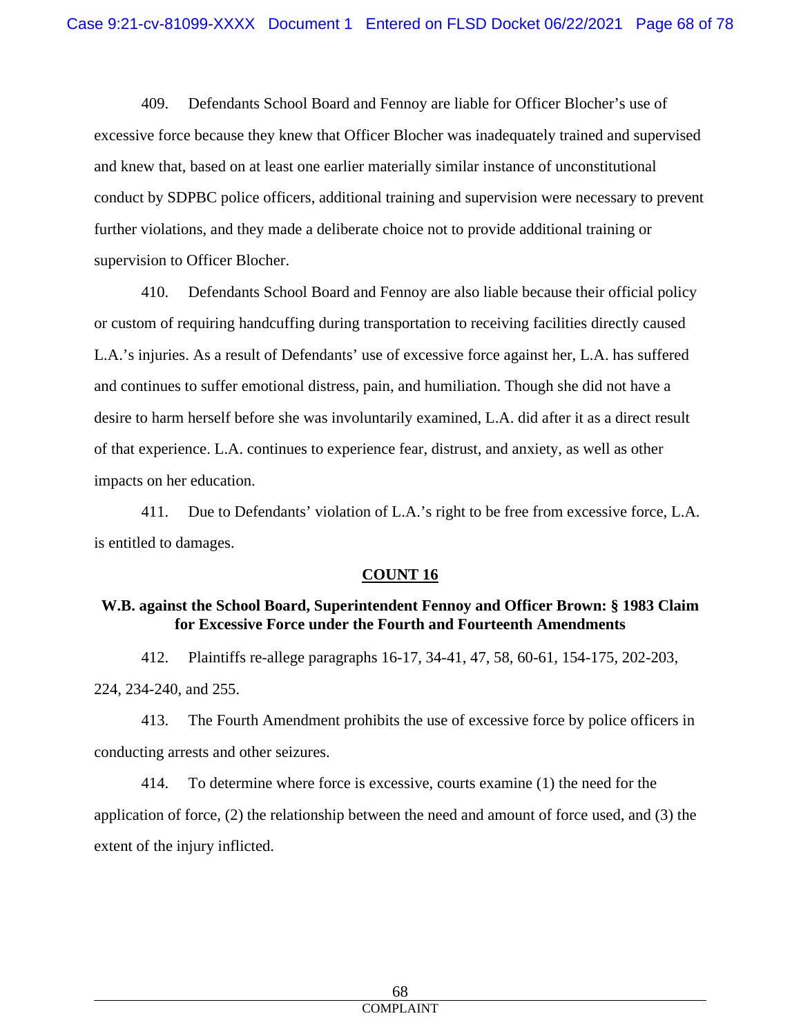409. Defendants School Board and Fennoy are liable for Officer Blocher's use of excessive force because they knew that Officer Blocher was inadequately trained and supervised and knew that, based on at least one earlier materially similar instance of unconstitutional conduct by SDPBC police officers, additional training and supervision were necessary to prevent further violations, and they made a deliberate choice not to provide additional training or supervision to Officer Blocher.

410. Defendants School Board and Fennoy are also liable because their official policy or custom of requiring handcuffing during transportation to receiving facilities directly caused L.A.'s injuries. As a result of Defendants' use of excessive force against her, L.A. has suffered and continues to suffer emotional distress, pain, and humiliation. Though she did not have a desire to harm herself before she was involuntarily examined, L.A. did after it as a direct result of that experience. L.A. continues to experience fear, distrust, and anxiety, as well as other impacts on her education.

411. Due to Defendants' violation of L.A.'s right to be free from excessive force, L.A. is entitled to damages.

# **COUNT 16**

# **W.B. against the School Board, Superintendent Fennoy and Officer Brown: § 1983 Claim for Excessive Force under the Fourth and Fourteenth Amendments**

412. Plaintiffs re-allege paragraphs 16-17, 34-41, 47, 58, 60-61, 154-175, 202-203, 224, 234-240, and 255.

413. The Fourth Amendment prohibits the use of excessive force by police officers in conducting arrests and other seizures.

414. To determine where force is excessive, courts examine (1) the need for the application of force, (2) the relationship between the need and amount of force used, and (3) the extent of the injury inflicted.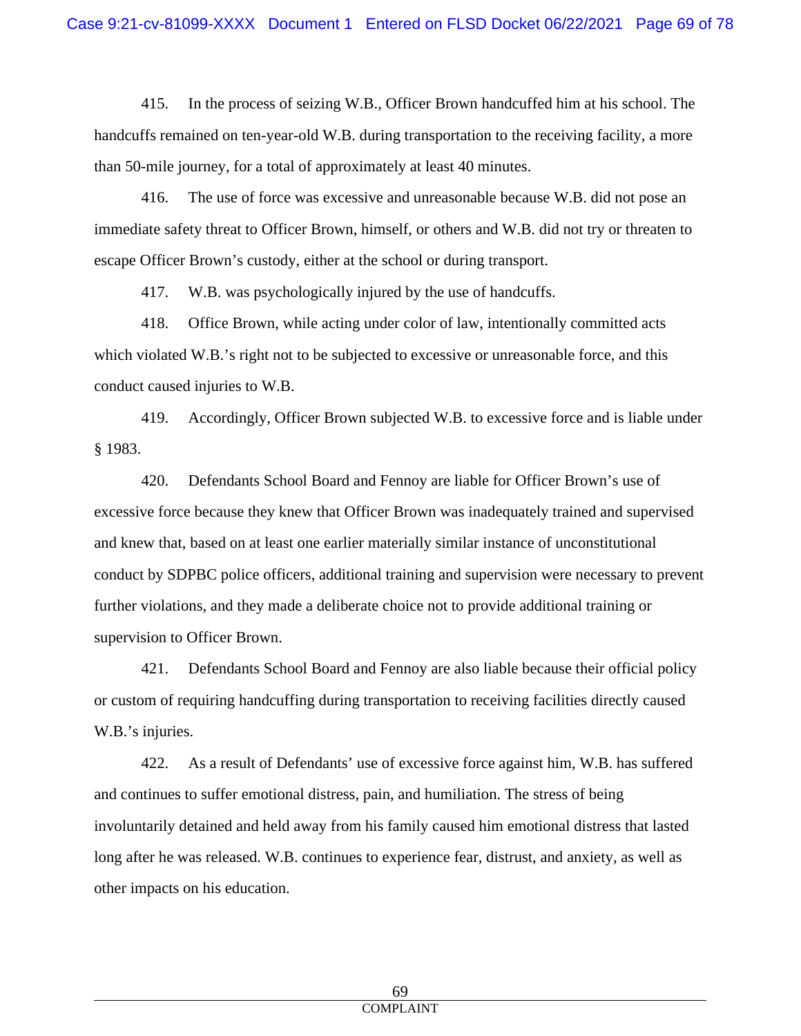415. In the process of seizing W.B., Officer Brown handcuffed him at his school. The handcuffs remained on ten-year-old W.B. during transportation to the receiving facility, a more than 50-mile journey, for a total of approximately at least 40 minutes.

416. The use of force was excessive and unreasonable because W.B. did not pose an immediate safety threat to Officer Brown, himself, or others and W.B. did not try or threaten to escape Officer Brown's custody, either at the school or during transport.

417. W.B. was psychologically injured by the use of handcuffs.

418. Office Brown, while acting under color of law, intentionally committed acts which violated W.B.'s right not to be subjected to excessive or unreasonable force, and this conduct caused injuries to W.B.

419. Accordingly, Officer Brown subjected W.B. to excessive force and is liable under § 1983.

420. Defendants School Board and Fennoy are liable for Officer Brown's use of excessive force because they knew that Officer Brown was inadequately trained and supervised and knew that, based on at least one earlier materially similar instance of unconstitutional conduct by SDPBC police officers, additional training and supervision were necessary to prevent further violations, and they made a deliberate choice not to provide additional training or supervision to Officer Brown.

421. Defendants School Board and Fennoy are also liable because their official policy or custom of requiring handcuffing during transportation to receiving facilities directly caused W.B.'s injuries.

422. As a result of Defendants' use of excessive force against him, W.B. has suffered and continues to suffer emotional distress, pain, and humiliation. The stress of being involuntarily detained and held away from his family caused him emotional distress that lasted long after he was released. W.B. continues to experience fear, distrust, and anxiety, as well as other impacts on his education.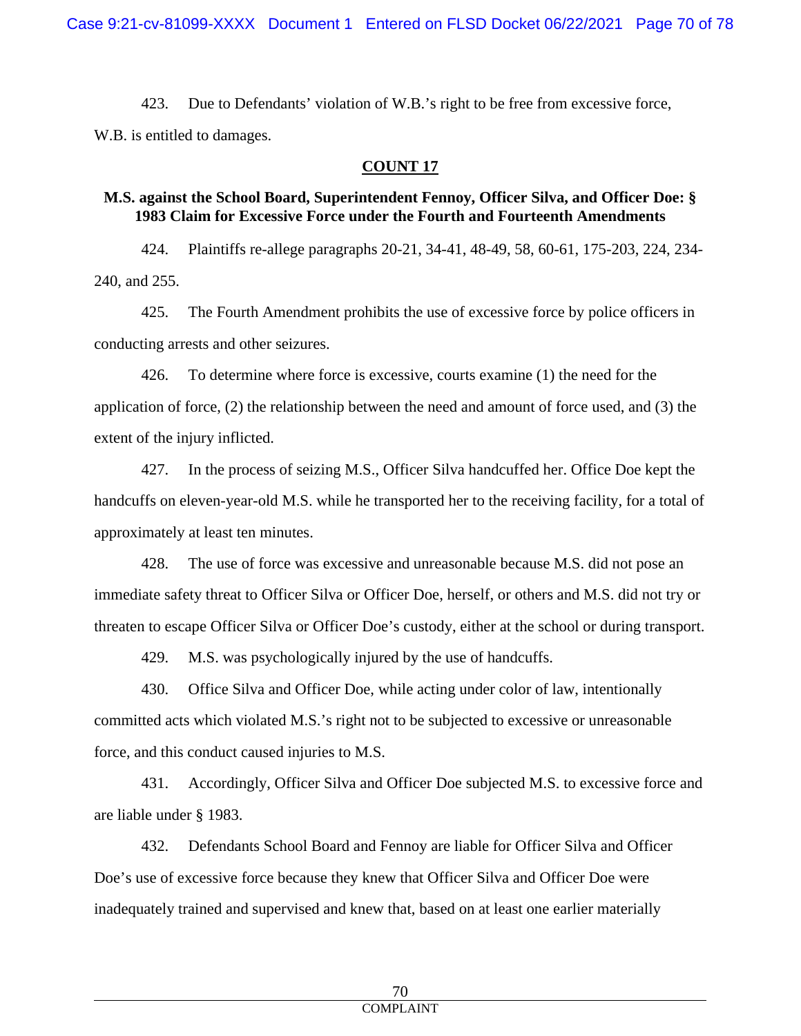423. Due to Defendants' violation of W.B.'s right to be free from excessive force,

W.B. is entitled to damages.

#### **COUNT 17**

#### **M.S. against the School Board, Superintendent Fennoy, Officer Silva, and Officer Doe: § 1983 Claim for Excessive Force under the Fourth and Fourteenth Amendments**

424. Plaintiffs re-allege paragraphs 20-21, 34-41, 48-49, 58, 60-61, 175-203, 224, 234- 240, and 255.

425. The Fourth Amendment prohibits the use of excessive force by police officers in conducting arrests and other seizures.

426. To determine where force is excessive, courts examine (1) the need for the application of force, (2) the relationship between the need and amount of force used, and (3) the extent of the injury inflicted.

427. In the process of seizing M.S., Officer Silva handcuffed her. Office Doe kept the handcuffs on eleven-year-old M.S. while he transported her to the receiving facility, for a total of approximately at least ten minutes.

428. The use of force was excessive and unreasonable because M.S. did not pose an immediate safety threat to Officer Silva or Officer Doe, herself, or others and M.S. did not try or threaten to escape Officer Silva or Officer Doe's custody, either at the school or during transport.

429. M.S. was psychologically injured by the use of handcuffs.

430. Office Silva and Officer Doe, while acting under color of law, intentionally committed acts which violated M.S.'s right not to be subjected to excessive or unreasonable force, and this conduct caused injuries to M.S.

431. Accordingly, Officer Silva and Officer Doe subjected M.S. to excessive force and are liable under § 1983.

432. Defendants School Board and Fennoy are liable for Officer Silva and Officer Doe's use of excessive force because they knew that Officer Silva and Officer Doe were inadequately trained and supervised and knew that, based on at least one earlier materially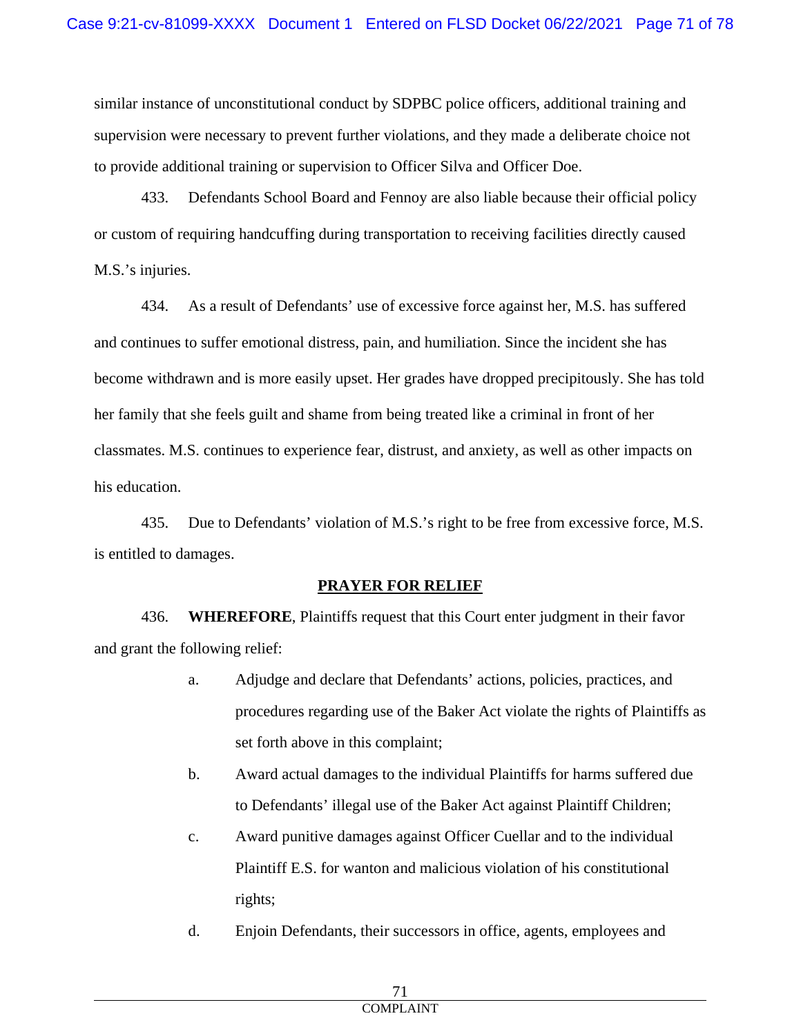similar instance of unconstitutional conduct by SDPBC police officers, additional training and supervision were necessary to prevent further violations, and they made a deliberate choice not to provide additional training or supervision to Officer Silva and Officer Doe.

433. Defendants School Board and Fennoy are also liable because their official policy or custom of requiring handcuffing during transportation to receiving facilities directly caused M.S.'s injuries.

434. As a result of Defendants' use of excessive force against her, M.S. has suffered and continues to suffer emotional distress, pain, and humiliation. Since the incident she has become withdrawn and is more easily upset. Her grades have dropped precipitously. She has told her family that she feels guilt and shame from being treated like a criminal in front of her classmates. M.S. continues to experience fear, distrust, and anxiety, as well as other impacts on his education.

435. Due to Defendants' violation of M.S.'s right to be free from excessive force, M.S. is entitled to damages.

# **PRAYER FOR RELIEF**

436. **WHEREFORE**, Plaintiffs request that this Court enter judgment in their favor and grant the following relief:

- a. Adjudge and declare that Defendants' actions, policies, practices, and procedures regarding use of the Baker Act violate the rights of Plaintiffs as set forth above in this complaint;
- b. Award actual damages to the individual Plaintiffs for harms suffered due to Defendants' illegal use of the Baker Act against Plaintiff Children;
- c. Award punitive damages against Officer Cuellar and to the individual Plaintiff E.S. for wanton and malicious violation of his constitutional rights;
- d. Enjoin Defendants, their successors in office, agents, employees and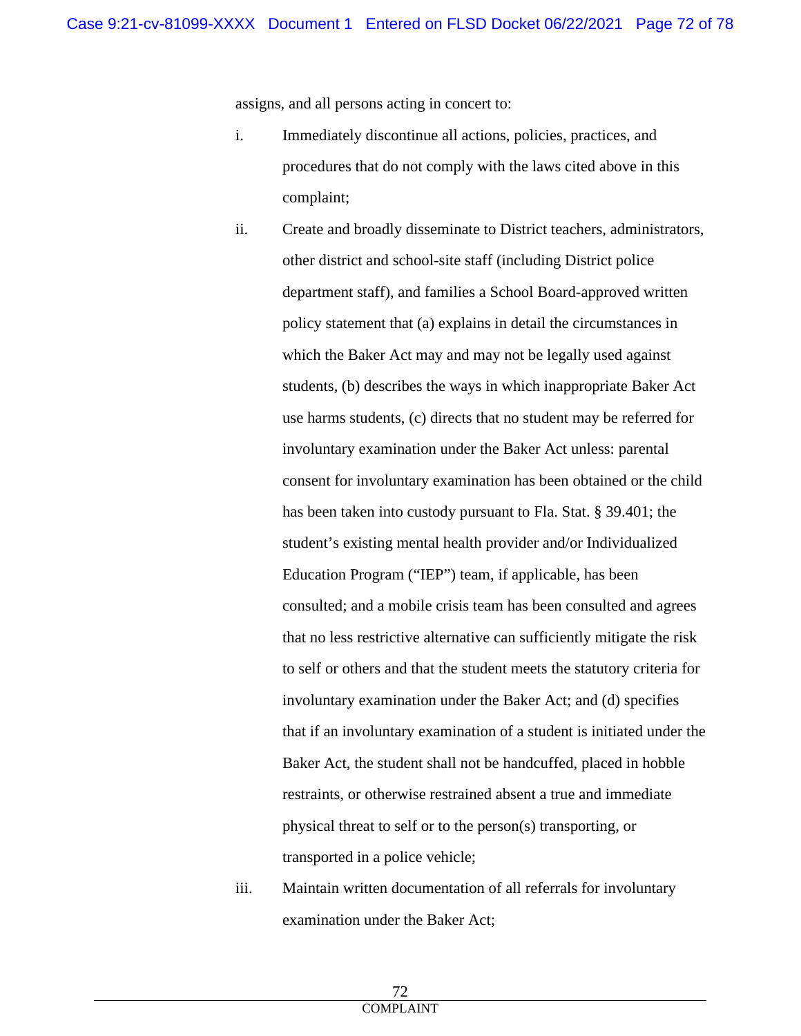assigns, and all persons acting in concert to:

- i. Immediately discontinue all actions, policies, practices, and procedures that do not comply with the laws cited above in this complaint;
- ii. Create and broadly disseminate to District teachers, administrators, other district and school-site staff (including District police department staff), and families a School Board-approved written policy statement that (a) explains in detail the circumstances in which the Baker Act may and may not be legally used against students, (b) describes the ways in which inappropriate Baker Act use harms students, (c) directs that no student may be referred for involuntary examination under the Baker Act unless: parental consent for involuntary examination has been obtained or the child has been taken into custody pursuant to Fla. Stat. § 39.401; the student's existing mental health provider and/or Individualized Education Program ("IEP") team, if applicable, has been consulted; and a mobile crisis team has been consulted and agrees that no less restrictive alternative can sufficiently mitigate the risk to self or others and that the student meets the statutory criteria for involuntary examination under the Baker Act; and (d) specifies that if an involuntary examination of a student is initiated under the Baker Act, the student shall not be handcuffed, placed in hobble restraints, or otherwise restrained absent a true and immediate physical threat to self or to the person(s) transporting, or transported in a police vehicle;
- iii. Maintain written documentation of all referrals for involuntary examination under the Baker Act;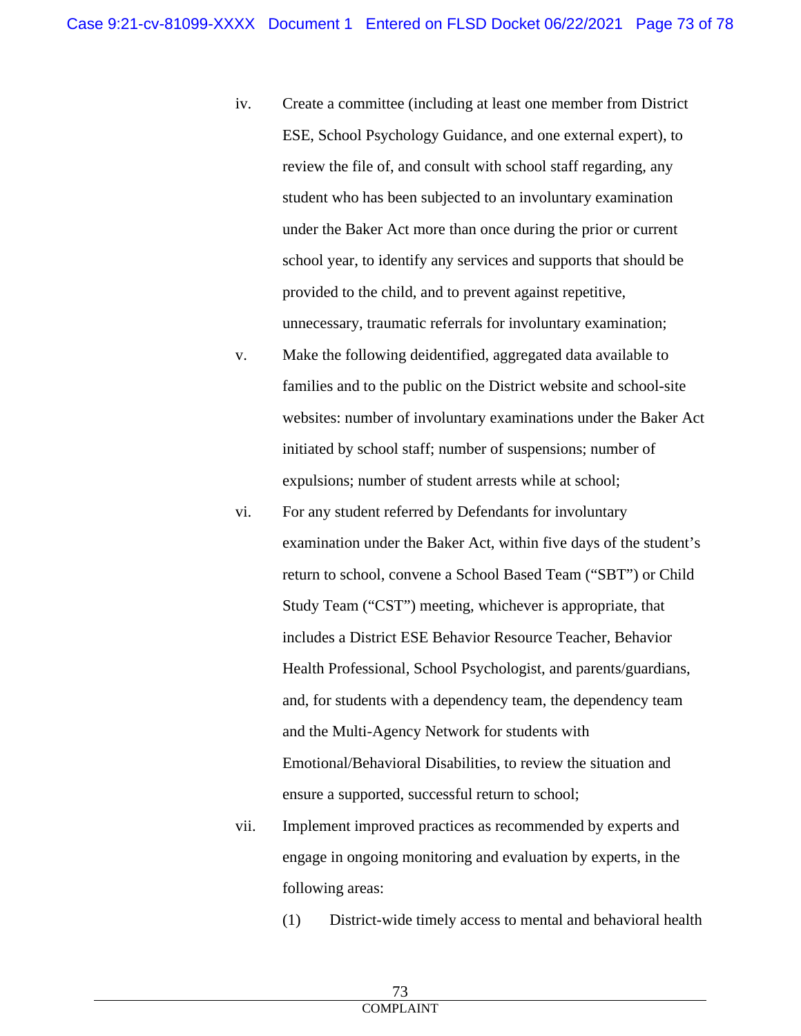- iv. Create a committee (including at least one member from District ESE, School Psychology Guidance, and one external expert), to review the file of, and consult with school staff regarding, any student who has been subjected to an involuntary examination under the Baker Act more than once during the prior or current school year, to identify any services and supports that should be provided to the child, and to prevent against repetitive, unnecessary, traumatic referrals for involuntary examination;
- v. Make the following deidentified, aggregated data available to families and to the public on the District website and school-site websites: number of involuntary examinations under the Baker Act initiated by school staff; number of suspensions; number of expulsions; number of student arrests while at school;
- vi. For any student referred by Defendants for involuntary examination under the Baker Act, within five days of the student's return to school, convene a School Based Team ("SBT") or Child Study Team ("CST") meeting, whichever is appropriate, that includes a District ESE Behavior Resource Teacher, Behavior Health Professional, School Psychologist, and parents/guardians, and, for students with a dependency team, the dependency team and the Multi-Agency Network for students with Emotional/Behavioral Disabilities, to review the situation and ensure a supported, successful return to school;
- vii. Implement improved practices as recommended by experts and engage in ongoing monitoring and evaluation by experts, in the following areas:
	- (1) District-wide timely access to mental and behavioral health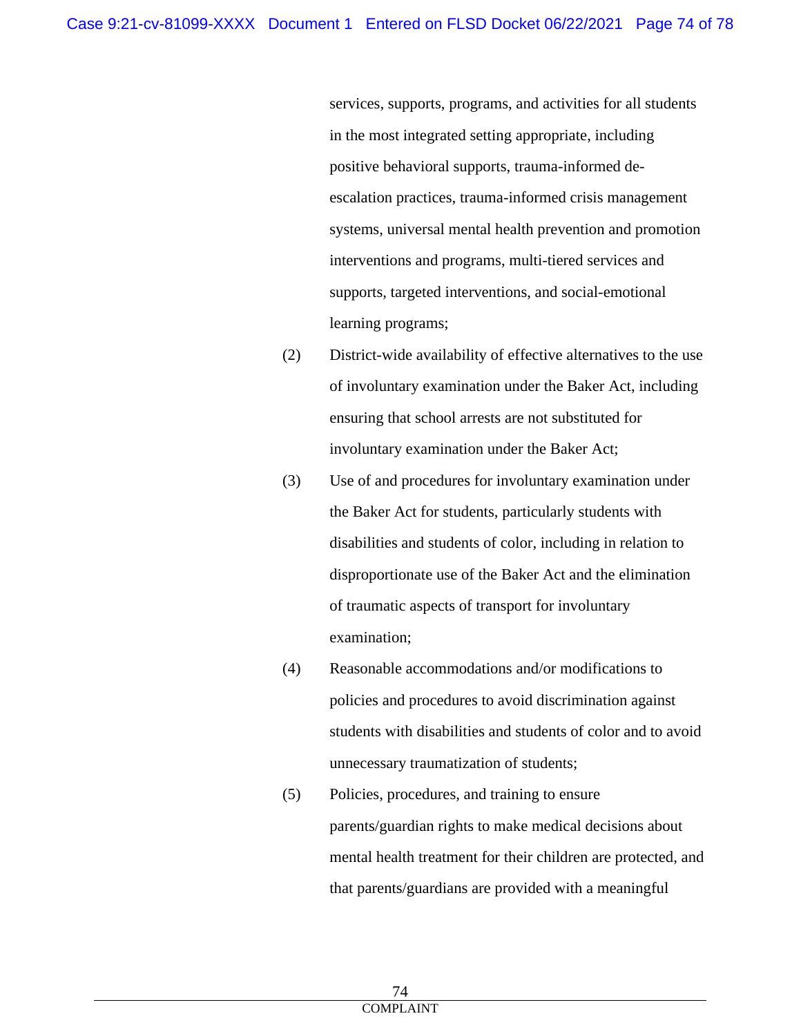services, supports, programs, and activities for all students in the most integrated setting appropriate, including positive behavioral supports, trauma-informed deescalation practices, trauma-informed crisis management systems, universal mental health prevention and promotion interventions and programs, multi-tiered services and supports, targeted interventions, and social-emotional learning programs;

- (2) District-wide availability of effective alternatives to the use of involuntary examination under the Baker Act, including ensuring that school arrests are not substituted for involuntary examination under the Baker Act;
- (3) Use of and procedures for involuntary examination under the Baker Act for students, particularly students with disabilities and students of color, including in relation to disproportionate use of the Baker Act and the elimination of traumatic aspects of transport for involuntary examination;
- (4) Reasonable accommodations and/or modifications to policies and procedures to avoid discrimination against students with disabilities and students of color and to avoid unnecessary traumatization of students;
- (5) Policies, procedures, and training to ensure parents/guardian rights to make medical decisions about mental health treatment for their children are protected, and that parents/guardians are provided with a meaningful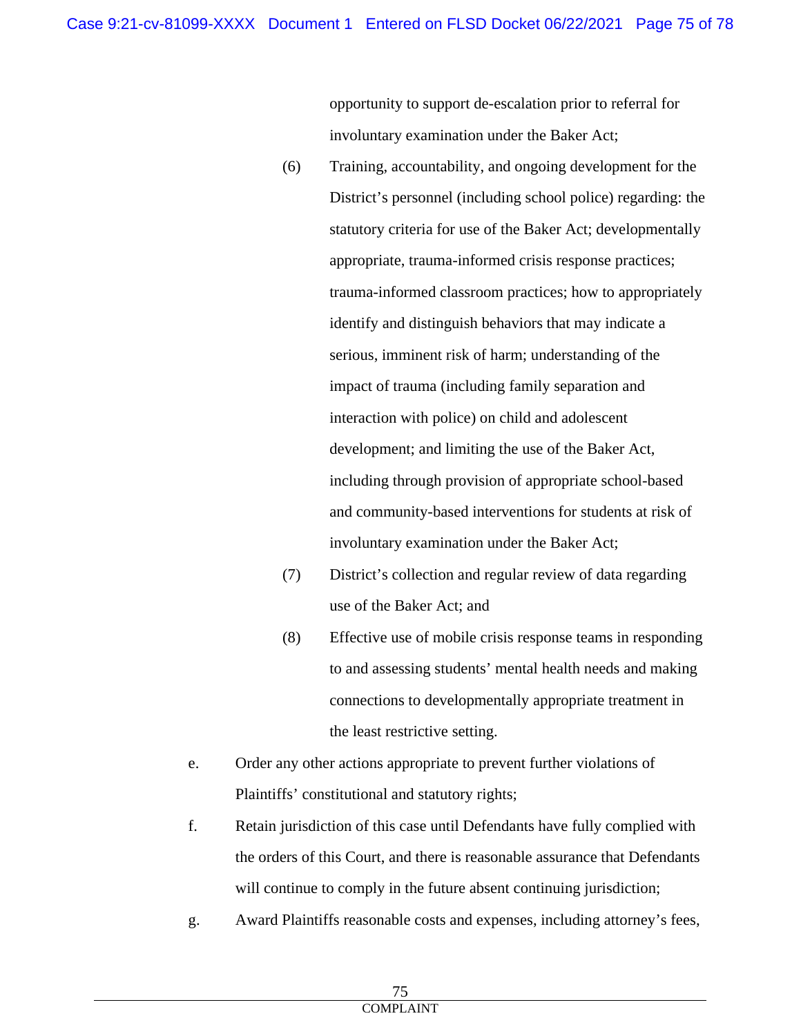opportunity to support de-escalation prior to referral for involuntary examination under the Baker Act;

- (6) Training, accountability, and ongoing development for the District's personnel (including school police) regarding: the statutory criteria for use of the Baker Act; developmentally appropriate, trauma-informed crisis response practices; trauma-informed classroom practices; how to appropriately identify and distinguish behaviors that may indicate a serious, imminent risk of harm; understanding of the impact of trauma (including family separation and interaction with police) on child and adolescent development; and limiting the use of the Baker Act, including through provision of appropriate school-based and community-based interventions for students at risk of involuntary examination under the Baker Act;
- (7) District's collection and regular review of data regarding use of the Baker Act; and
- (8) Effective use of mobile crisis response teams in responding to and assessing students' mental health needs and making connections to developmentally appropriate treatment in the least restrictive setting.
- e. Order any other actions appropriate to prevent further violations of Plaintiffs' constitutional and statutory rights;
- f. Retain jurisdiction of this case until Defendants have fully complied with the orders of this Court, and there is reasonable assurance that Defendants will continue to comply in the future absent continuing jurisdiction;
- g. Award Plaintiffs reasonable costs and expenses, including attorney's fees,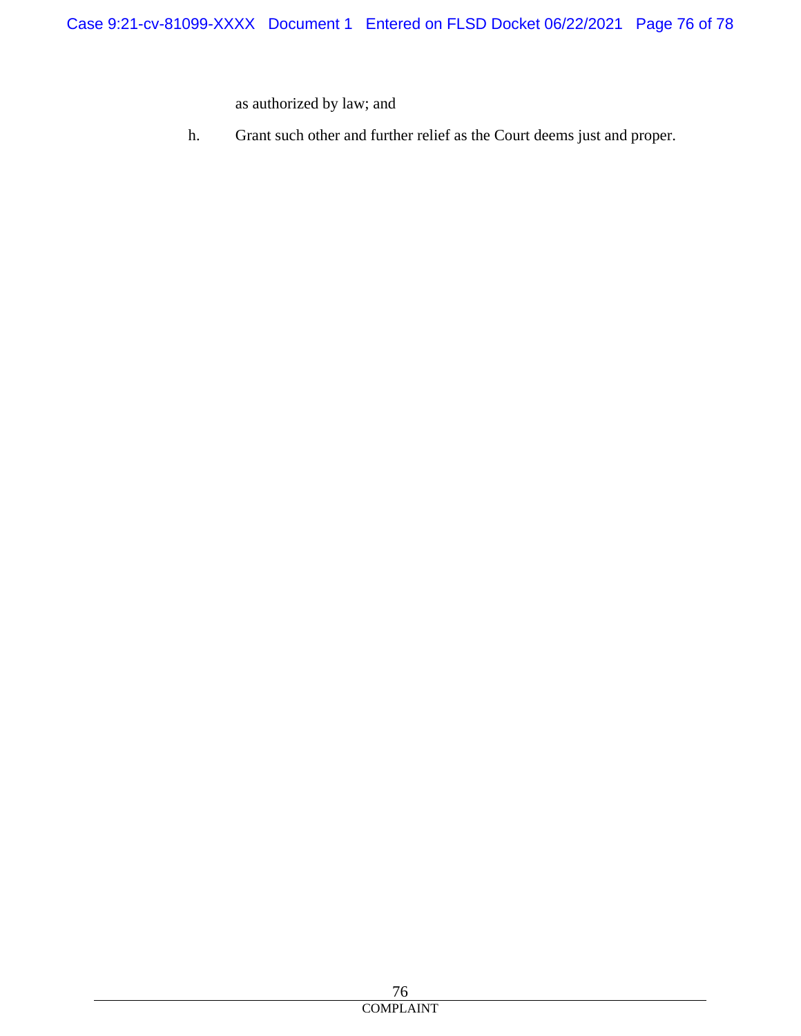as authorized by law; and

h. Grant such other and further relief as the Court deems just and proper.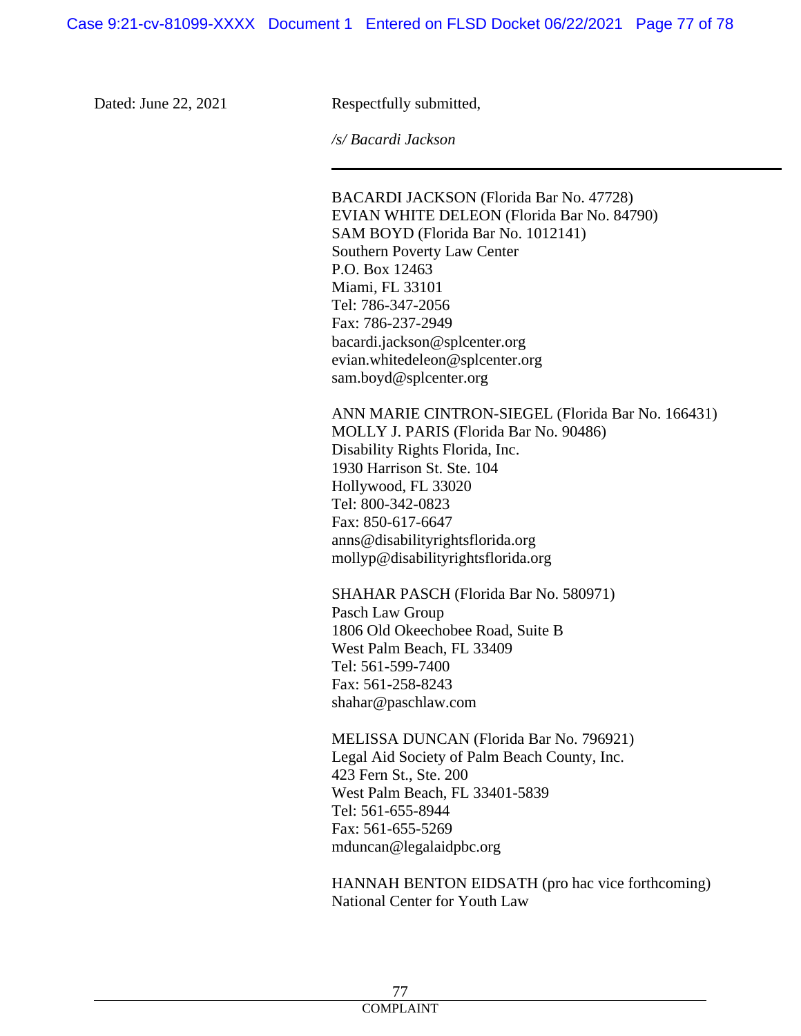Dated: June 22, 2021 Respectfully submitted,

*/s/ Bacardi Jackson*

BACARDI JACKSON (Florida Bar No. 47728) EVIAN WHITE DELEON (Florida Bar No. 84790) SAM BOYD (Florida Bar No. 1012141) Southern Poverty Law Center P.O. Box 12463 Miami, FL 33101 Tel: 786-347-2056 Fax: 786-237-2949 bacardi.jackson@splcenter.org evian.whitedeleon@splcenter.org sam.boyd@splcenter.org

ANN MARIE CINTRON-SIEGEL (Florida Bar No. 166431) MOLLY J. PARIS (Florida Bar No. 90486) Disability Rights Florida, Inc. 1930 Harrison St. Ste. 104 Hollywood, FL 33020 Tel: 800-342-0823 Fax: 850-617-6647 anns@disabilityrightsflorida.org mollyp@disabilityrightsflorida.org

SHAHAR PASCH (Florida Bar No. 580971) Pasch Law Group 1806 Old Okeechobee Road, Suite B West Palm Beach, FL 33409 Tel: 561-599-7400 Fax: 561-258-8243 shahar@paschlaw.com

MELISSA DUNCAN (Florida Bar No. 796921) Legal Aid Society of Palm Beach County, Inc. 423 Fern St., Ste. 200 West Palm Beach, FL 33401-5839 Tel: 561-655-8944 Fax: 561-655-5269 mduncan@legalaidpbc.org

HANNAH BENTON EIDSATH (pro hac vice forthcoming) National Center for Youth Law